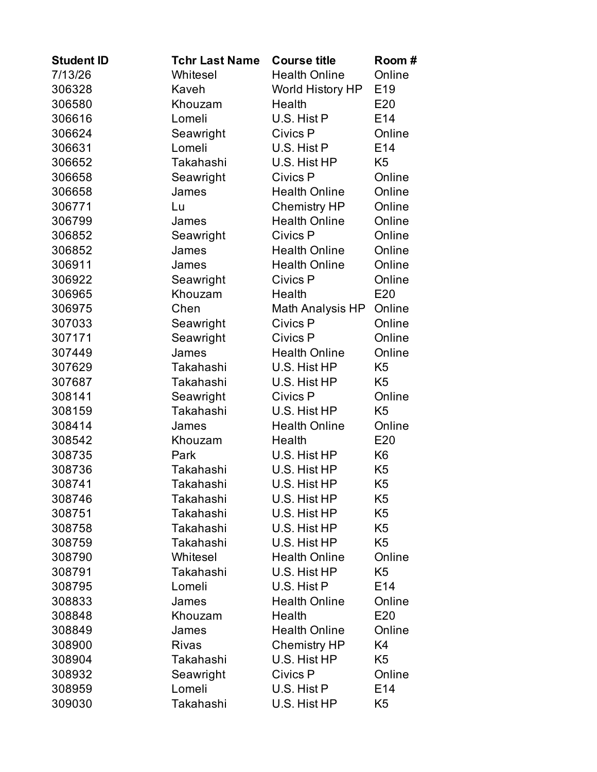| <b>Student ID</b> | <b>Tchr Last Name</b> | <b>Course title</b>  | Room#           |
|-------------------|-----------------------|----------------------|-----------------|
| 7/13/26           | Whitesel              | <b>Health Online</b> | Online          |
| 306328            | Kaveh                 | World History HP     | E <sub>19</sub> |
| 306580            | Khouzam               | Health               | E20             |
| 306616            | Lomeli                | U.S. Hist P          | E14             |
| 306624            | Seawright             | Civics P             | Online          |
| 306631            | Lomeli                | U.S. Hist P          | E14             |
| 306652            | Takahashi             | U.S. Hist HP         | K5              |
| 306658            | Seawright             | Civics P             | Online          |
| 306658            | James                 | <b>Health Online</b> | Online          |
| 306771            | Lu                    | <b>Chemistry HP</b>  | Online          |
| 306799            | James                 | <b>Health Online</b> | Online          |
| 306852            | Seawright             | Civics P             | Online          |
| 306852            | James                 | <b>Health Online</b> | Online          |
| 306911            | James                 | <b>Health Online</b> | Online          |
| 306922            | Seawright             | Civics P             | Online          |
| 306965            | Khouzam               | Health               | E20             |
| 306975            | Chen                  | Math Analysis HP     | Online          |
| 307033            | Seawright             | Civics P             | Online          |
| 307171            | Seawright             | Civics P             | Online          |
| 307449            | James                 | <b>Health Online</b> | Online          |
| 307629            | Takahashi             | U.S. Hist HP         | K <sub>5</sub>  |
| 307687            | Takahashi             | U.S. Hist HP         | K <sub>5</sub>  |
| 308141            | Seawright             | Civics P             | Online          |
| 308159            | Takahashi             | U.S. Hist HP         | K <sub>5</sub>  |
| 308414            | James                 | <b>Health Online</b> | Online          |
| 308542            | Khouzam               | Health               | E20             |
| 308735            | Park                  | U.S. Hist HP         | K <sub>6</sub>  |
| 308736            | Takahashi             | U.S. Hist HP         | K <sub>5</sub>  |
| 308741            | Takahashi             | U.S. Hist HP         | K <sub>5</sub>  |
| 308746            | Takahashi             | U.S. Hist HP         | K5              |
| 308751            | Takahashi             | U.S. Hist HP         | K <sub>5</sub>  |
| 308758            | Takahashi             | U.S. Hist HP         | K <sub>5</sub>  |
| 308759            | Takahashi             | U.S. Hist HP         | K <sub>5</sub>  |
| 308790            | Whitesel              | <b>Health Online</b> | Online          |
| 308791            | Takahashi             | U.S. Hist HP         | K <sub>5</sub>  |
| 308795            | Lomeli                | U.S. Hist P          | E14             |
| 308833            | James                 | <b>Health Online</b> | Online          |
| 308848            | Khouzam               | Health               | E20             |
| 308849            | James                 | <b>Health Online</b> | Online          |
| 308900            | <b>Rivas</b>          | <b>Chemistry HP</b>  | K4              |
| 308904            | Takahashi             | U.S. Hist HP         | K <sub>5</sub>  |
| 308932            | Seawright             | Civics P             | Online          |
| 308959            | Lomeli                | U.S. Hist P          | E14             |
| 309030            | Takahashi             | U.S. Hist HP         | K <sub>5</sub>  |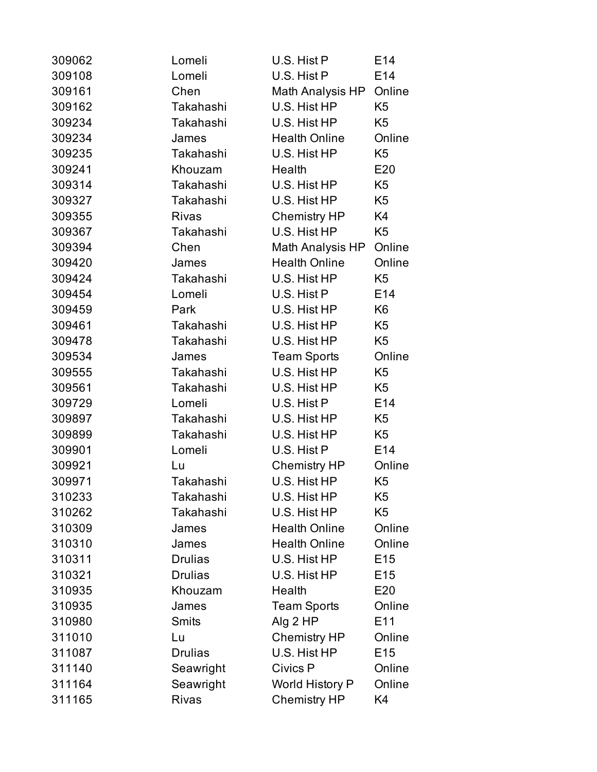| 309062 | Lomeli         | U.S. Hist P            | E14             |
|--------|----------------|------------------------|-----------------|
| 309108 | Lomeli         | U.S. Hist P            | E14             |
| 309161 | Chen           | Math Analysis HP       | Online          |
| 309162 | Takahashi      | U.S. Hist HP           | K <sub>5</sub>  |
| 309234 | Takahashi      | U.S. Hist HP           | K <sub>5</sub>  |
| 309234 | James          | <b>Health Online</b>   | Online          |
| 309235 | Takahashi      | U.S. Hist HP           | K <sub>5</sub>  |
| 309241 | Khouzam        | Health                 | E20             |
| 309314 | Takahashi      | U.S. Hist HP           | K <sub>5</sub>  |
| 309327 | Takahashi      | U.S. Hist HP           | K <sub>5</sub>  |
| 309355 | <b>Rivas</b>   | Chemistry HP           | K4              |
| 309367 | Takahashi      | U.S. Hist HP           | K <sub>5</sub>  |
| 309394 | Chen           | Math Analysis HP       | Online          |
| 309420 | James          | <b>Health Online</b>   | Online          |
| 309424 | Takahashi      | U.S. Hist HP           | K <sub>5</sub>  |
| 309454 | Lomeli         | U.S. Hist P            | E14             |
| 309459 | Park           | U.S. Hist HP           | K <sub>6</sub>  |
| 309461 | Takahashi      | U.S. Hist HP           | K <sub>5</sub>  |
| 309478 | Takahashi      | U.S. Hist HP           | K <sub>5</sub>  |
| 309534 | James          | <b>Team Sports</b>     | Online          |
| 309555 | Takahashi      | U.S. Hist HP           | K <sub>5</sub>  |
| 309561 | Takahashi      | U.S. Hist HP           | K <sub>5</sub>  |
| 309729 | Lomeli         | U.S. Hist P            | E14             |
| 309897 | Takahashi      | U.S. Hist HP           | K <sub>5</sub>  |
| 309899 | Takahashi      | U.S. Hist HP           | K <sub>5</sub>  |
| 309901 | Lomeli         | U.S. Hist P            | E14             |
| 309921 | Lu             | <b>Chemistry HP</b>    | Online          |
| 309971 | Takahashi      | U.S. Hist HP           | K <sub>5</sub>  |
| 310233 | Takahashi      | U.S. Hist HP           | K5              |
| 310262 | Takahashi      | U.S. Hist HP           | K <sub>5</sub>  |
| 310309 | James          | <b>Health Online</b>   | Online          |
| 310310 | James          | <b>Health Online</b>   | Online          |
| 310311 | <b>Drulias</b> | U.S. Hist HP           | E <sub>15</sub> |
| 310321 | <b>Drulias</b> | U.S. Hist HP           | E <sub>15</sub> |
| 310935 | Khouzam        | Health                 | E20             |
| 310935 | James          | <b>Team Sports</b>     | Online          |
| 310980 | <b>Smits</b>   | Alg 2 HP               | E11             |
| 311010 | Lu             | <b>Chemistry HP</b>    | Online          |
| 311087 | <b>Drulias</b> | U.S. Hist HP           | E <sub>15</sub> |
| 311140 | Seawright      | Civics P               | Online          |
| 311164 | Seawright      | <b>World History P</b> | Online          |
| 311165 | <b>Rivas</b>   | <b>Chemistry HP</b>    | K4              |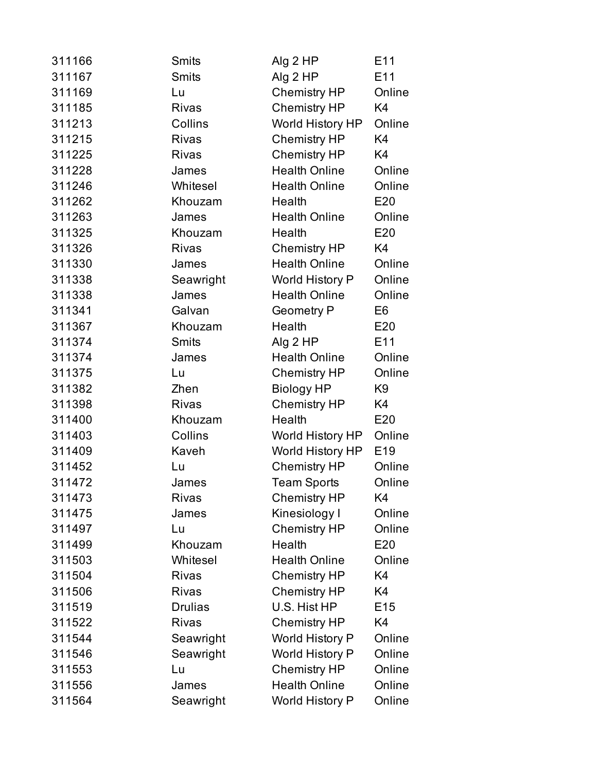| 311166 | <b>Smits</b>   | Alg 2 HP                | E <sub>11</sub> |
|--------|----------------|-------------------------|-----------------|
| 311167 | <b>Smits</b>   | Alg 2 HP                | E11             |
| 311169 | Lu             | <b>Chemistry HP</b>     | Online          |
| 311185 | <b>Rivas</b>   | <b>Chemistry HP</b>     | K4              |
| 311213 | Collins        | <b>World History HP</b> | Online          |
| 311215 | <b>Rivas</b>   | <b>Chemistry HP</b>     | K4              |
| 311225 | <b>Rivas</b>   | Chemistry HP            | K4              |
| 311228 | James          | <b>Health Online</b>    | Online          |
| 311246 | Whitesel       | <b>Health Online</b>    | Online          |
| 311262 | Khouzam        | Health                  | E20             |
| 311263 | James          | <b>Health Online</b>    | Online          |
| 311325 | Khouzam        | Health                  | E20             |
| 311326 | <b>Rivas</b>   | Chemistry HP            | K4              |
| 311330 | James          | <b>Health Online</b>    | Online          |
| 311338 | Seawright      | World History P         | Online          |
| 311338 | James          | <b>Health Online</b>    | Online          |
| 311341 | Galvan         | <b>Geometry P</b>       | E <sub>6</sub>  |
| 311367 | Khouzam        | Health                  | E20             |
| 311374 | <b>Smits</b>   | Alg 2 HP                | E <sub>11</sub> |
| 311374 | James          | <b>Health Online</b>    | Online          |
| 311375 | Lu             | <b>Chemistry HP</b>     | Online          |
| 311382 | Zhen           | <b>Biology HP</b>       | K9              |
| 311398 | <b>Rivas</b>   | <b>Chemistry HP</b>     | K4              |
| 311400 | Khouzam        | Health                  | E20             |
| 311403 | Collins        | World History HP        | Online          |
| 311409 | Kaveh          | World History HP        | E <sub>19</sub> |
| 311452 | Lu             | <b>Chemistry HP</b>     | Online          |
| 311472 | James          | <b>Team Sports</b>      | Online          |
| 311473 | <b>Rivas</b>   | <b>Chemistry HP</b>     | K4              |
| 311475 | James          | Kinesiology I           | Online          |
| 311497 | Lu             | <b>Chemistry HP</b>     | Online          |
| 311499 | Khouzam        | Health                  | E20             |
| 311503 | Whitesel       | <b>Health Online</b>    | Online          |
| 311504 | <b>Rivas</b>   | <b>Chemistry HP</b>     | K4              |
| 311506 | <b>Rivas</b>   | <b>Chemistry HP</b>     | K4              |
| 311519 | <b>Drulias</b> | U.S. Hist HP            | E <sub>15</sub> |
| 311522 | <b>Rivas</b>   | <b>Chemistry HP</b>     | K4              |
| 311544 | Seawright      | World History P         | Online          |
| 311546 | Seawright      | World History P         | Online          |
| 311553 | Lu             | <b>Chemistry HP</b>     | Online          |
| 311556 | James          | <b>Health Online</b>    | Online          |
| 311564 | Seawright      | <b>World History P</b>  | Online          |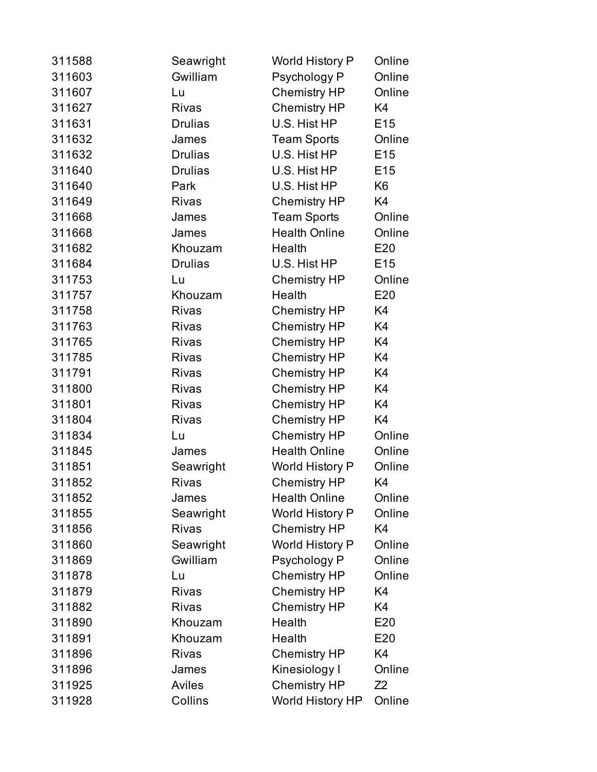| 311588 | Seawright      | World History P      | Online          |
|--------|----------------|----------------------|-----------------|
| 311603 | Gwilliam       | Psychology P         | Online          |
| 311607 | Lu             | <b>Chemistry HP</b>  | Online          |
| 311627 | <b>Rivas</b>   | <b>Chemistry HP</b>  | K4              |
| 311631 | <b>Drulias</b> | U.S. Hist HP         | E <sub>15</sub> |
| 311632 | James          | <b>Team Sports</b>   | Online          |
| 311632 | <b>Drulias</b> | U.S. Hist HP         | E <sub>15</sub> |
| 311640 | <b>Drulias</b> | U.S. Hist HP         | E <sub>15</sub> |
| 311640 | Park           | U.S. Hist HP         | K <sub>6</sub>  |
| 311649 | <b>Rivas</b>   | <b>Chemistry HP</b>  | K4              |
| 311668 | James          | <b>Team Sports</b>   | Online          |
| 311668 | James          | <b>Health Online</b> | Online          |
| 311682 | Khouzam        | Health               | E20             |
| 311684 | <b>Drulias</b> | U.S. Hist HP         | E <sub>15</sub> |
| 311753 | Lu             | <b>Chemistry HP</b>  | Online          |
| 311757 | Khouzam        | Health               | E20             |
| 311758 | <b>Rivas</b>   | <b>Chemistry HP</b>  | K4              |
| 311763 | <b>Rivas</b>   | <b>Chemistry HP</b>  | K4              |
| 311765 | <b>Rivas</b>   | <b>Chemistry HP</b>  | K4              |
| 311785 | <b>Rivas</b>   | <b>Chemistry HP</b>  | K4              |
| 311791 | <b>Rivas</b>   | <b>Chemistry HP</b>  | K4              |
| 311800 | <b>Rivas</b>   | <b>Chemistry HP</b>  | K4              |
| 311801 | <b>Rivas</b>   | <b>Chemistry HP</b>  | K4              |
| 311804 | <b>Rivas</b>   | <b>Chemistry HP</b>  | K4              |
| 311834 | Lu             | <b>Chemistry HP</b>  | Online          |
| 311845 | James          | <b>Health Online</b> | Online          |
| 311851 | Seawright      | World History P      | Online          |
| 311852 | <b>Rivas</b>   | <b>Chemistry HP</b>  | K4              |
| 311852 | James          | <b>Health Online</b> | Online          |
| 311855 | Seawright      | World History P      | Online          |
| 311856 | <b>Rivas</b>   | <b>Chemistry HP</b>  | K4              |
| 311860 | Seawright      | World History P      | Online          |
| 311869 | Gwilliam       | Psychology P         | Online          |
| 311878 | Lu             | <b>Chemistry HP</b>  | Online          |
| 311879 | <b>Rivas</b>   | <b>Chemistry HP</b>  | K4              |
| 311882 | <b>Rivas</b>   | <b>Chemistry HP</b>  | K4              |
| 311890 | Khouzam        | Health               | E20             |
| 311891 | Khouzam        | Health               | E20             |
| 311896 | <b>Rivas</b>   | <b>Chemistry HP</b>  | K4              |
| 311896 | James          | Kinesiology I        | Online          |
| 311925 | <b>Aviles</b>  | <b>Chemistry HP</b>  | Z2              |
| 311928 | Collins        | World History HP     | Online          |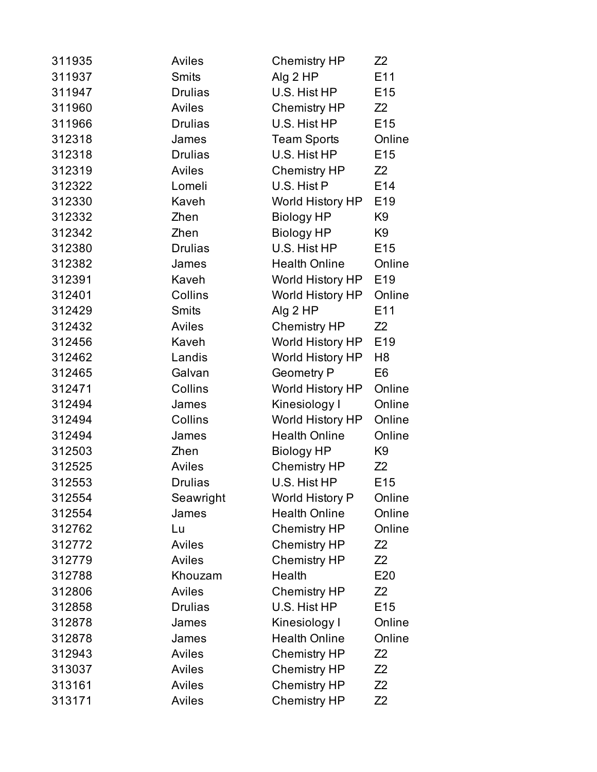| 311935 | <b>Aviles</b>  | <b>Chemistry HP</b>  | Z2              |
|--------|----------------|----------------------|-----------------|
| 311937 | <b>Smits</b>   | Alg 2 HP             | E11             |
| 311947 | <b>Drulias</b> | U.S. Hist HP         | E <sub>15</sub> |
| 311960 | <b>Aviles</b>  | <b>Chemistry HP</b>  | Z <sub>2</sub>  |
| 311966 | <b>Drulias</b> | U.S. Hist HP         | E <sub>15</sub> |
| 312318 | James          | <b>Team Sports</b>   | Online          |
| 312318 | <b>Drulias</b> | U.S. Hist HP         | E <sub>15</sub> |
| 312319 | Aviles         | Chemistry HP         | Z2              |
| 312322 | Lomeli         | U.S. Hist P          | E14             |
| 312330 | Kaveh          | World History HP     | E <sub>19</sub> |
| 312332 | Zhen           | <b>Biology HP</b>    | K9              |
| 312342 | Zhen           | Biology HP           | K9              |
| 312380 | <b>Drulias</b> | U.S. Hist HP         | E <sub>15</sub> |
| 312382 | James          | <b>Health Online</b> | Online          |
| 312391 | Kaveh          | World History HP     | E <sub>19</sub> |
| 312401 | Collins        | World History HP     | Online          |
| 312429 | <b>Smits</b>   | Alg 2 HP             | E11             |
| 312432 | <b>Aviles</b>  | <b>Chemistry HP</b>  | Z <sub>2</sub>  |
| 312456 | Kaveh          | World History HP     | E <sub>19</sub> |
| 312462 | Landis         | World History HP     | H8              |
| 312465 | Galvan         | <b>Geometry P</b>    | E <sub>6</sub>  |
| 312471 | Collins        | World History HP     | Online          |
| 312494 | James          | Kinesiology I        | Online          |
| 312494 | Collins        | World History HP     | Online          |
| 312494 | James          | <b>Health Online</b> | Online          |
| 312503 | Zhen           | <b>Biology HP</b>    | K <sub>9</sub>  |
| 312525 | <b>Aviles</b>  | <b>Chemistry HP</b>  | Z <sub>2</sub>  |
| 312553 | <b>Drulias</b> | U.S. Hist HP         | E15             |
| 312554 | Seawright      | World History P      | Online          |
| 312554 | James          | <b>Health Online</b> | Online          |
| 312762 | Lu             | <b>Chemistry HP</b>  | Online          |
| 312772 | Aviles         | <b>Chemistry HP</b>  | Z2              |
| 312779 | Aviles         | <b>Chemistry HP</b>  | Z2              |
| 312788 | Khouzam        | Health               | E20             |
| 312806 | <b>Aviles</b>  | <b>Chemistry HP</b>  | Z2              |
| 312858 | <b>Drulias</b> | U.S. Hist HP         | E <sub>15</sub> |
| 312878 | James          | Kinesiology I        | Online          |
| 312878 | James          | <b>Health Online</b> | Online          |
| 312943 | <b>Aviles</b>  | <b>Chemistry HP</b>  | Z2              |
| 313037 | <b>Aviles</b>  | <b>Chemistry HP</b>  | Z2              |
| 313161 | <b>Aviles</b>  | <b>Chemistry HP</b>  | Z2              |
| 313171 | Aviles         | <b>Chemistry HP</b>  | Z2              |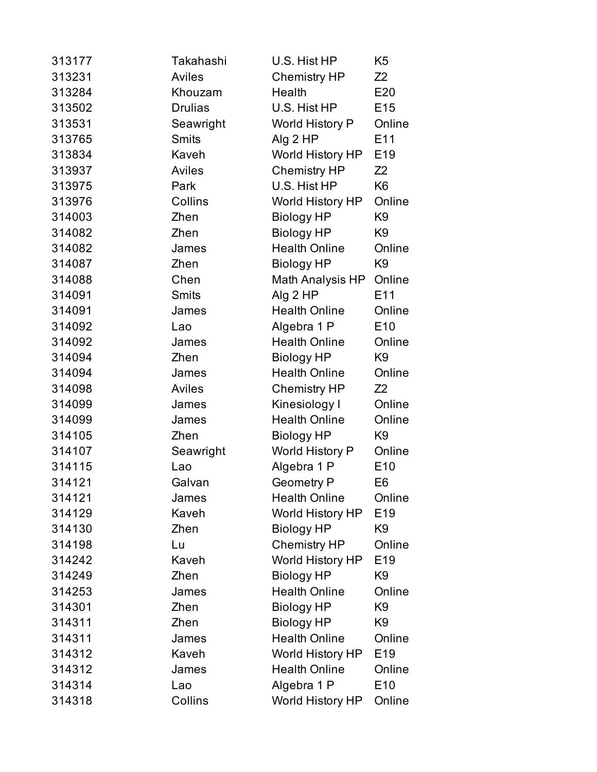| 313177 | Takahashi      | U.S. Hist HP            | K <sub>5</sub>  |
|--------|----------------|-------------------------|-----------------|
| 313231 | <b>Aviles</b>  | <b>Chemistry HP</b>     | Z <sub>2</sub>  |
| 313284 | Khouzam        | Health                  | E20             |
| 313502 | <b>Drulias</b> | U.S. Hist HP            | E <sub>15</sub> |
| 313531 | Seawright      | World History P         | Online          |
| 313765 | <b>Smits</b>   | Alg 2 HP                | E11             |
| 313834 | Kaveh          | <b>World History HP</b> | E <sub>19</sub> |
| 313937 | <b>Aviles</b>  | <b>Chemistry HP</b>     | Z <sub>2</sub>  |
| 313975 | Park           | U.S. Hist HP            | K <sub>6</sub>  |
| 313976 | Collins        | World History HP        | Online          |
| 314003 | Zhen           | <b>Biology HP</b>       | K <sub>9</sub>  |
| 314082 | Zhen           | <b>Biology HP</b>       | K <sub>9</sub>  |
| 314082 | James          | <b>Health Online</b>    | Online          |
| 314087 | Zhen           | <b>Biology HP</b>       | K <sub>9</sub>  |
| 314088 | Chen           | Math Analysis HP        | Online          |
| 314091 | <b>Smits</b>   | Alg 2 HP                | E <sub>11</sub> |
| 314091 | James          | <b>Health Online</b>    | Online          |
| 314092 | Lao            | Algebra 1 P             | E10             |
| 314092 | James          | <b>Health Online</b>    | Online          |
| 314094 | Zhen           | <b>Biology HP</b>       | K <sub>9</sub>  |
| 314094 | James          | <b>Health Online</b>    | Online          |
| 314098 | Aviles         | <b>Chemistry HP</b>     | Z <sub>2</sub>  |
| 314099 | James          | Kinesiology I           | Online          |
| 314099 | James          | <b>Health Online</b>    | Online          |
| 314105 | Zhen           | <b>Biology HP</b>       | K <sub>9</sub>  |
| 314107 | Seawright      | World History P         | Online          |
| 314115 | Lao            | Algebra 1 P             | E10             |
| 314121 | Galvan         | <b>Geometry P</b>       | E6              |
| 314121 | James          | <b>Health Online</b>    | Online          |
| 314129 | Kaveh          | <b>World History HP</b> | E <sub>19</sub> |
| 314130 | Zhen           | <b>Biology HP</b>       | K9              |
| 314198 | Lu             | <b>Chemistry HP</b>     | Online          |
| 314242 | Kaveh          | <b>World History HP</b> | E <sub>19</sub> |
| 314249 | Zhen           | <b>Biology HP</b>       | K <sub>9</sub>  |
| 314253 | James          | <b>Health Online</b>    | Online          |
| 314301 | Zhen           | <b>Biology HP</b>       | K <sub>9</sub>  |
| 314311 | Zhen           | <b>Biology HP</b>       | K <sub>9</sub>  |
| 314311 | James          | <b>Health Online</b>    | Online          |
| 314312 | Kaveh          | <b>World History HP</b> | E <sub>19</sub> |
| 314312 | James          | <b>Health Online</b>    | Online          |
| 314314 | Lao            | Algebra 1 P             | E <sub>10</sub> |
| 314318 | Collins        | <b>World History HP</b> | Online          |
|        |                |                         |                 |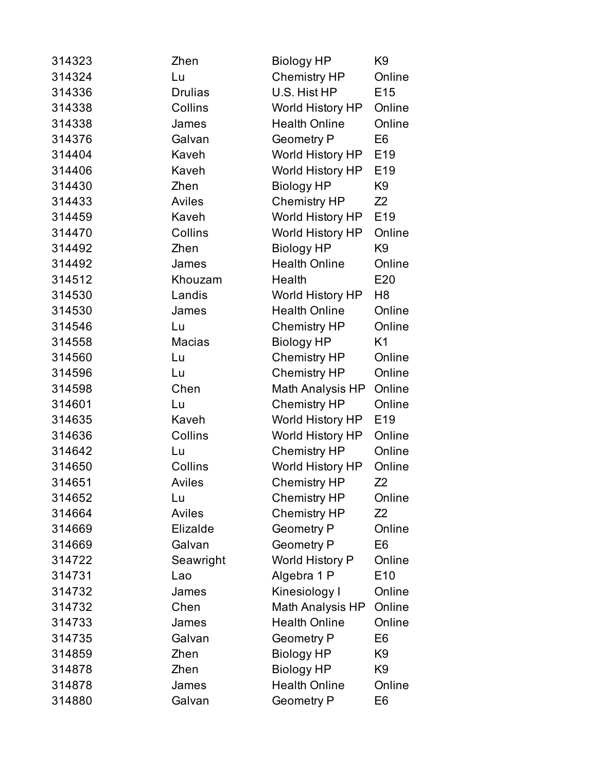| 314323 | Zhen           | <b>Biology HP</b>      | K9              |
|--------|----------------|------------------------|-----------------|
| 314324 | Lu             | <b>Chemistry HP</b>    | Online          |
| 314336 | <b>Drulias</b> | U.S. Hist HP           | E <sub>15</sub> |
| 314338 | Collins        | World History HP       | Online          |
| 314338 | James          | <b>Health Online</b>   | Online          |
| 314376 | Galvan         | <b>Geometry P</b>      | E <sub>6</sub>  |
| 314404 | Kaveh          | World History HP       | E <sub>19</sub> |
| 314406 | Kaveh          | World History HP       | E19             |
| 314430 | Zhen           | <b>Biology HP</b>      | K <sub>9</sub>  |
| 314433 | Aviles         | <b>Chemistry HP</b>    | Z <sub>2</sub>  |
| 314459 | Kaveh          | World History HP       | E19             |
| 314470 | Collins        | World History HP       | Online          |
| 314492 | Zhen           | <b>Biology HP</b>      | K <sub>9</sub>  |
| 314492 | James          | <b>Health Online</b>   | Online          |
| 314512 | Khouzam        | Health                 | E20             |
| 314530 | Landis         | World History HP       | H8              |
| 314530 | James          | <b>Health Online</b>   | Online          |
| 314546 | Lu             | <b>Chemistry HP</b>    | Online          |
| 314558 | <b>Macias</b>  | <b>Biology HP</b>      | K <sub>1</sub>  |
| 314560 | Lu             | <b>Chemistry HP</b>    | Online          |
| 314596 | Lu             | <b>Chemistry HP</b>    | Online          |
| 314598 | Chen           | Math Analysis HP       | Online          |
| 314601 | Lu             | <b>Chemistry HP</b>    | Online          |
| 314635 | Kaveh          | World History HP       | E <sub>19</sub> |
| 314636 | Collins        | World History HP       | Online          |
| 314642 | Lu             | <b>Chemistry HP</b>    | Online          |
| 314650 | Collins        | World History HP       | Online          |
| 314651 | <b>Aviles</b>  | <b>Chemistry HP</b>    | Z <sub>2</sub>  |
| 314652 | Lu             | <b>Chemistry HP</b>    | Online          |
| 314664 | Aviles         | <b>Chemistry HP</b>    | Z2              |
| 314669 | Elizalde       | <b>Geometry P</b>      | Online          |
| 314669 | Galvan         | <b>Geometry P</b>      | E6              |
| 314722 | Seawright      | <b>World History P</b> | Online          |
| 314731 | Lao            | Algebra 1 P            | E <sub>10</sub> |
| 314732 | James          | Kinesiology I          | Online          |
| 314732 | Chen           | Math Analysis HP       | Online          |
| 314733 | James          | <b>Health Online</b>   | Online          |
| 314735 | Galvan         | <b>Geometry P</b>      | E6              |
| 314859 | Zhen           | <b>Biology HP</b>      | K9              |
| 314878 | Zhen           | <b>Biology HP</b>      | K <sub>9</sub>  |
| 314878 | James          | <b>Health Online</b>   | Online          |
| 314880 | Galvan         | <b>Geometry P</b>      | E <sub>6</sub>  |
|        |                |                        |                 |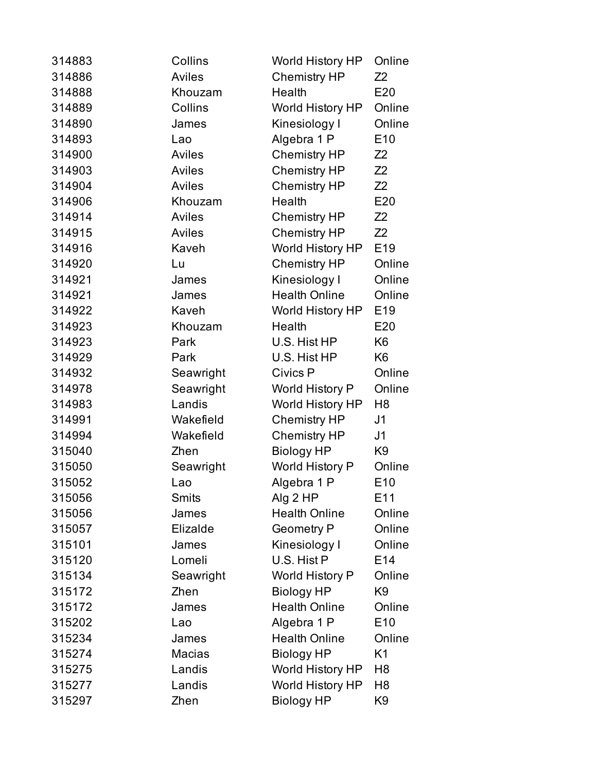| <b>Aviles</b><br><b>Chemistry HP</b><br>314886<br>314888<br>Health<br>Khouzam<br>Collins<br>314889<br>World History HP<br>314890<br>James<br>Kinesiology I<br>314893<br>Algebra 1 P<br>Lao<br>314900<br>Chemistry HP<br>Aviles<br><b>Aviles</b><br><b>Chemistry HP</b><br>314903<br>314904<br><b>Aviles</b><br><b>Chemistry HP</b><br>Health<br>314906<br>Khouzam<br><b>Aviles</b><br>314914<br><b>Chemistry HP</b><br>314915<br><b>Aviles</b><br><b>Chemistry HP</b><br>World History HP<br>314916<br>Kaveh<br><b>Chemistry HP</b><br>314920<br>Lu<br>314921<br>Kinesiology I<br>James<br><b>Health Online</b><br>314921<br>James<br>Kaveh<br>314922<br>World History HP<br>314923<br>Health<br>Khouzam | Z <sub>2</sub><br>E20<br>Online<br>Online<br>E10<br>Z <sub>2</sub><br>Z <sub>2</sub><br>Z <sub>2</sub><br>E20<br>Z <sub>2</sub><br>Z <sub>2</sub><br>E <sub>19</sub><br>Online |
|----------------------------------------------------------------------------------------------------------------------------------------------------------------------------------------------------------------------------------------------------------------------------------------------------------------------------------------------------------------------------------------------------------------------------------------------------------------------------------------------------------------------------------------------------------------------------------------------------------------------------------------------------------------------------------------------------------|--------------------------------------------------------------------------------------------------------------------------------------------------------------------------------|
|                                                                                                                                                                                                                                                                                                                                                                                                                                                                                                                                                                                                                                                                                                          |                                                                                                                                                                                |
|                                                                                                                                                                                                                                                                                                                                                                                                                                                                                                                                                                                                                                                                                                          |                                                                                                                                                                                |
|                                                                                                                                                                                                                                                                                                                                                                                                                                                                                                                                                                                                                                                                                                          |                                                                                                                                                                                |
|                                                                                                                                                                                                                                                                                                                                                                                                                                                                                                                                                                                                                                                                                                          |                                                                                                                                                                                |
|                                                                                                                                                                                                                                                                                                                                                                                                                                                                                                                                                                                                                                                                                                          |                                                                                                                                                                                |
|                                                                                                                                                                                                                                                                                                                                                                                                                                                                                                                                                                                                                                                                                                          |                                                                                                                                                                                |
|                                                                                                                                                                                                                                                                                                                                                                                                                                                                                                                                                                                                                                                                                                          |                                                                                                                                                                                |
|                                                                                                                                                                                                                                                                                                                                                                                                                                                                                                                                                                                                                                                                                                          |                                                                                                                                                                                |
|                                                                                                                                                                                                                                                                                                                                                                                                                                                                                                                                                                                                                                                                                                          |                                                                                                                                                                                |
|                                                                                                                                                                                                                                                                                                                                                                                                                                                                                                                                                                                                                                                                                                          |                                                                                                                                                                                |
|                                                                                                                                                                                                                                                                                                                                                                                                                                                                                                                                                                                                                                                                                                          |                                                                                                                                                                                |
|                                                                                                                                                                                                                                                                                                                                                                                                                                                                                                                                                                                                                                                                                                          |                                                                                                                                                                                |
|                                                                                                                                                                                                                                                                                                                                                                                                                                                                                                                                                                                                                                                                                                          |                                                                                                                                                                                |
|                                                                                                                                                                                                                                                                                                                                                                                                                                                                                                                                                                                                                                                                                                          | Online                                                                                                                                                                         |
|                                                                                                                                                                                                                                                                                                                                                                                                                                                                                                                                                                                                                                                                                                          | Online                                                                                                                                                                         |
|                                                                                                                                                                                                                                                                                                                                                                                                                                                                                                                                                                                                                                                                                                          | E <sub>19</sub>                                                                                                                                                                |
|                                                                                                                                                                                                                                                                                                                                                                                                                                                                                                                                                                                                                                                                                                          | E20                                                                                                                                                                            |
| 314923<br>Park<br>U.S. Hist HP                                                                                                                                                                                                                                                                                                                                                                                                                                                                                                                                                                                                                                                                           | K <sub>6</sub>                                                                                                                                                                 |
| 314929<br>Park<br>U.S. Hist HP                                                                                                                                                                                                                                                                                                                                                                                                                                                                                                                                                                                                                                                                           | K <sub>6</sub>                                                                                                                                                                 |
| 314932<br>Civics P<br>Seawright                                                                                                                                                                                                                                                                                                                                                                                                                                                                                                                                                                                                                                                                          | Online                                                                                                                                                                         |
| 314978<br>Seawright<br><b>World History P</b>                                                                                                                                                                                                                                                                                                                                                                                                                                                                                                                                                                                                                                                            | Online                                                                                                                                                                         |
| Landis<br>World History HP<br>314983                                                                                                                                                                                                                                                                                                                                                                                                                                                                                                                                                                                                                                                                     | H <sub>8</sub>                                                                                                                                                                 |
| 314991<br>Wakefield<br><b>Chemistry HP</b>                                                                                                                                                                                                                                                                                                                                                                                                                                                                                                                                                                                                                                                               | J1                                                                                                                                                                             |
| <b>Chemistry HP</b><br>314994<br>Wakefield                                                                                                                                                                                                                                                                                                                                                                                                                                                                                                                                                                                                                                                               | J1                                                                                                                                                                             |
| 315040<br><b>Biology HP</b><br>Zhen                                                                                                                                                                                                                                                                                                                                                                                                                                                                                                                                                                                                                                                                      | K <sub>9</sub>                                                                                                                                                                 |
| 315050<br>World History P<br>Seawright                                                                                                                                                                                                                                                                                                                                                                                                                                                                                                                                                                                                                                                                   | Online                                                                                                                                                                         |
| 315052<br>Algebra 1 P<br>Lao                                                                                                                                                                                                                                                                                                                                                                                                                                                                                                                                                                                                                                                                             | E10                                                                                                                                                                            |
| Alg 2 HP<br><b>Smits</b><br>315056                                                                                                                                                                                                                                                                                                                                                                                                                                                                                                                                                                                                                                                                       | E11                                                                                                                                                                            |
| <b>Health Online</b><br>315056<br>James                                                                                                                                                                                                                                                                                                                                                                                                                                                                                                                                                                                                                                                                  | Online                                                                                                                                                                         |
| Elizalde<br><b>Geometry P</b><br>315057                                                                                                                                                                                                                                                                                                                                                                                                                                                                                                                                                                                                                                                                  | Online                                                                                                                                                                         |
| Kinesiology I<br>315101<br>James                                                                                                                                                                                                                                                                                                                                                                                                                                                                                                                                                                                                                                                                         | Online                                                                                                                                                                         |
| 315120<br>U.S. Hist P<br>Lomeli                                                                                                                                                                                                                                                                                                                                                                                                                                                                                                                                                                                                                                                                          | E14                                                                                                                                                                            |
| 315134<br>Seawright<br>World History P                                                                                                                                                                                                                                                                                                                                                                                                                                                                                                                                                                                                                                                                   | Online                                                                                                                                                                         |
| 315172<br>Zhen<br><b>Biology HP</b>                                                                                                                                                                                                                                                                                                                                                                                                                                                                                                                                                                                                                                                                      | K <sub>9</sub>                                                                                                                                                                 |
| <b>Health Online</b><br>315172<br>James                                                                                                                                                                                                                                                                                                                                                                                                                                                                                                                                                                                                                                                                  | Online                                                                                                                                                                         |
| 315202<br>Algebra 1 P<br>Lao                                                                                                                                                                                                                                                                                                                                                                                                                                                                                                                                                                                                                                                                             | E10                                                                                                                                                                            |
| 315234<br><b>Health Online</b><br>James                                                                                                                                                                                                                                                                                                                                                                                                                                                                                                                                                                                                                                                                  | Online                                                                                                                                                                         |
| 315274<br>Macias<br><b>Biology HP</b>                                                                                                                                                                                                                                                                                                                                                                                                                                                                                                                                                                                                                                                                    | K <sub>1</sub>                                                                                                                                                                 |
| 315275<br>Landis<br>World History HP                                                                                                                                                                                                                                                                                                                                                                                                                                                                                                                                                                                                                                                                     | H8                                                                                                                                                                             |
| Landis<br>World History HP<br>315277                                                                                                                                                                                                                                                                                                                                                                                                                                                                                                                                                                                                                                                                     | H <sub>8</sub>                                                                                                                                                                 |
|                                                                                                                                                                                                                                                                                                                                                                                                                                                                                                                                                                                                                                                                                                          | K9                                                                                                                                                                             |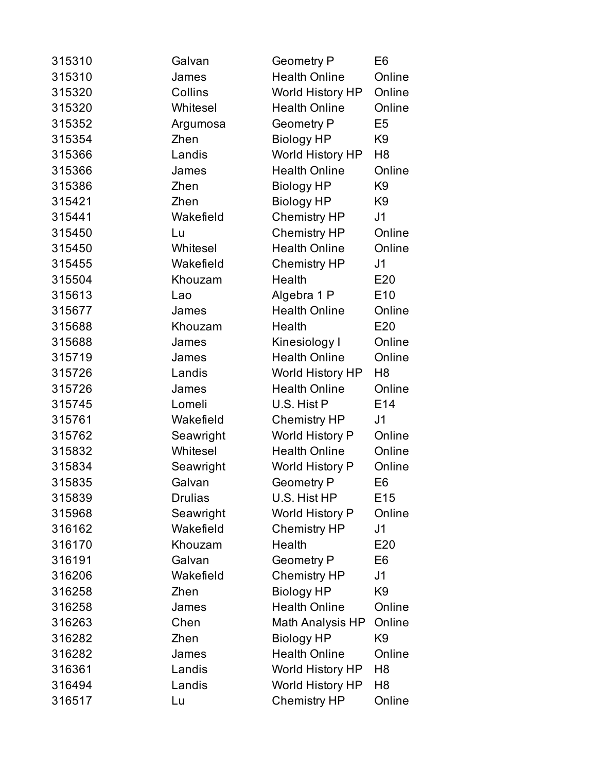| 315310 | Galvan         | <b>Geometry P</b>       | E <sub>6</sub>  |
|--------|----------------|-------------------------|-----------------|
| 315310 | James          | <b>Health Online</b>    | Online          |
| 315320 | Collins        | World History HP        | Online          |
| 315320 | Whitesel       | <b>Health Online</b>    | Online          |
| 315352 | Argumosa       | <b>Geometry P</b>       | E <sub>5</sub>  |
| 315354 | Zhen           | <b>Biology HP</b>       | K <sub>9</sub>  |
| 315366 | Landis         | World History HP        | H8              |
| 315366 | James          | <b>Health Online</b>    | Online          |
| 315386 | Zhen           | <b>Biology HP</b>       | K <sub>9</sub>  |
| 315421 | Zhen           | <b>Biology HP</b>       | K <sub>9</sub>  |
| 315441 | Wakefield      | <b>Chemistry HP</b>     | J1              |
| 315450 | Lu             | <b>Chemistry HP</b>     | Online          |
| 315450 | Whitesel       | <b>Health Online</b>    | Online          |
| 315455 | Wakefield      | <b>Chemistry HP</b>     | J <sub>1</sub>  |
| 315504 | Khouzam        | Health                  | E20             |
| 315613 | Lao            | Algebra 1 P             | E <sub>10</sub> |
| 315677 | James          | <b>Health Online</b>    | Online          |
| 315688 | Khouzam        | Health                  | E20             |
| 315688 | James          | Kinesiology I           | Online          |
| 315719 | James          | <b>Health Online</b>    | Online          |
| 315726 | Landis         | World History HP        | H8              |
| 315726 | James          | <b>Health Online</b>    | Online          |
| 315745 | Lomeli         | U.S. Hist P             | E14             |
| 315761 | Wakefield      | <b>Chemistry HP</b>     | J <sub>1</sub>  |
| 315762 | Seawright      | World History P         | Online          |
| 315832 | Whitesel       | <b>Health Online</b>    | Online          |
| 315834 | Seawright      | World History P         | Online          |
| 315835 | Galvan         | <b>Geometry P</b>       | E6              |
| 315839 | <b>Drulias</b> | U.S. Hist HP            | E15             |
| 315968 | Seawright      | World History P         | Online          |
| 316162 | Wakefield      | <b>Chemistry HP</b>     | J1              |
| 316170 | Khouzam        | Health                  | E20             |
| 316191 | Galvan         | <b>Geometry P</b>       | E <sub>6</sub>  |
| 316206 | Wakefield      | <b>Chemistry HP</b>     | J <sub>1</sub>  |
| 316258 | Zhen           | <b>Biology HP</b>       | K <sub>9</sub>  |
| 316258 | James          | <b>Health Online</b>    | Online          |
| 316263 | Chen           | Math Analysis HP        | Online          |
| 316282 | Zhen           | <b>Biology HP</b>       | K <sub>9</sub>  |
| 316282 | James          | <b>Health Online</b>    | Online          |
| 316361 | Landis         | World History HP        | H <sub>8</sub>  |
| 316494 | Landis         | <b>World History HP</b> | H8              |
| 316517 | Lu             | <b>Chemistry HP</b>     | Online          |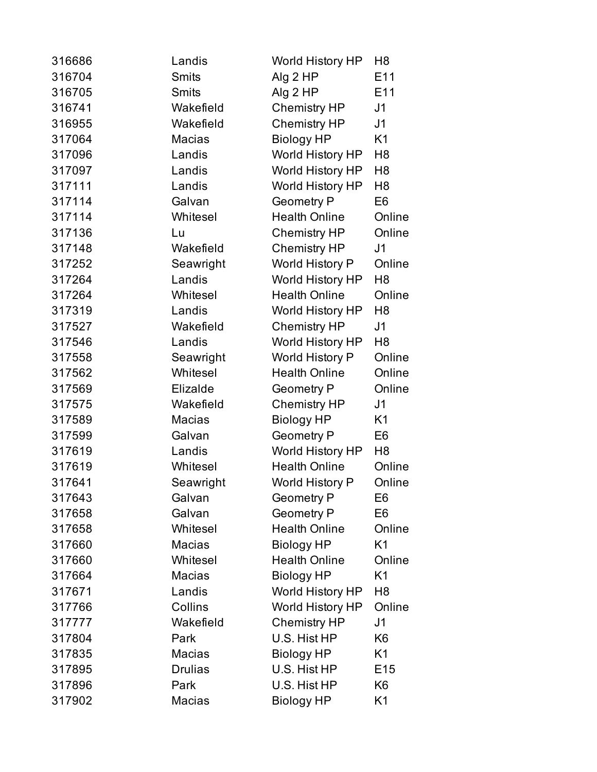| 316686 | Landis         | <b>World History HP</b> | H8              |
|--------|----------------|-------------------------|-----------------|
| 316704 | <b>Smits</b>   | Alg 2 HP                | E11             |
| 316705 | <b>Smits</b>   | Alg 2 HP                | E11             |
| 316741 | Wakefield      | <b>Chemistry HP</b>     | J <sub>1</sub>  |
| 316955 | Wakefield      | <b>Chemistry HP</b>     | J <sub>1</sub>  |
| 317064 | <b>Macias</b>  | <b>Biology HP</b>       | K <sub>1</sub>  |
| 317096 | Landis         | World History HP        | H <sub>8</sub>  |
| 317097 | Landis         | World History HP        | H <sub>8</sub>  |
| 317111 | Landis         | <b>World History HP</b> | H <sub>8</sub>  |
| 317114 | Galvan         | <b>Geometry P</b>       | E <sub>6</sub>  |
| 317114 | Whitesel       | <b>Health Online</b>    | Online          |
| 317136 | Lu             | <b>Chemistry HP</b>     | Online          |
| 317148 | Wakefield      | <b>Chemistry HP</b>     | J1              |
| 317252 | Seawright      | World History P         | Online          |
| 317264 | Landis         | World History HP        | H <sub>8</sub>  |
| 317264 | Whitesel       | <b>Health Online</b>    | Online          |
| 317319 | Landis         | <b>World History HP</b> | H <sub>8</sub>  |
| 317527 | Wakefield      | <b>Chemistry HP</b>     | J <sub>1</sub>  |
| 317546 | Landis         | World History HP        | H8              |
| 317558 | Seawright      | World History P         | Online          |
| 317562 | Whitesel       | <b>Health Online</b>    | Online          |
| 317569 | Elizalde       | <b>Geometry P</b>       | Online          |
| 317575 | Wakefield      | <b>Chemistry HP</b>     | J <sub>1</sub>  |
| 317589 | Macias         | <b>Biology HP</b>       | K <sub>1</sub>  |
| 317599 | Galvan         | <b>Geometry P</b>       | E <sub>6</sub>  |
| 317619 | Landis         | World History HP        | H <sub>8</sub>  |
| 317619 | Whitesel       | <b>Health Online</b>    | Online          |
| 317641 | Seawright      | <b>World History P</b>  | Online          |
| 317643 | Galvan         | <b>Geometry P</b>       | E6              |
| 317658 | Galvan         | <b>Geometry P</b>       | E <sub>6</sub>  |
| 317658 | Whitesel       | <b>Health Online</b>    | Online          |
| 317660 | <b>Macias</b>  | <b>Biology HP</b>       | K <sub>1</sub>  |
| 317660 | Whitesel       | <b>Health Online</b>    | Online          |
| 317664 | Macias         | <b>Biology HP</b>       | K <sub>1</sub>  |
| 317671 | Landis         | <b>World History HP</b> | H8              |
| 317766 | Collins        | World History HP        | Online          |
| 317777 | Wakefield      | <b>Chemistry HP</b>     | J <sub>1</sub>  |
| 317804 | Park           | U.S. Hist HP            | K <sub>6</sub>  |
| 317835 | Macias         | <b>Biology HP</b>       | K1              |
| 317895 | <b>Drulias</b> | U.S. Hist HP            | E <sub>15</sub> |
| 317896 | Park           | U.S. Hist HP            | K <sub>6</sub>  |
| 317902 | Macias         | <b>Biology HP</b>       | K1              |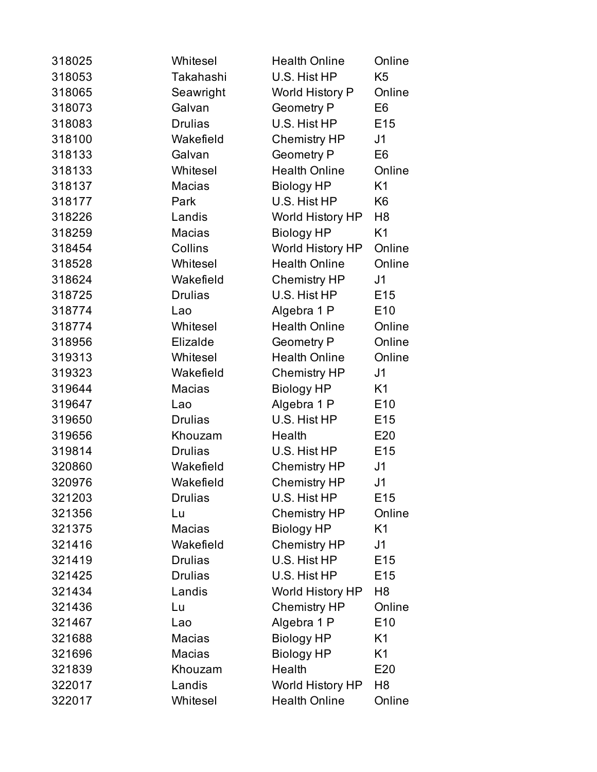| 318025 | Whitesel       | <b>Health Online</b>    | Online          |
|--------|----------------|-------------------------|-----------------|
| 318053 | Takahashi      | U.S. Hist HP            | K <sub>5</sub>  |
| 318065 | Seawright      | World History P         | Online          |
| 318073 | Galvan         | Geometry P              | E6              |
| 318083 | <b>Drulias</b> | U.S. Hist HP            | E <sub>15</sub> |
| 318100 | Wakefield      | <b>Chemistry HP</b>     | J <sub>1</sub>  |
| 318133 | Galvan         | <b>Geometry P</b>       | E6              |
| 318133 | Whitesel       | <b>Health Online</b>    | Online          |
| 318137 | Macias         | <b>Biology HP</b>       | K <sub>1</sub>  |
| 318177 | Park           | U.S. Hist HP            | K6              |
| 318226 | Landis         | World History HP        | H <sub>8</sub>  |
| 318259 | Macias         | <b>Biology HP</b>       | K <sub>1</sub>  |
| 318454 | Collins        | World History HP        | Online          |
| 318528 | Whitesel       | <b>Health Online</b>    | Online          |
| 318624 | Wakefield      | <b>Chemistry HP</b>     | J <sub>1</sub>  |
| 318725 | <b>Drulias</b> | U.S. Hist HP            | E <sub>15</sub> |
| 318774 | Lao            | Algebra 1 P             | E <sub>10</sub> |
| 318774 | Whitesel       | <b>Health Online</b>    | Online          |
| 318956 | Elizalde       | <b>Geometry P</b>       | Online          |
| 319313 | Whitesel       | <b>Health Online</b>    | Online          |
| 319323 | Wakefield      | <b>Chemistry HP</b>     | J <sub>1</sub>  |
| 319644 | <b>Macias</b>  | <b>Biology HP</b>       | K <sub>1</sub>  |
| 319647 | Lao            | Algebra 1 P             | E <sub>10</sub> |
| 319650 | <b>Drulias</b> | U.S. Hist HP            | E <sub>15</sub> |
| 319656 | Khouzam        | Health                  | E20             |
| 319814 | <b>Drulias</b> | U.S. Hist HP            | E15             |
| 320860 | Wakefield      | <b>Chemistry HP</b>     | J <sub>1</sub>  |
| 320976 | Wakefield      | <b>Chemistry HP</b>     | J <sub>1</sub>  |
| 321203 | <b>Drulias</b> | U.S. Hist HP            | E15             |
| 321356 | Lu             | <b>Chemistry HP</b>     | Online          |
| 321375 | <b>Macias</b>  | <b>Biology HP</b>       | K <sub>1</sub>  |
| 321416 | Wakefield      | <b>Chemistry HP</b>     | J <sub>1</sub>  |
| 321419 | <b>Drulias</b> | U.S. Hist HP            | E <sub>15</sub> |
| 321425 | <b>Drulias</b> | U.S. Hist HP            | E <sub>15</sub> |
| 321434 | Landis         | World History HP        | H <sub>8</sub>  |
| 321436 | Lu             | <b>Chemistry HP</b>     | Online          |
| 321467 | Lao            | Algebra 1 P             | E <sub>10</sub> |
| 321688 | <b>Macias</b>  | <b>Biology HP</b>       | K1              |
| 321696 | Macias         | <b>Biology HP</b>       | K1              |
| 321839 | Khouzam        | Health                  | E20             |
| 322017 | Landis         | <b>World History HP</b> | H <sub>8</sub>  |
| 322017 | Whitesel       | <b>Health Online</b>    | Online          |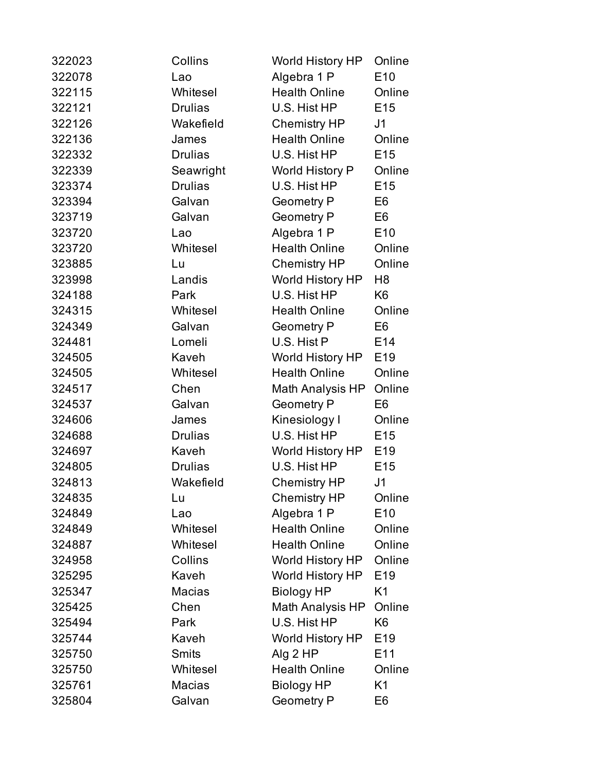| 322023 | Collins        | <b>World History HP</b> | Online          |
|--------|----------------|-------------------------|-----------------|
| 322078 | Lao            | Algebra 1 P             | E <sub>10</sub> |
| 322115 | Whitesel       | <b>Health Online</b>    | Online          |
| 322121 | <b>Drulias</b> | U.S. Hist HP            | E <sub>15</sub> |
| 322126 | Wakefield      | Chemistry HP            | J <sub>1</sub>  |
| 322136 | James          | <b>Health Online</b>    | Online          |
| 322332 | <b>Drulias</b> | U.S. Hist HP            | E <sub>15</sub> |
| 322339 | Seawright      | World History P         | Online          |
| 323374 | <b>Drulias</b> | U.S. Hist HP            | E <sub>15</sub> |
| 323394 | Galvan         | <b>Geometry P</b>       | E6              |
| 323719 | Galvan         | <b>Geometry P</b>       | E6              |
| 323720 | Lao            | Algebra 1 P             | E <sub>10</sub> |
| 323720 | Whitesel       | <b>Health Online</b>    | Online          |
| 323885 | Lu             | <b>Chemistry HP</b>     | Online          |
| 323998 | Landis         | World History HP        | H <sub>8</sub>  |
| 324188 | Park           | U.S. Hist HP            | K6              |
| 324315 | Whitesel       | <b>Health Online</b>    | Online          |
| 324349 | Galvan         | <b>Geometry P</b>       | E <sub>6</sub>  |
| 324481 | Lomeli         | U.S. Hist P             | E14             |
| 324505 | Kaveh          | World History HP        | E <sub>19</sub> |
| 324505 | Whitesel       | <b>Health Online</b>    | Online          |
| 324517 | Chen           | Math Analysis HP        | Online          |
| 324537 | Galvan         | <b>Geometry P</b>       | E <sub>6</sub>  |
| 324606 | James          | Kinesiology I           | Online          |
| 324688 | <b>Drulias</b> | U.S. Hist HP            | E <sub>15</sub> |
| 324697 | Kaveh          | World History HP        | E <sub>19</sub> |
| 324805 | <b>Drulias</b> | U.S. Hist HP            | E <sub>15</sub> |
| 324813 | Wakefield      | <b>Chemistry HP</b>     | J <sub>1</sub>  |
| 324835 | Lu             | <b>Chemistry HP</b>     | Online          |
| 324849 | Lao            | Algebra 1 P             | E10             |
| 324849 | Whitesel       | <b>Health Online</b>    | Online          |
| 324887 | Whitesel       | <b>Health Online</b>    | Online          |
| 324958 | Collins        | <b>World History HP</b> | Online          |
| 325295 | Kaveh          | World History HP        | E <sub>19</sub> |
| 325347 | Macias         | <b>Biology HP</b>       | K1              |
| 325425 | Chen           | Math Analysis HP        | Online          |
| 325494 | Park           | U.S. Hist HP            | K <sub>6</sub>  |
| 325744 | Kaveh          | <b>World History HP</b> | E <sub>19</sub> |
| 325750 | <b>Smits</b>   | Alg 2 HP                | E11             |
| 325750 | Whitesel       | <b>Health Online</b>    | Online          |
| 325761 | Macias         | <b>Biology HP</b>       | K1              |
| 325804 | Galvan         | <b>Geometry P</b>       | E <sub>6</sub>  |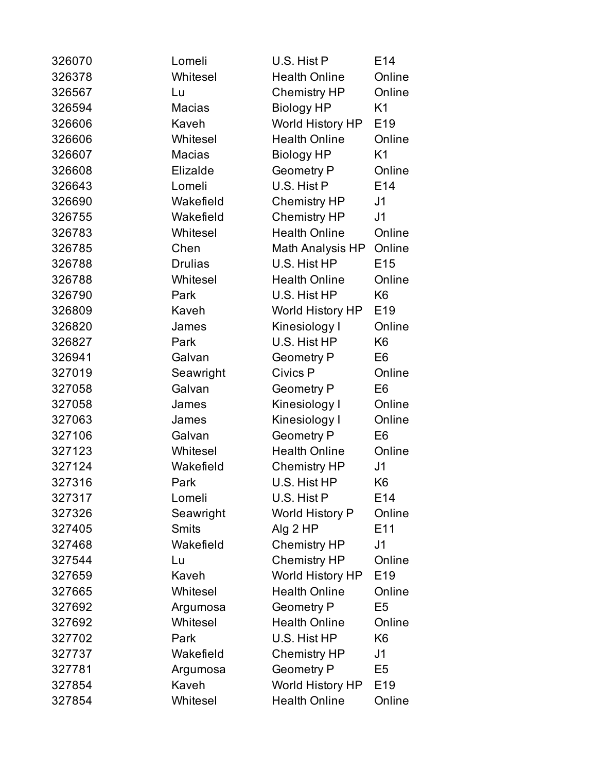| 326070 | Lomeli         | U.S. Hist P            | E14             |
|--------|----------------|------------------------|-----------------|
| 326378 | Whitesel       | <b>Health Online</b>   | Online          |
| 326567 | Lu             | <b>Chemistry HP</b>    | Online          |
| 326594 | Macias         | <b>Biology HP</b>      | K1              |
| 326606 | Kaveh          | World History HP       | E19             |
| 326606 | Whitesel       | <b>Health Online</b>   | Online          |
| 326607 | <b>Macias</b>  | <b>Biology HP</b>      | K1              |
| 326608 | Elizalde       | <b>Geometry P</b>      | Online          |
| 326643 | Lomeli         | U.S. Hist P            | E14             |
| 326690 | Wakefield      | <b>Chemistry HP</b>    | J1              |
| 326755 | Wakefield      | <b>Chemistry HP</b>    | J <sub>1</sub>  |
| 326783 | Whitesel       | <b>Health Online</b>   | Online          |
| 326785 | Chen           | Math Analysis HP       | Online          |
| 326788 | <b>Drulias</b> | U.S. Hist HP           | E <sub>15</sub> |
| 326788 | Whitesel       | <b>Health Online</b>   | Online          |
| 326790 | Park           | U.S. Hist HP           | K6              |
| 326809 | Kaveh          | World History HP       | E <sub>19</sub> |
| 326820 | James          | Kinesiology I          | Online          |
| 326827 | Park           | U.S. Hist HP           | K <sub>6</sub>  |
| 326941 | Galvan         | <b>Geometry P</b>      | E <sub>6</sub>  |
| 327019 | Seawright      | Civics P               | Online          |
| 327058 | Galvan         | <b>Geometry P</b>      | E <sub>6</sub>  |
| 327058 | James          | Kinesiology I          | Online          |
| 327063 | James          | Kinesiology I          | Online          |
| 327106 | Galvan         | <b>Geometry P</b>      | E <sub>6</sub>  |
| 327123 | Whitesel       | <b>Health Online</b>   | Online          |
| 327124 | Wakefield      | <b>Chemistry HP</b>    | J <sub>1</sub>  |
| 327316 | Park           | U.S. Hist HP           | K <sub>6</sub>  |
| 327317 | Lomeli         | U.S. Hist P            | E <sub>14</sub> |
| 327326 | Seawright      | <b>World History P</b> | Online          |
| 327405 | <b>Smits</b>   | Alg 2 HP               | E11             |
| 327468 | Wakefield      | <b>Chemistry HP</b>    | J1              |
| 327544 | Lu             | <b>Chemistry HP</b>    | Online          |
| 327659 | Kaveh          | World History HP       | E <sub>19</sub> |
| 327665 | Whitesel       | <b>Health Online</b>   | Online          |
| 327692 | Argumosa       | <b>Geometry P</b>      | E <sub>5</sub>  |
| 327692 | Whitesel       | <b>Health Online</b>   | Online          |
| 327702 | Park           | U.S. Hist HP           | K <sub>6</sub>  |
| 327737 | Wakefield      | <b>Chemistry HP</b>    | J1              |
| 327781 | Argumosa       | <b>Geometry P</b>      | E <sub>5</sub>  |
| 327854 | Kaveh          | World History HP       | E <sub>19</sub> |
| 327854 | Whitesel       | <b>Health Online</b>   | Online          |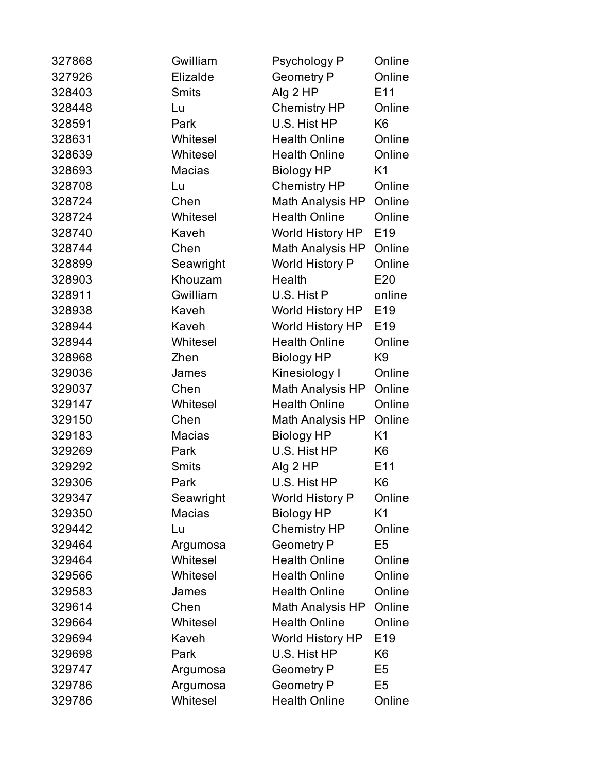| 327868 | Gwilliam      | Psychology P            | Online         |
|--------|---------------|-------------------------|----------------|
| 327926 | Elizalde      | <b>Geometry P</b>       | Online         |
| 328403 | <b>Smits</b>  | Alg 2 HP                | E11            |
| 328448 | Lu            | <b>Chemistry HP</b>     | Online         |
| 328591 | Park          | U.S. Hist HP            | K <sub>6</sub> |
| 328631 | Whitesel      | <b>Health Online</b>    | Online         |
| 328639 | Whitesel      | <b>Health Online</b>    | Online         |
| 328693 | Macias        | <b>Biology HP</b>       | K1             |
| 328708 | Lu            | <b>Chemistry HP</b>     | Online         |
| 328724 | Chen          | Math Analysis HP        | Online         |
| 328724 | Whitesel      | <b>Health Online</b>    | Online         |
| 328740 | Kaveh         | World History HP        | E19            |
| 328744 | Chen          | Math Analysis HP        | Online         |
| 328899 | Seawright     | World History P         | Online         |
| 328903 | Khouzam       | Health                  | E20            |
| 328911 | Gwilliam      | U.S. Hist P             | online         |
| 328938 | Kaveh         | World History HP        | E19            |
| 328944 | Kaveh         | World History HP        | E19            |
| 328944 | Whitesel      | <b>Health Online</b>    | Online         |
| 328968 | Zhen          | <b>Biology HP</b>       | K <sub>9</sub> |
| 329036 | James         | Kinesiology I           | Online         |
| 329037 | Chen          | Math Analysis HP        | Online         |
| 329147 | Whitesel      | <b>Health Online</b>    | Online         |
| 329150 | Chen          | Math Analysis HP        | Online         |
| 329183 | <b>Macias</b> | <b>Biology HP</b>       | K1             |
| 329269 | Park          | U.S. Hist HP            | K <sub>6</sub> |
| 329292 | <b>Smits</b>  | Alg 2 HP                | E11            |
| 329306 | Park          | U.S. Hist HP            | K <sub>6</sub> |
| 329347 | Seawright     | <b>World History P</b>  | Online         |
| 329350 | Macias        | <b>Biology HP</b>       | K1             |
| 329442 | Lu            | <b>Chemistry HP</b>     | Online         |
| 329464 | Argumosa      | <b>Geometry P</b>       | E <sub>5</sub> |
| 329464 | Whitesel      | <b>Health Online</b>    | Online         |
| 329566 | Whitesel      | <b>Health Online</b>    | Online         |
| 329583 | James         | <b>Health Online</b>    | Online         |
| 329614 | Chen          | Math Analysis HP        | Online         |
| 329664 | Whitesel      | <b>Health Online</b>    | Online         |
| 329694 | Kaveh         | <b>World History HP</b> | E19            |
| 329698 | Park          | U.S. Hist HP            | K6             |
| 329747 | Argumosa      | <b>Geometry P</b>       | E <sub>5</sub> |
| 329786 | Argumosa      | <b>Geometry P</b>       | E <sub>5</sub> |
| 329786 | Whitesel      | <b>Health Online</b>    | Online         |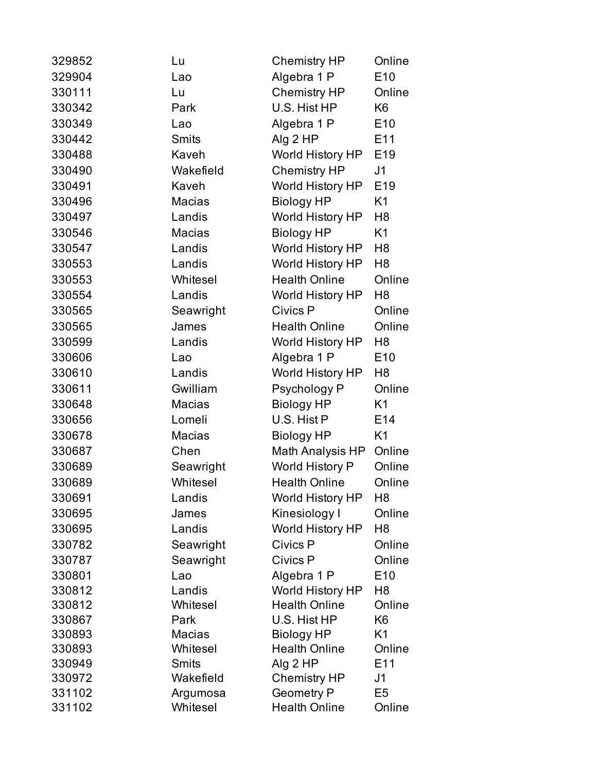| 329852 | Lu            | <b>Chemistry HP</b>     | Online          |
|--------|---------------|-------------------------|-----------------|
| 329904 | Lao           | Algebra 1 P             | E10             |
| 330111 | Lu            | <b>Chemistry HP</b>     | Online          |
| 330342 | Park          | U.S. Hist HP            | K <sub>6</sub>  |
| 330349 | Lao           | Algebra 1 P             | E <sub>10</sub> |
| 330442 | <b>Smits</b>  | Alg 2 HP                | E11             |
| 330488 | Kaveh         | World History HP        | E <sub>19</sub> |
| 330490 | Wakefield     | <b>Chemistry HP</b>     | J <sub>1</sub>  |
| 330491 | Kaveh         | <b>World History HP</b> | E <sub>19</sub> |
| 330496 | <b>Macias</b> | <b>Biology HP</b>       | K1              |
| 330497 | Landis        | <b>World History HP</b> | H <sub>8</sub>  |
| 330546 | <b>Macias</b> | <b>Biology HP</b>       | K <sub>1</sub>  |
| 330547 | Landis        | World History HP        | H <sub>8</sub>  |
| 330553 | Landis        | World History HP        | H <sub>8</sub>  |
| 330553 | Whitesel      | <b>Health Online</b>    | Online          |
| 330554 | Landis        | World History HP        | H <sub>8</sub>  |
| 330565 | Seawright     | Civics P                | Online          |
| 330565 | James         | <b>Health Online</b>    | Online          |
| 330599 | Landis        | World History HP        | H8              |
| 330606 | Lao           | Algebra 1 P             | E <sub>10</sub> |
| 330610 | Landis        | <b>World History HP</b> | H8              |
| 330611 | Gwilliam      | Psychology P            | Online          |
| 330648 | Macias        | <b>Biology HP</b>       | K1              |
| 330656 | Lomeli        | U.S. Hist P             | E14             |
| 330678 | Macias        | <b>Biology HP</b>       | K1              |
| 330687 | Chen          | Math Analysis HP        | Online          |
| 330689 | Seawright     | World History P         | Online          |
| 330689 | Whitesel      | <b>Health Online</b>    | Online          |
| 330691 | Landis        | World History HP        | H <sub>8</sub>  |
| 330695 | James         | Kinesiology I           | Online          |
| 330695 | Landis        | <b>World History HP</b> | H8              |
| 330782 | Seawright     | Civics P                | Online          |
| 330787 | Seawright     | Civics P                | Online          |
| 330801 | Lao           | Algebra 1 P             | E10             |
| 330812 | Landis        | <b>World History HP</b> | H8              |
| 330812 | Whitesel      | <b>Health Online</b>    | Online          |
| 330867 | Park          | U.S. Hist HP            | K <sub>6</sub>  |
| 330893 | Macias        | <b>Biology HP</b>       | K1              |
| 330893 | Whitesel      | <b>Health Online</b>    | Online          |
| 330949 | <b>Smits</b>  | Alg $2$ HP              | E11             |
| 330972 | Wakefield     | <b>Chemistry HP</b>     | J1              |
| 331102 | Argumosa      | <b>Geometry P</b>       | E <sub>5</sub>  |
| 331102 | Whitesel      | <b>Health Online</b>    | Online          |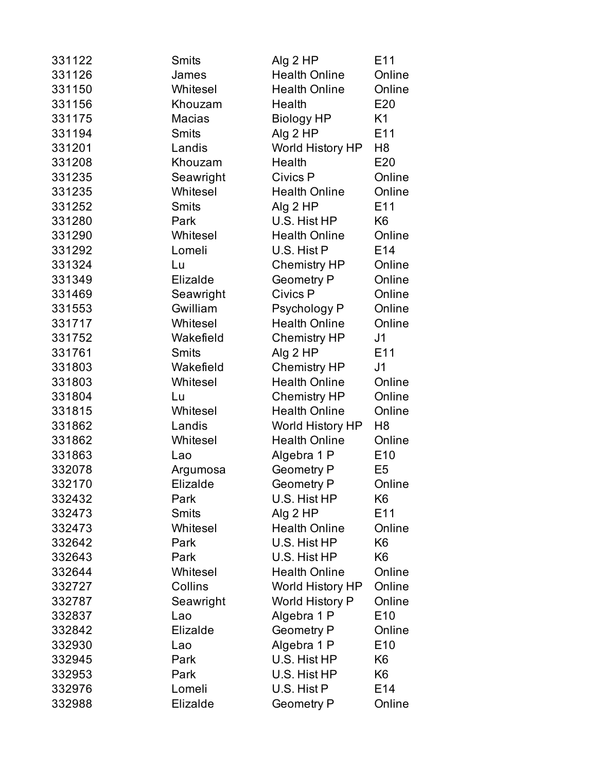| 331122 | Smits         | Alg 2 HP                | E11             |
|--------|---------------|-------------------------|-----------------|
| 331126 | James         | <b>Health Online</b>    | Online          |
| 331150 | Whitesel      | <b>Health Online</b>    | Online          |
| 331156 | Khouzam       | Health                  | E20             |
| 331175 | <b>Macias</b> | <b>Biology HP</b>       | K1              |
| 331194 | <b>Smits</b>  | Alg 2 HP                | E11             |
| 331201 | Landis        | <b>World History HP</b> | H8              |
| 331208 | Khouzam       | Health                  | E20             |
| 331235 | Seawright     | Civics P                | Online          |
| 331235 | Whitesel      | <b>Health Online</b>    | Online          |
| 331252 | Smits         | Alg 2 HP                | E11             |
| 331280 | Park          | U.S. Hist HP            | K <sub>6</sub>  |
| 331290 | Whitesel      | <b>Health Online</b>    | Online          |
| 331292 | Lomeli        | U.S. Hist P             | E14             |
| 331324 | Lu            | <b>Chemistry HP</b>     | Online          |
| 331349 | Elizalde      | <b>Geometry P</b>       | Online          |
| 331469 | Seawright     | Civics P                | Online          |
| 331553 | Gwilliam      | Psychology P            | Online          |
| 331717 | Whitesel      | <b>Health Online</b>    | Online          |
| 331752 | Wakefield     | Chemistry HP            | J1              |
| 331761 | <b>Smits</b>  | Alg 2 HP                | E <sub>11</sub> |
| 331803 | Wakefield     | <b>Chemistry HP</b>     | J1              |
| 331803 | Whitesel      | <b>Health Online</b>    | Online          |
| 331804 | Lu            | <b>Chemistry HP</b>     | Online          |
| 331815 | Whitesel      | <b>Health Online</b>    | Online          |
| 331862 | Landis        | <b>World History HP</b> | H <sub>8</sub>  |
| 331862 | Whitesel      | <b>Health Online</b>    | Online          |
| 331863 | Lao           | Algebra 1 P             | E <sub>10</sub> |
| 332078 | Argumosa      | <b>Geometry P</b>       | E <sub>5</sub>  |
| 332170 | Elizalde      | <b>Geometry P</b>       | Online          |
| 332432 | Park          | U.S. Hist HP            | K6              |
| 332473 | <b>Smits</b>  | Alg 2 HP                | E11             |
| 332473 | Whitesel      | <b>Health Online</b>    | Online          |
| 332642 | Park          | U.S. Hist HP            | K <sub>6</sub>  |
| 332643 | Park          | U.S. Hist HP            | K6              |
| 332644 | Whitesel      | <b>Health Online</b>    | Online          |
| 332727 | Collins       | World History HP        | Online          |
| 332787 | Seawright     | <b>World History P</b>  | Online          |
| 332837 | Lao           | Algebra 1 P             | E <sub>10</sub> |
| 332842 | Elizalde      | <b>Geometry P</b>       | Online          |
| 332930 | Lao           | Algebra 1 P             | E <sub>10</sub> |
| 332945 | Park          | U.S. Hist HP            | K6              |
| 332953 | Park          | U.S. Hist HP            | K6              |
| 332976 | Lomeli        | U.S. Hist P             | E14             |
| 332988 | Elizalde      | <b>Geometry P</b>       | Online          |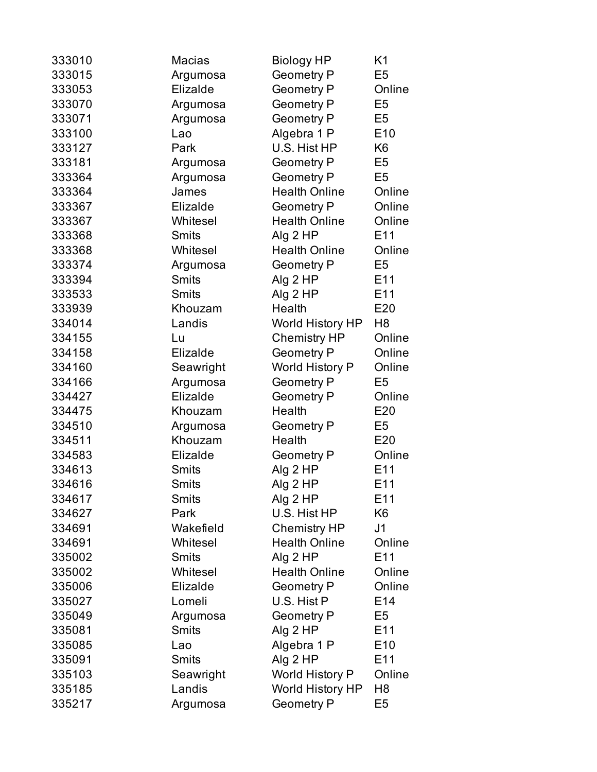| 333010 | <b>Macias</b> | <b>Biology HP</b>       | K1              |
|--------|---------------|-------------------------|-----------------|
| 333015 | Argumosa      | <b>Geometry P</b>       | E <sub>5</sub>  |
| 333053 | Elizalde      | <b>Geometry P</b>       | Online          |
| 333070 | Argumosa      | <b>Geometry P</b>       | E <sub>5</sub>  |
| 333071 | Argumosa      | <b>Geometry P</b>       | E <sub>5</sub>  |
| 333100 | Lao           | Algebra 1 P             | E <sub>10</sub> |
| 333127 | Park          | U.S. Hist HP            | K <sub>6</sub>  |
| 333181 | Argumosa      | <b>Geometry P</b>       | E <sub>5</sub>  |
| 333364 | Argumosa      | <b>Geometry P</b>       | E <sub>5</sub>  |
| 333364 | James         | <b>Health Online</b>    | Online          |
| 333367 | Elizalde      | <b>Geometry P</b>       | Online          |
| 333367 | Whitesel      | <b>Health Online</b>    | Online          |
| 333368 | <b>Smits</b>  | Alg 2 HP                | E11             |
| 333368 | Whitesel      | <b>Health Online</b>    | Online          |
| 333374 | Argumosa      | <b>Geometry P</b>       | E <sub>5</sub>  |
| 333394 | <b>Smits</b>  | Alg 2 HP                | E11             |
| 333533 | <b>Smits</b>  | Alg 2 HP                | E11             |
| 333939 | Khouzam       | Health                  | E20             |
| 334014 | Landis        | World History HP        | H8              |
| 334155 | Lu            | <b>Chemistry HP</b>     | Online          |
| 334158 | Elizalde      | <b>Geometry P</b>       | Online          |
| 334160 | Seawright     | <b>World History P</b>  | Online          |
| 334166 | Argumosa      | <b>Geometry P</b>       | E <sub>5</sub>  |
| 334427 | Elizalde      | <b>Geometry P</b>       | Online          |
| 334475 | Khouzam       | Health                  | E20             |
| 334510 | Argumosa      | <b>Geometry P</b>       | E <sub>5</sub>  |
| 334511 | Khouzam       | Health                  | E20             |
| 334583 | Elizalde      | <b>Geometry P</b>       | Online          |
| 334613 | <b>Smits</b>  | Alg 2 HP                | E11             |
| 334616 | Smits         | Alg 2 HP                | E11             |
| 334617 | Smits         | Alg 2 HP                | E <sub>11</sub> |
| 334627 | Park          | U.S. Hist HP            | K <sub>6</sub>  |
| 334691 | Wakefield     | <b>Chemistry HP</b>     | J <sub>1</sub>  |
| 334691 | Whitesel      | <b>Health Online</b>    | Online          |
| 335002 | <b>Smits</b>  | Alg 2 HP                | E11             |
| 335002 | Whitesel      | <b>Health Online</b>    | Online          |
| 335006 | Elizalde      | <b>Geometry P</b>       | Online          |
| 335027 | Lomeli        | U.S. Hist P             | E14             |
| 335049 | Argumosa      | <b>Geometry P</b>       | E5              |
| 335081 | <b>Smits</b>  | Alg 2 HP                | E11             |
| 335085 | Lao           | Algebra 1 P             | E <sub>10</sub> |
| 335091 | <b>Smits</b>  | Alg $2$ HP              | E11             |
| 335103 | Seawright     | <b>World History P</b>  | Online          |
| 335185 | Landis        | <b>World History HP</b> | H <sub>8</sub>  |
| 335217 | Argumosa      | <b>Geometry P</b>       | E <sub>5</sub>  |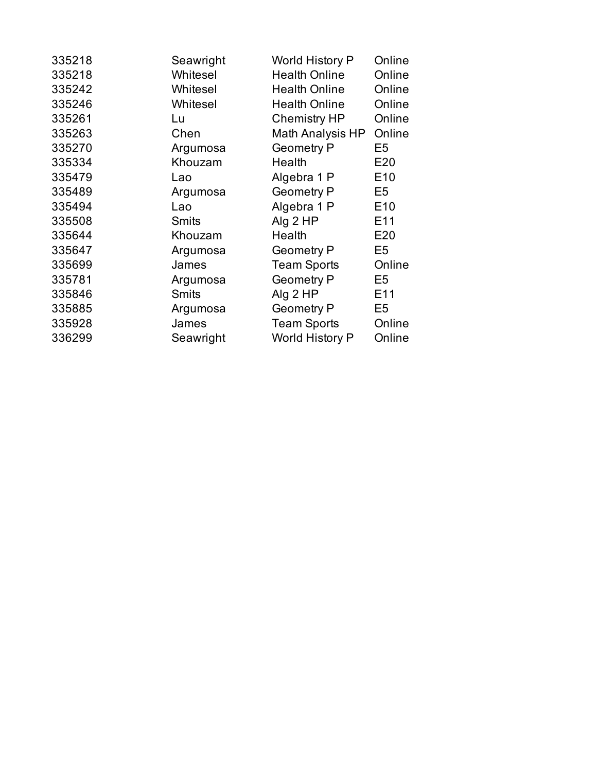| 335218 | Seawright    | <b>World History P</b> | Online          |
|--------|--------------|------------------------|-----------------|
| 335218 | Whitesel     | <b>Health Online</b>   | Online          |
| 335242 | Whitesel     | <b>Health Online</b>   | Online          |
| 335246 | Whitesel     | <b>Health Online</b>   | Online          |
| 335261 | Lu           | <b>Chemistry HP</b>    | Online          |
| 335263 | Chen         | Math Analysis HP       | Online          |
| 335270 | Argumosa     | <b>Geometry P</b>      | E5              |
| 335334 | Khouzam      | Health                 | E20             |
| 335479 | Lao          | Algebra 1 P            | E <sub>10</sub> |
| 335489 | Argumosa     | <b>Geometry P</b>      | E5              |
| 335494 | Lao          | Algebra 1 P            | E <sub>10</sub> |
| 335508 | <b>Smits</b> | Alg $2$ HP             | E <sub>11</sub> |
| 335644 | Khouzam      | Health                 | E20             |
| 335647 | Argumosa     | <b>Geometry P</b>      | E <sub>5</sub>  |
| 335699 | James        | <b>Team Sports</b>     | Online          |
| 335781 | Argumosa     | <b>Geometry P</b>      | E5              |
| 335846 | <b>Smits</b> | Alg 2 HP               | E <sub>11</sub> |
| 335885 | Argumosa     | <b>Geometry P</b>      | E <sub>5</sub>  |
| 335928 | James        | <b>Team Sports</b>     | Online          |
| 336299 | Seawright    | World History P        | Online          |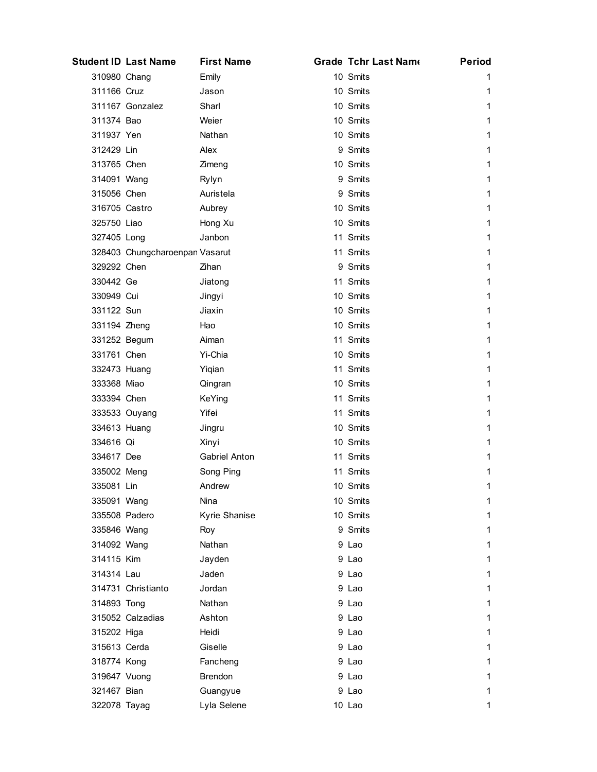|               | <b>Student ID Last Name</b>    | <b>First Name</b>    | <b>Grade Tchr Last Name</b> | <b>Period</b> |
|---------------|--------------------------------|----------------------|-----------------------------|---------------|
| 310980 Chang  |                                | Emily                | 10 Smits                    | 1.            |
| 311166 Cruz   |                                | Jason                | 10 Smits                    | 1             |
|               | 311167 Gonzalez                | Sharl                | 10 Smits                    | 1             |
| 311374 Bao    |                                | Weier                | 10 Smits                    | 1.            |
| 311937 Yen    |                                | Nathan               | 10 Smits                    | 1             |
| 312429 Lin    |                                | Alex                 | 9 Smits                     | 1             |
| 313765 Chen   |                                | Zimeng               | 10 Smits                    | 1             |
| 314091 Wang   |                                | Rylyn                | 9 Smits                     | 1             |
| 315056 Chen   |                                | Auristela            | 9 Smits                     | 1             |
| 316705 Castro |                                | Aubrey               | 10 Smits                    | 1             |
| 325750 Liao   |                                | Hong Xu              | 10 Smits                    | 1             |
| 327405 Long   |                                | Janbon               | 11 Smits                    | 1             |
|               | 328403 Chungcharoenpan Vasarut |                      | 11 Smits                    | 1             |
| 329292 Chen   |                                | Zihan                | 9 Smits                     | 1             |
| 330442 Ge     |                                | Jiatong              | 11 Smits                    | 1             |
| 330949 Cui    |                                | Jingyi               | 10 Smits                    | 1             |
| 331122 Sun    |                                | Jiaxin               | 10 Smits                    | 1             |
| 331194 Zheng  |                                | Hao                  | 10 Smits                    | 1             |
| 331252 Begum  |                                | Aiman                | 11 Smits                    | 1             |
| 331761 Chen   |                                | Yi-Chia              | 10 Smits                    | 1             |
| 332473 Huang  |                                | Yiqian               | 11 Smits                    | 1             |
| 333368 Miao   |                                | Qingran              | 10 Smits                    | 1             |
| 333394 Chen   |                                | KeYing               | 11 Smits                    | 1             |
|               | 333533 Ouyang                  | Yifei                | 11 Smits                    | 1             |
| 334613 Huang  |                                | Jingru               | 10 Smits                    | 1             |
| 334616 Qi     |                                | Xinyi                | 10 Smits                    | 1             |
| 334617 Dee    |                                | <b>Gabriel Anton</b> | 11 Smits                    | 1             |
| 335002 Meng   |                                | Song Ping            | 11 Smits                    | 1             |
| 335081 Lin    |                                | Andrew               | 10 Smits                    | 1             |
| 335091 Wang   |                                | Nina                 | 10 Smits                    | 1             |
| 335508 Padero |                                | Kyrie Shanise        | 10 Smits                    | 1             |
| 335846 Wang   |                                | Roy                  | 9 Smits                     | 1             |
| 314092 Wang   |                                | Nathan               | 9 Lao                       | 1             |
| 314115 Kim    |                                | Jayden               | 9 Lao                       | 1.            |
| 314314 Lau    |                                | Jaden                | 9 Lao                       | 1             |
|               | 314731 Christianto             | Jordan               | 9 Lao                       | 1             |
| 314893 Tong   |                                | Nathan               | 9 Lao                       | 1             |
|               | 315052 Calzadias               | Ashton               | 9 Lao                       | 1.            |
| 315202 Higa   |                                | Heidi                | 9 Lao                       | 1             |
| 315613 Cerda  |                                | Giselle              | 9 Lao                       | 1             |
| 318774 Kong   |                                | Fancheng             | 9 Lao                       | 1             |
| 319647 Vuong  |                                | <b>Brendon</b>       | 9 Lao                       | 1.            |
| 321467 Bian   |                                | Guangyue             | 9 Lao                       | 1             |
| 322078 Tayag  |                                | Lyla Selene          | 10 Lao                      | 1             |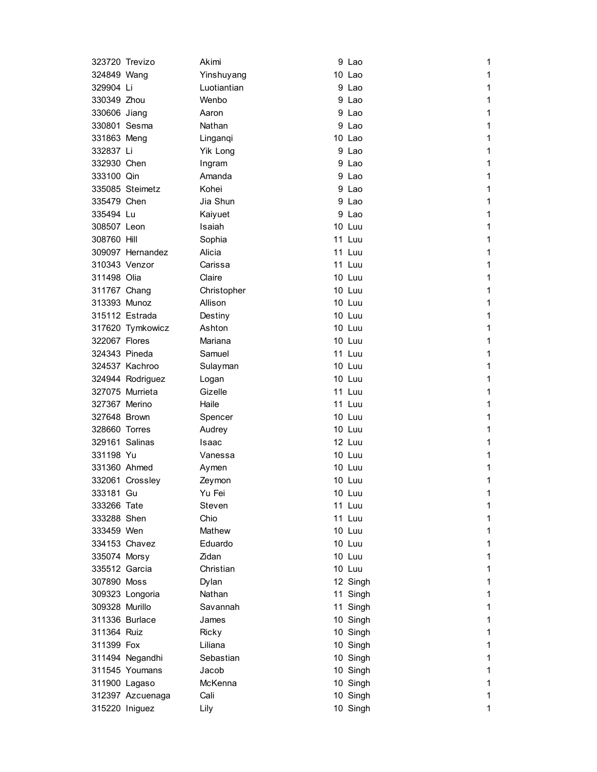| 323720 Trevizo |                  | Akimi       | 9 Lao  |          | 1 |
|----------------|------------------|-------------|--------|----------|---|
| 324849 Wang    |                  | Yinshuyang  | 10 Lao |          | 1 |
| 329904 Li      |                  | Luotiantian | 9 Lao  |          | 1 |
| 330349 Zhou    |                  | Wenbo       | 9 Lao  |          | 1 |
| 330606 Jiang   |                  | Aaron       | 9 Lao  |          | 1 |
| 330801 Sesma   |                  | Nathan      | 9 Lao  |          | 1 |
| 331863 Meng    |                  | Linganqi    | 10 Lao |          | 1 |
| 332837 Li      |                  | Yik Long    | 9 Lao  |          | 1 |
| 332930 Chen    |                  | Ingram      | 9 Lao  |          | 1 |
| 333100 Qin     |                  | Amanda      | 9 Lao  |          | 1 |
|                | 335085 Steimetz  | Kohei       | 9 Lao  |          | 1 |
| 335479 Chen    |                  | Jia Shun    | 9 Lao  |          | 1 |
| 335494 Lu      |                  | Kaiyuet     | 9 Lao  |          | 1 |
| 308507 Leon    |                  | Isaiah      | 10 Luu |          | 1 |
| 308760 Hill    |                  | Sophia      | 11 Luu |          | 1 |
|                | 309097 Hernandez | Alicia      | 11 Luu |          | 1 |
| 310343 Venzor  |                  | Carissa     | 11 Luu |          | 1 |
| 311498 Olia    |                  | Claire      | 10 Luu |          | 1 |
| 311767 Chang   |                  | Christopher | 10 Luu |          | 1 |
| 313393 Munoz   |                  | Allison     | 10 Luu |          | 1 |
|                | 315112 Estrada   | Destiny     | 10 Luu |          | 1 |
|                | 317620 Tymkowicz | Ashton      | 10 Luu |          | 1 |
| 322067 Flores  |                  | Mariana     | 10 Luu |          | 1 |
| 324343 Pineda  |                  | Samuel      | 11 Luu |          | 1 |
|                | 324537 Kachroo   | Sulayman    | 10 Luu |          | 1 |
|                | 324944 Rodriguez | Logan       | 10 Luu |          | 1 |
|                | 327075 Murrieta  | Gizelle     | 11 Luu |          | 1 |
| 327367 Merino  |                  | Haile       | 11 Luu |          | 1 |
| 327648 Brown   |                  | Spencer     | 10 Luu |          | 1 |
| 328660 Torres  |                  | Audrey      | 10 Luu |          | 1 |
| 329161 Salinas |                  | Isaac       | 12 Luu |          | 1 |
| 331198 Yu      |                  | Vanessa     | 10 Luu |          | 1 |
| 331360 Ahmed   |                  | Aymen       | 10 Luu |          | 1 |
|                | 332061 Crossley  | Zeymon      | 10 Luu |          | 1 |
| 333181 Gu      |                  | Yu Fei      | 10 Luu |          | 1 |
| 333266 Tate    |                  | Steven      | 11 Luu |          | 1 |
| 333288 Shen    |                  | Chio        | 11 Luu |          | 1 |
| 333459 Wen     |                  | Mathew      | 10 Luu |          | 1 |
|                | 334153 Chavez    | Eduardo     | 10 Luu |          | 1 |
| 335074 Morsy   |                  | Zidan       | 10 Luu |          | 1 |
| 335512 Garcia  |                  | Christian   | 10 Luu |          | 1 |
| 307890 Moss    |                  | Dylan       |        | 12 Singh | 1 |
|                | 309323 Longoria  | Nathan      |        | 11 Singh | 1 |
| 309328 Murillo |                  | Savannah    |        | 11 Singh | 1 |
|                | 311336 Burlace   | James       |        | 10 Singh | 1 |
| 311364 Ruiz    |                  | Ricky       |        | 10 Singh | 1 |
| 311399 Fox     |                  | Liliana     |        | 10 Singh | 1 |
|                | 311494 Negandhi  | Sebastian   |        | 10 Singh | 1 |
|                | 311545 Youmans   | Jacob       |        | 10 Singh | 1 |
| 311900 Lagaso  |                  | McKenna     |        | 10 Singh | 1 |
|                | 312397 Azcuenaga | Cali        |        | 10 Singh | 1 |
| 315220 Iniguez |                  | Lily        |        | 10 Singh | 1 |
|                |                  |             |        |          |   |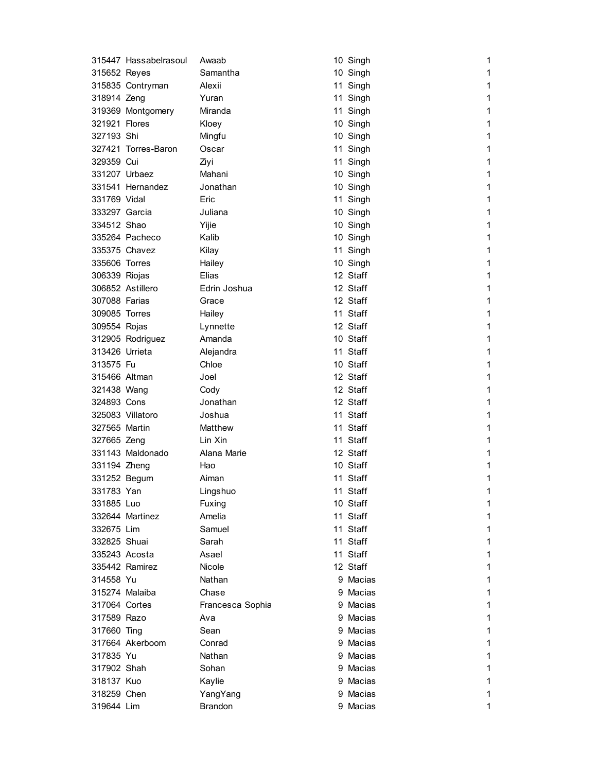|                | 315447 Hassabelrasoul | Awaab            | 10 Singh | 1            |
|----------------|-----------------------|------------------|----------|--------------|
| 315652 Reyes   |                       | Samantha         | 10 Singh | 1            |
|                | 315835 Contryman      | Alexii           | 11 Singh | 1            |
| 318914 Zeng    |                       | Yuran            | 11 Singh | 1            |
|                | 319369 Montgomery     | Miranda          | 11 Singh | 1            |
| 321921 Flores  |                       | Kloey            | 10 Singh | 1            |
| 327193 Shi     |                       | Mingfu           | 10 Singh | 1            |
|                | 327421 Torres-Baron   | Oscar            | 11 Singh | 1            |
| 329359 Cui     |                       | Ziyi             | 11 Singh | 1            |
| 331207 Urbaez  |                       | Mahani           | 10 Singh | 1            |
|                | 331541 Hernandez      | Jonathan         | 10 Singh | 1            |
| 331769 Vidal   |                       | Eric             | 11 Singh | 1            |
| 333297 Garcia  |                       | Juliana          | 10 Singh | 1            |
| 334512 Shao    |                       | Yijie            | 10 Singh | 1            |
|                | 335264 Pacheco        | Kalib            | 10 Singh | 1            |
|                | 335375 Chavez         | Kilay            | 11 Singh | 1            |
| 335606 Torres  |                       | Hailey           | 10 Singh | 1            |
| 306339 Riojas  |                       | Elias            | 12 Staff | 1            |
|                | 306852 Astillero      | Edrin Joshua     | 12 Staff | 1            |
| 307088 Farias  |                       | Grace            | 12 Staff | 1            |
| 309085 Torres  |                       | Hailey           | 11 Staff | 1            |
| 309554 Rojas   |                       | Lynnette         | 12 Staff | 1            |
|                | 312905 Rodriguez      | Amanda           | 10 Staff | 1            |
| 313426 Urrieta |                       | Alejandra        | 11 Staff | 1            |
| 313575 Fu      |                       | Chloe            | 10 Staff | 1            |
| 315466 Altman  |                       | Joel             | 12 Staff | 1            |
| 321438 Wang    |                       | Cody             | 12 Staff | 1            |
| 324893 Cons    |                       | Jonathan         | 12 Staff | 1            |
|                | 325083 Villatoro      | Joshua           | 11 Staff | 1            |
| 327565 Martin  |                       | Matthew          | 11 Staff | 1            |
| 327665 Zeng    |                       | Lin Xin          | 11 Staff | 1            |
|                | 331143 Maldonado      | Alana Marie      | 12 Staff | 1            |
| 331194 Zheng   |                       | Hao              | 10 Staff | 1            |
| 331252 Begum   |                       | Aiman            | 11 Staff | 1            |
| 331783 Yan     |                       | Lingshuo         | 11 Staff | 1            |
| 331885 Luo     |                       | Fuxing           | 10 Staff | 1            |
|                | 332644 Martinez       | Amelia           | 11 Staff | 1            |
| 332675 Lim     |                       | Samuel           | 11 Staff | 1            |
| 332825 Shuai   |                       | Sarah            | 11 Staff | $\mathbf{1}$ |
| 335243 Acosta  |                       | Asael            | 11 Staff | 1            |
|                | 335442 Ramirez        | Nicole           | 12 Staff | 1            |
| 314558 Yu      |                       | Nathan           | 9 Macias | 1            |
|                | 315274 Malaiba        | Chase            | 9 Macias | 1            |
| 317064 Cortes  |                       | Francesca Sophia | 9 Macias | 1            |
| 317589 Razo    |                       | Ava              | 9 Macias | 1            |
| 317660 Ting    |                       | Sean             | 9 Macias | 1            |
|                | 317664 Akerboom       | Conrad           | 9 Macias | 1            |
| 317835 Yu      |                       | Nathan           | 9 Macias | 1            |
| 317902 Shah    |                       | Sohan            | 9 Macias | 1            |
| 318137 Kuo     |                       | Kaylie           | 9 Macias | 1            |
| 318259 Chen    |                       | YangYang         | 9 Macias | 1            |
| 319644 Lim     |                       | <b>Brandon</b>   | 9 Macias | 1            |
|                |                       |                  |          |              |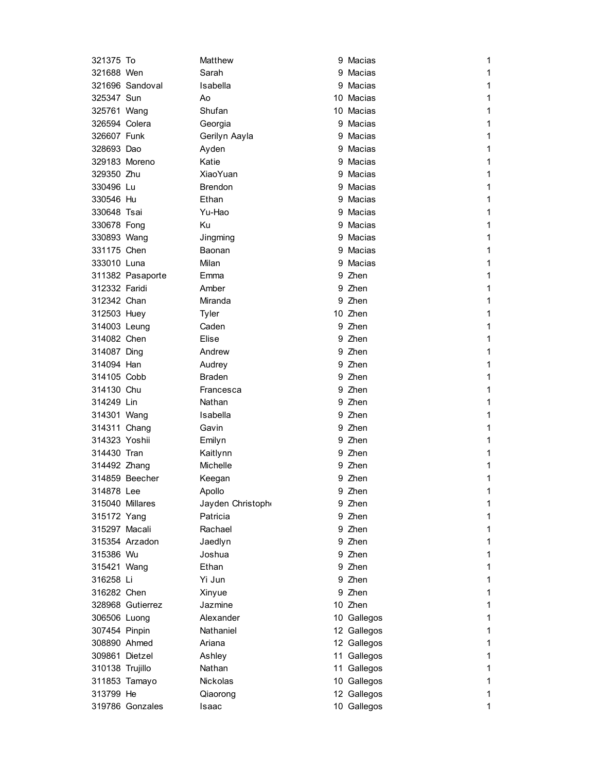| 321375 To     | Matthew                                                                                                                                                                                                                                                                                                                                                                                                                                                                                                                                                                                                                                                                                                                                                                      | 9 Macias    | 1                                                                                                                                                                                                                                                                                                                                                                                                                                                                                                                                                         |
|---------------|------------------------------------------------------------------------------------------------------------------------------------------------------------------------------------------------------------------------------------------------------------------------------------------------------------------------------------------------------------------------------------------------------------------------------------------------------------------------------------------------------------------------------------------------------------------------------------------------------------------------------------------------------------------------------------------------------------------------------------------------------------------------------|-------------|-----------------------------------------------------------------------------------------------------------------------------------------------------------------------------------------------------------------------------------------------------------------------------------------------------------------------------------------------------------------------------------------------------------------------------------------------------------------------------------------------------------------------------------------------------------|
|               | Sarah                                                                                                                                                                                                                                                                                                                                                                                                                                                                                                                                                                                                                                                                                                                                                                        |             | 1                                                                                                                                                                                                                                                                                                                                                                                                                                                                                                                                                         |
|               | Isabella                                                                                                                                                                                                                                                                                                                                                                                                                                                                                                                                                                                                                                                                                                                                                                     |             | 1                                                                                                                                                                                                                                                                                                                                                                                                                                                                                                                                                         |
|               | Ao                                                                                                                                                                                                                                                                                                                                                                                                                                                                                                                                                                                                                                                                                                                                                                           |             | 1                                                                                                                                                                                                                                                                                                                                                                                                                                                                                                                                                         |
|               | Shufan                                                                                                                                                                                                                                                                                                                                                                                                                                                                                                                                                                                                                                                                                                                                                                       |             | 1                                                                                                                                                                                                                                                                                                                                                                                                                                                                                                                                                         |
|               | Georgia                                                                                                                                                                                                                                                                                                                                                                                                                                                                                                                                                                                                                                                                                                                                                                      |             | 1                                                                                                                                                                                                                                                                                                                                                                                                                                                                                                                                                         |
|               | Gerilyn Aayla                                                                                                                                                                                                                                                                                                                                                                                                                                                                                                                                                                                                                                                                                                                                                                |             | 1                                                                                                                                                                                                                                                                                                                                                                                                                                                                                                                                                         |
|               | Ayden                                                                                                                                                                                                                                                                                                                                                                                                                                                                                                                                                                                                                                                                                                                                                                        |             | 1                                                                                                                                                                                                                                                                                                                                                                                                                                                                                                                                                         |
|               | Katie                                                                                                                                                                                                                                                                                                                                                                                                                                                                                                                                                                                                                                                                                                                                                                        |             | 1                                                                                                                                                                                                                                                                                                                                                                                                                                                                                                                                                         |
|               | <b>XiaoYuan</b>                                                                                                                                                                                                                                                                                                                                                                                                                                                                                                                                                                                                                                                                                                                                                              |             | 1                                                                                                                                                                                                                                                                                                                                                                                                                                                                                                                                                         |
|               | <b>Brendon</b>                                                                                                                                                                                                                                                                                                                                                                                                                                                                                                                                                                                                                                                                                                                                                               |             | 1                                                                                                                                                                                                                                                                                                                                                                                                                                                                                                                                                         |
|               | Ethan                                                                                                                                                                                                                                                                                                                                                                                                                                                                                                                                                                                                                                                                                                                                                                        |             | 1                                                                                                                                                                                                                                                                                                                                                                                                                                                                                                                                                         |
|               | Yu-Hao                                                                                                                                                                                                                                                                                                                                                                                                                                                                                                                                                                                                                                                                                                                                                                       |             | 1                                                                                                                                                                                                                                                                                                                                                                                                                                                                                                                                                         |
|               | Ku                                                                                                                                                                                                                                                                                                                                                                                                                                                                                                                                                                                                                                                                                                                                                                           |             | 1                                                                                                                                                                                                                                                                                                                                                                                                                                                                                                                                                         |
|               | Jingming                                                                                                                                                                                                                                                                                                                                                                                                                                                                                                                                                                                                                                                                                                                                                                     |             | 1                                                                                                                                                                                                                                                                                                                                                                                                                                                                                                                                                         |
|               | Baonan                                                                                                                                                                                                                                                                                                                                                                                                                                                                                                                                                                                                                                                                                                                                                                       |             | 1                                                                                                                                                                                                                                                                                                                                                                                                                                                                                                                                                         |
|               | Milan                                                                                                                                                                                                                                                                                                                                                                                                                                                                                                                                                                                                                                                                                                                                                                        |             | 1                                                                                                                                                                                                                                                                                                                                                                                                                                                                                                                                                         |
|               | Emma                                                                                                                                                                                                                                                                                                                                                                                                                                                                                                                                                                                                                                                                                                                                                                         |             | 1                                                                                                                                                                                                                                                                                                                                                                                                                                                                                                                                                         |
|               | Amber                                                                                                                                                                                                                                                                                                                                                                                                                                                                                                                                                                                                                                                                                                                                                                        |             | 1                                                                                                                                                                                                                                                                                                                                                                                                                                                                                                                                                         |
|               | Miranda                                                                                                                                                                                                                                                                                                                                                                                                                                                                                                                                                                                                                                                                                                                                                                      |             | 1                                                                                                                                                                                                                                                                                                                                                                                                                                                                                                                                                         |
|               | Tyler                                                                                                                                                                                                                                                                                                                                                                                                                                                                                                                                                                                                                                                                                                                                                                        |             | 1                                                                                                                                                                                                                                                                                                                                                                                                                                                                                                                                                         |
|               | Caden                                                                                                                                                                                                                                                                                                                                                                                                                                                                                                                                                                                                                                                                                                                                                                        |             | 1                                                                                                                                                                                                                                                                                                                                                                                                                                                                                                                                                         |
|               | Elise                                                                                                                                                                                                                                                                                                                                                                                                                                                                                                                                                                                                                                                                                                                                                                        |             | 1                                                                                                                                                                                                                                                                                                                                                                                                                                                                                                                                                         |
|               | Andrew                                                                                                                                                                                                                                                                                                                                                                                                                                                                                                                                                                                                                                                                                                                                                                       |             | 1                                                                                                                                                                                                                                                                                                                                                                                                                                                                                                                                                         |
|               | Audrey                                                                                                                                                                                                                                                                                                                                                                                                                                                                                                                                                                                                                                                                                                                                                                       |             | 1                                                                                                                                                                                                                                                                                                                                                                                                                                                                                                                                                         |
|               | <b>Braden</b>                                                                                                                                                                                                                                                                                                                                                                                                                                                                                                                                                                                                                                                                                                                                                                |             | 1                                                                                                                                                                                                                                                                                                                                                                                                                                                                                                                                                         |
|               | Francesca                                                                                                                                                                                                                                                                                                                                                                                                                                                                                                                                                                                                                                                                                                                                                                    |             | 1                                                                                                                                                                                                                                                                                                                                                                                                                                                                                                                                                         |
|               | Nathan                                                                                                                                                                                                                                                                                                                                                                                                                                                                                                                                                                                                                                                                                                                                                                       |             | 1                                                                                                                                                                                                                                                                                                                                                                                                                                                                                                                                                         |
|               | Isabella                                                                                                                                                                                                                                                                                                                                                                                                                                                                                                                                                                                                                                                                                                                                                                     |             | 1                                                                                                                                                                                                                                                                                                                                                                                                                                                                                                                                                         |
|               | Gavin                                                                                                                                                                                                                                                                                                                                                                                                                                                                                                                                                                                                                                                                                                                                                                        |             | 1                                                                                                                                                                                                                                                                                                                                                                                                                                                                                                                                                         |
|               | Emilyn                                                                                                                                                                                                                                                                                                                                                                                                                                                                                                                                                                                                                                                                                                                                                                       |             | 1                                                                                                                                                                                                                                                                                                                                                                                                                                                                                                                                                         |
|               | Kaitlynn                                                                                                                                                                                                                                                                                                                                                                                                                                                                                                                                                                                                                                                                                                                                                                     |             | 1                                                                                                                                                                                                                                                                                                                                                                                                                                                                                                                                                         |
|               | Michelle                                                                                                                                                                                                                                                                                                                                                                                                                                                                                                                                                                                                                                                                                                                                                                     |             | 1                                                                                                                                                                                                                                                                                                                                                                                                                                                                                                                                                         |
|               | Keegan                                                                                                                                                                                                                                                                                                                                                                                                                                                                                                                                                                                                                                                                                                                                                                       |             | 1                                                                                                                                                                                                                                                                                                                                                                                                                                                                                                                                                         |
|               | <b>Apollo</b>                                                                                                                                                                                                                                                                                                                                                                                                                                                                                                                                                                                                                                                                                                                                                                |             | 1                                                                                                                                                                                                                                                                                                                                                                                                                                                                                                                                                         |
|               | Jayden Christoph                                                                                                                                                                                                                                                                                                                                                                                                                                                                                                                                                                                                                                                                                                                                                             |             | 1                                                                                                                                                                                                                                                                                                                                                                                                                                                                                                                                                         |
|               | Patricia                                                                                                                                                                                                                                                                                                                                                                                                                                                                                                                                                                                                                                                                                                                                                                     |             | 1                                                                                                                                                                                                                                                                                                                                                                                                                                                                                                                                                         |
|               | Rachael                                                                                                                                                                                                                                                                                                                                                                                                                                                                                                                                                                                                                                                                                                                                                                      |             | 1                                                                                                                                                                                                                                                                                                                                                                                                                                                                                                                                                         |
|               | Jaedlyn                                                                                                                                                                                                                                                                                                                                                                                                                                                                                                                                                                                                                                                                                                                                                                      |             | $\mathbf{1}$                                                                                                                                                                                                                                                                                                                                                                                                                                                                                                                                              |
|               | Joshua                                                                                                                                                                                                                                                                                                                                                                                                                                                                                                                                                                                                                                                                                                                                                                       |             | 1                                                                                                                                                                                                                                                                                                                                                                                                                                                                                                                                                         |
|               | Ethan                                                                                                                                                                                                                                                                                                                                                                                                                                                                                                                                                                                                                                                                                                                                                                        |             | $\mathbf{1}$                                                                                                                                                                                                                                                                                                                                                                                                                                                                                                                                              |
|               | Yi Jun                                                                                                                                                                                                                                                                                                                                                                                                                                                                                                                                                                                                                                                                                                                                                                       |             | 1                                                                                                                                                                                                                                                                                                                                                                                                                                                                                                                                                         |
|               | Xinyue                                                                                                                                                                                                                                                                                                                                                                                                                                                                                                                                                                                                                                                                                                                                                                       |             | 1                                                                                                                                                                                                                                                                                                                                                                                                                                                                                                                                                         |
|               | Jazmine                                                                                                                                                                                                                                                                                                                                                                                                                                                                                                                                                                                                                                                                                                                                                                      |             | 1                                                                                                                                                                                                                                                                                                                                                                                                                                                                                                                                                         |
|               | Alexander                                                                                                                                                                                                                                                                                                                                                                                                                                                                                                                                                                                                                                                                                                                                                                    |             | 1                                                                                                                                                                                                                                                                                                                                                                                                                                                                                                                                                         |
|               | Nathaniel                                                                                                                                                                                                                                                                                                                                                                                                                                                                                                                                                                                                                                                                                                                                                                    |             | 1                                                                                                                                                                                                                                                                                                                                                                                                                                                                                                                                                         |
|               | Ariana                                                                                                                                                                                                                                                                                                                                                                                                                                                                                                                                                                                                                                                                                                                                                                       |             | 1                                                                                                                                                                                                                                                                                                                                                                                                                                                                                                                                                         |
|               | Ashley                                                                                                                                                                                                                                                                                                                                                                                                                                                                                                                                                                                                                                                                                                                                                                       |             | 1                                                                                                                                                                                                                                                                                                                                                                                                                                                                                                                                                         |
|               | Nathan                                                                                                                                                                                                                                                                                                                                                                                                                                                                                                                                                                                                                                                                                                                                                                       |             | 1                                                                                                                                                                                                                                                                                                                                                                                                                                                                                                                                                         |
| 311853 Tamayo | <b>Nickolas</b>                                                                                                                                                                                                                                                                                                                                                                                                                                                                                                                                                                                                                                                                                                                                                              | 10 Gallegos | 1                                                                                                                                                                                                                                                                                                                                                                                                                                                                                                                                                         |
|               |                                                                                                                                                                                                                                                                                                                                                                                                                                                                                                                                                                                                                                                                                                                                                                              |             |                                                                                                                                                                                                                                                                                                                                                                                                                                                                                                                                                           |
| 313799 He     | Qiaorong                                                                                                                                                                                                                                                                                                                                                                                                                                                                                                                                                                                                                                                                                                                                                                     | 12 Gallegos | 1                                                                                                                                                                                                                                                                                                                                                                                                                                                                                                                                                         |
|               | 321688 Wen<br>321696 Sandoval<br>325347 Sun<br>325761 Wang<br>326594 Colera<br>326607 Funk<br>328693 Dao<br>329183 Moreno<br>329350 Zhu<br>330496 Lu<br>330546 Hu<br>330648 Tsai<br>330678 Fong<br>330893 Wang<br>331175 Chen<br>333010 Luna<br>311382 Pasaporte<br>312332 Faridi<br>312342 Chan<br>312503 Huey<br>314003 Leung<br>314082 Chen<br>314087 Ding<br>314094 Han<br>314105 Cobb<br>314130 Chu<br>314249 Lin<br>314301 Wang<br>314311 Chang<br>314323 Yoshii<br>314430 Tran<br>314492 Zhang<br>314859 Beecher<br>314878 Lee<br>315040 Millares<br>315172 Yang<br>315297 Macali<br>315354 Arzadon<br>315386 Wu<br>315421 Wang<br>316258 Li<br>316282 Chen<br>328968 Gutierrez<br>306506 Luong<br>307454 Pinpin<br>308890 Ahmed<br>309861 Dietzel<br>310138 Trujillo |             | 9 Macias<br>9 Macias<br>10 Macias<br>10 Macias<br>9 Macias<br>9 Macias<br>9 Macias<br>9 Macias<br>9 Macias<br>9 Macias<br>9 Macias<br>9 Macias<br>9 Macias<br>9 Macias<br>9 Macias<br>9 Macias<br>9 Zhen<br>9 Zhen<br>9 Zhen<br>10 Zhen<br>9 Zhen<br>9 Zhen<br>9 Zhen<br>9 Zhen<br>9 Zhen<br>9 Zhen<br>9 Zhen<br>9 Zhen<br>9 Zhen<br>9 Zhen<br>9 Zhen<br>9 Zhen<br>9 Zhen<br>9 Zhen<br>9 Zhen<br>9 Zhen<br>9 Zhen<br>9 Zhen<br>9 Zhen<br>9 Zhen<br>9 Zhen<br>9 Zhen<br>10 Zhen<br>10 Gallegos<br>12 Gallegos<br>12 Gallegos<br>11 Gallegos<br>11 Gallegos |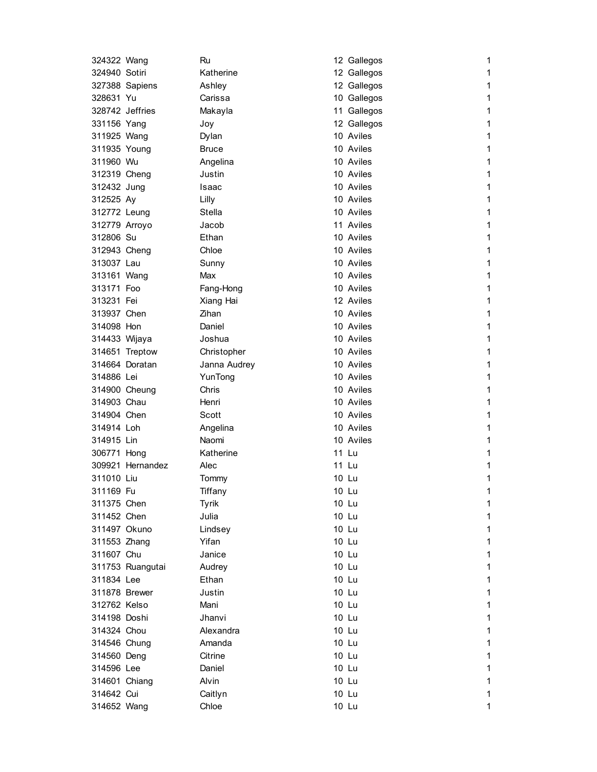| 324322 Wang     |                  | Ru           | 12 Gallegos | 1            |
|-----------------|------------------|--------------|-------------|--------------|
| 324940 Sotiri   |                  | Katherine    | 12 Gallegos | 1            |
|                 | 327388 Sapiens   | Ashley       | 12 Gallegos | 1            |
| 328631 Yu       |                  | Carissa      | 10 Gallegos | 1            |
| 328742 Jeffries |                  | Makayla      | 11 Gallegos | 1            |
| 331156 Yang     |                  | Joy          | 12 Gallegos | 1            |
| 311925 Wang     |                  | Dylan        | 10 Aviles   | 1            |
| 311935 Young    |                  | <b>Bruce</b> | 10 Aviles   | 1            |
| 311960 Wu       |                  | Angelina     | 10 Aviles   | 1            |
| 312319 Cheng    |                  | Justin       | 10 Aviles   | 1            |
| 312432 Jung     |                  | Isaac        | 10 Aviles   | 1            |
| 312525 Ay       |                  | Lilly        | 10 Aviles   | 1            |
| 312772 Leung    |                  | Stella       | 10 Aviles   | 1            |
| 312779 Arroyo   |                  | Jacob        | 11 Aviles   | 1            |
| 312806 Su       |                  | Ethan        | 10 Aviles   | 1            |
| 312943 Cheng    |                  | Chloe        | 10 Aviles   | 1            |
| 313037 Lau      |                  | Sunny        | 10 Aviles   | 1            |
| 313161 Wang     |                  | Max          | 10 Aviles   | 1            |
| 313171 Foo      |                  | Fang-Hong    | 10 Aviles   | 1            |
| 313231 Fei      |                  | Xiang Hai    | 12 Aviles   | 1            |
| 313937 Chen     |                  | Zihan        | 10 Aviles   | 1            |
| 314098 Hon      |                  | Daniel       | 10 Aviles   | 1            |
| 314433 Wijaya   |                  | Joshua       | 10 Aviles   | 1            |
|                 | 314651 Treptow   | Christopher  | 10 Aviles   | 1            |
|                 | 314664 Doratan   | Janna Audrey | 10 Aviles   | 1            |
| 314886 Lei      |                  | YunTong      | 10 Aviles   | 1            |
| 314900 Cheung   |                  | Chris        | 10 Aviles   | 1            |
| 314903 Chau     |                  | Henri        | 10 Aviles   | 1            |
| 314904 Chen     |                  | Scott        | 10 Aviles   | 1            |
| 314914 Loh      |                  | Angelina     | 10 Aviles   | 1            |
| 314915 Lin      |                  | Naomi        | 10 Aviles   | 1            |
| 306771 Hong     |                  | Katherine    | 11 Lu       | 1            |
|                 | 309921 Hernandez | Alec         | 11 Lu       | 1            |
| 311010 Liu      |                  | Tommy        | 10 Lu       | 1            |
| 311169 Fu       |                  | Tiffany      | 10 Lu       | 1            |
| 311375 Chen     |                  | <b>Tyrik</b> | 10 Lu       | 1            |
| 311452 Chen     |                  | Julia        | 10 Lu       | 1            |
| 311497 Okuno    |                  | Lindsey      | 10 Lu       | 1            |
| 311553 Zhang    |                  | Yifan        | 10 Lu       | 1            |
| 311607 Chu      |                  | Janice       | 10 Lu       | 1            |
|                 | 311753 Ruangutai | Audrey       | 10 Lu       | $\mathbf{1}$ |
| 311834 Lee      |                  | Ethan        | 10 Lu       | $\mathbf{1}$ |
| 311878 Brewer   |                  | Justin       | 10 Lu       | 1            |
| 312762 Kelso    |                  | Mani         | 10 Lu       | 1            |
| 314198 Doshi    |                  | Jhanvi       | 10 Lu       | 1            |
| 314324 Chou     |                  | Alexandra    | 10 Lu       | 1            |
| 314546 Chung    |                  | Amanda       | 10 Lu       | 1            |
| 314560 Deng     |                  | Citrine      | 10 Lu       | $\mathbf{1}$ |
| 314596 Lee      |                  | Daniel       | 10 Lu       | 1            |
| 314601 Chiang   |                  | Alvin        | 10 Lu       | 1            |
| 314642 Cui      |                  | Caitlyn      | 10 Lu       | 1            |
| 314652 Wang     |                  | Chloe        | 10 Lu       | 1            |
|                 |                  |              |             |              |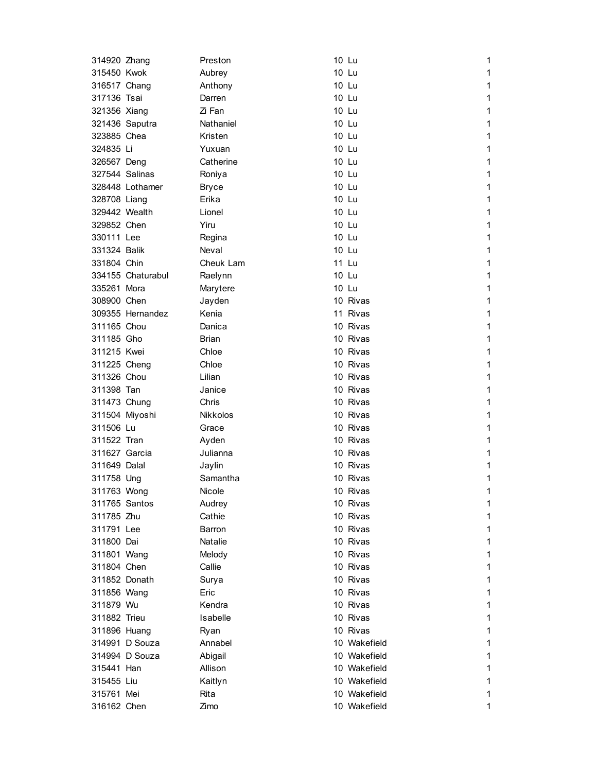| 314920 Zhang   |                   | Preston         | 10 Lu        | 1 |
|----------------|-------------------|-----------------|--------------|---|
| 315450 Kwok    |                   | Aubrey          | 10 Lu        | 1 |
| 316517 Chang   |                   | Anthony         | 10 Lu        | 1 |
| 317136 Tsai    |                   | Darren          | 10 Lu        | 1 |
| 321356 Xiang   |                   | Zi Fan          | 10 Lu        | 1 |
|                | 321436 Saputra    | Nathaniel       | 10 Lu        | 1 |
| 323885 Chea    |                   | Kristen         | 10 Lu        | 1 |
| 324835 Li      |                   | Yuxuan          | 10 Lu        | 1 |
| 326567 Deng    |                   | Catherine       | 10 Lu        | 1 |
| 327544 Salinas |                   | Roniya          | 10 Lu        | 1 |
|                | 328448 Lothamer   | <b>Bryce</b>    | 10 Lu        | 1 |
| 328708 Liang   |                   | Erika           | 10 Lu        | 1 |
| 329442 Wealth  |                   | Lionel          | 10 Lu        | 1 |
| 329852 Chen    |                   | Yiru            | 10 Lu        | 1 |
| 330111 Lee     |                   | Regina          | 10 Lu        | 1 |
| 331324 Balik   |                   | Neval           | 10 Lu        | 1 |
| 331804 Chin    |                   | Cheuk Lam       | 11 Lu        | 1 |
|                | 334155 Chaturabul | Raelynn         | 10 Lu        | 1 |
| 335261 Mora    |                   | Marytere        | 10 Lu        | 1 |
| 308900 Chen    |                   | Jayden          | 10 Rivas     | 1 |
|                | 309355 Hernandez  | Kenia           | 11 Rivas     | 1 |
| 311165 Chou    |                   | Danica          | 10 Rivas     | 1 |
| 311185 Gho     |                   | Brian           | 10 Rivas     | 1 |
| 311215 Kwei    |                   | Chloe           | 10 Rivas     | 1 |
| 311225 Cheng   |                   | Chloe           | 10 Rivas     | 1 |
| 311326 Chou    |                   | Lilian          | 10 Rivas     | 1 |
| 311398 Tan     |                   | Janice          | 10 Rivas     | 1 |
| 311473 Chung   |                   | Chris           | 10 Rivas     | 1 |
| 311504 Miyoshi |                   | <b>Nikkolos</b> | 10 Rivas     | 1 |
| 311506 Lu      |                   | Grace           | 10 Rivas     | 1 |
| 311522 Tran    |                   | Ayden           | 10 Rivas     | 1 |
| 311627 Garcia  |                   | Julianna        | 10 Rivas     | 1 |
| 311649 Dalal   |                   | Jaylin          | 10 Rivas     | 1 |
| 311758 Ung     |                   | Samantha        | 10 Rivas     | 1 |
| 311763 Wong    |                   | <b>Nicole</b>   | 10 Rivas     | 1 |
| 311765 Santos  |                   | Audrey          | 10 Rivas     | 1 |
| 311785 Zhu     |                   | Cathie          | 10 Rivas     | 1 |
| 311791 Lee     |                   | Barron          | 10 Rivas     | 1 |
| 311800 Dai     |                   | Natalie         | 10 Rivas     | 1 |
| 311801 Wang    |                   | Melody          | 10 Rivas     | 1 |
| 311804 Chen    |                   | Callie          | 10 Rivas     | 1 |
| 311852 Donath  |                   |                 | 10 Rivas     | 1 |
| 311856 Wang    |                   | Surya<br>Eric   | 10 Rivas     | 1 |
|                |                   | Kendra          | 10 Rivas     | 1 |
| 311879 Wu      |                   | Isabelle        | 10 Rivas     |   |
| 311882 Trieu   |                   |                 |              | 1 |
| 311896 Huang   |                   | Ryan            | 10 Rivas     | 1 |
|                | 314991 D Souza    | Annabel         | 10 Wakefield | 1 |
|                | 314994 D Souza    | Abigail         | 10 Wakefield | 1 |
| 315441 Han     |                   | Allison         | 10 Wakefield | 1 |
| 315455 Liu     |                   | Kaitlyn         | 10 Wakefield | 1 |
| 315761 Mei     |                   | Rita            | 10 Wakefield | 1 |
| 316162 Chen    |                   | Zimo            | 10 Wakefield | 1 |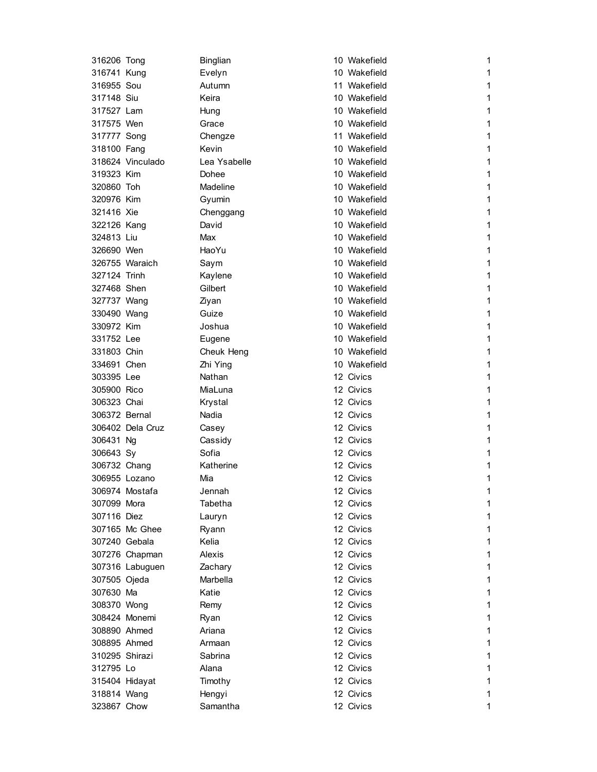| 316206 Tong    |                  | Binglian     | 10 Wakefield | 1 |
|----------------|------------------|--------------|--------------|---|
| 316741 Kung    |                  | Evelyn       | 10 Wakefield | 1 |
| 316955 Sou     |                  | Autumn       | 11 Wakefield | 1 |
| 317148 Siu     |                  | Keira        | 10 Wakefield | 1 |
| 317527 Lam     |                  | Hung         | 10 Wakefield | 1 |
| 317575 Wen     |                  | Grace        | 10 Wakefield | 1 |
| 317777 Song    |                  | Chengze      | 11 Wakefield | 1 |
| 318100 Fang    |                  | Kevin        | 10 Wakefield | 1 |
|                | 318624 Vinculado | Lea Ysabelle | 10 Wakefield | 1 |
| 319323 Kim     |                  | Dohee        | 10 Wakefield | 1 |
| 320860 Toh     |                  | Madeline     | 10 Wakefield | 1 |
| 320976 Kim     |                  | Gyumin       | 10 Wakefield | 1 |
| 321416 Xie     |                  | Chenggang    | 10 Wakefield | 1 |
| 322126 Kang    |                  | David        | 10 Wakefield | 1 |
| 324813 Liu     |                  | Max          | 10 Wakefield | 1 |
| 326690 Wen     |                  | HaoYu        | 10 Wakefield | 1 |
|                | 326755 Waraich   | Saym         | 10 Wakefield | 1 |
| 327124 Trinh   |                  | Kaylene      | 10 Wakefield | 1 |
| 327468 Shen    |                  | Gilbert      | 10 Wakefield | 1 |
| 327737 Wang    |                  | Ziyan        | 10 Wakefield | 1 |
| 330490 Wang    |                  | Guize        | 10 Wakefield | 1 |
| 330972 Kim     |                  | Joshua       | 10 Wakefield | 1 |
| 331752 Lee     |                  | Eugene       | 10 Wakefield | 1 |
| 331803 Chin    |                  | Cheuk Heng   | 10 Wakefield | 1 |
| 334691 Chen    |                  | Zhi Ying     | 10 Wakefield | 1 |
| 303395 Lee     |                  | Nathan       | 12 Civics    | 1 |
| 305900 Rico    |                  | MiaLuna      | 12 Civics    | 1 |
| 306323 Chai    |                  | Krystal      | 12 Civics    | 1 |
| 306372 Bernal  |                  | Nadia        | 12 Civics    | 1 |
|                | 306402 Dela Cruz | Casey        | 12 Civics    | 1 |
| 306431 Ng      |                  | Cassidy      | 12 Civics    | 1 |
| 306643 Sy      |                  | Sofia        | 12 Civics    | 1 |
| 306732 Chang   |                  | Katherine    | 12 Civics    | 1 |
| 306955 Lozano  |                  | Mia          | 12 Civics    | 1 |
|                | 306974 Mostafa   | Jennah       | 12 Civics    | 1 |
| 307099 Mora    |                  | Tabetha      | 12 Civics    | 1 |
| 307116 Diez    |                  | Lauryn       | 12 Civics    | 1 |
|                | 307165 Mc Ghee   | Ryann        | 12 Civics    | 1 |
| 307240 Gebala  |                  | Kelia        | 12 Civics    | 1 |
|                | 307276 Chapman   | Alexis       | 12 Civics    | 1 |
|                | 307316 Labuguen  | Zachary      | 12 Civics    | 1 |
| 307505 Ojeda   |                  | Marbella     | 12 Civics    | 1 |
| 307630 Ma      |                  | Katie        | 12 Civics    | 1 |
| 308370 Wong    |                  | Remy         | 12 Civics    | 1 |
|                | 308424 Monemi    | Ryan         | 12 Civics    | 1 |
| 308890 Ahmed   |                  | Ariana       | 12 Civics    | 1 |
| 308895 Ahmed   |                  | Armaan       | 12 Civics    | 1 |
| 310295 Shirazi |                  | Sabrina      | 12 Civics    | 1 |
| 312795 Lo      |                  | Alana        | 12 Civics    | 1 |
|                | 315404 Hidayat   | Timothy      | 12 Civics    | 1 |
| 318814 Wang    |                  | Hengyi       | 12 Civics    | 1 |
| 323867 Chow    |                  | Samantha     | 12 Civics    | 1 |
|                |                  |              |              |   |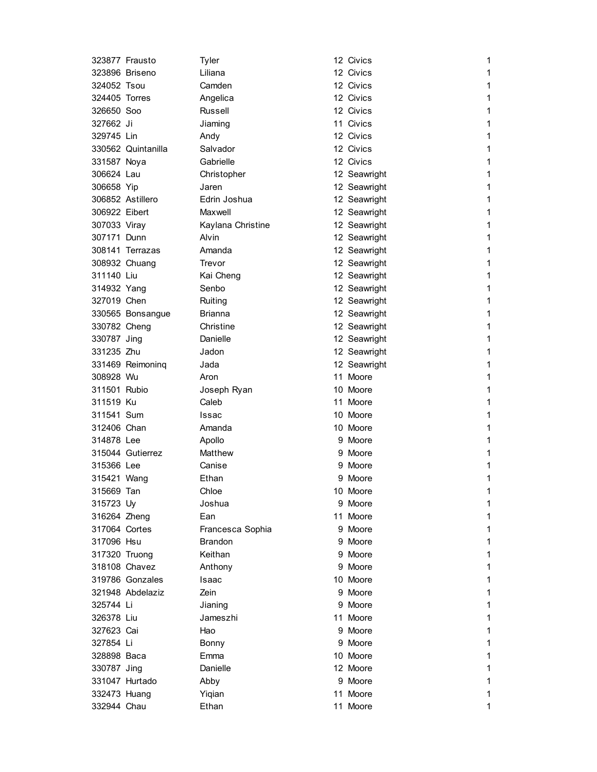|               | 323877 Frausto     | Tyler             | 12 Civics    | 1            |
|---------------|--------------------|-------------------|--------------|--------------|
|               | 323896 Briseno     | Liliana           | 12 Civics    | 1            |
| 324052 Tsou   |                    | Camden            | 12 Civics    | 1            |
| 324405 Torres |                    | Angelica          | 12 Civics    | 1            |
| 326650 Soo    |                    | <b>Russell</b>    | 12 Civics    | 1            |
| 327662 Ji     |                    | Jiaming           | 11 Civics    | 1            |
| 329745 Lin    |                    | Andy              | 12 Civics    | 1            |
|               | 330562 Quintanilla | Salvador          | 12 Civics    | 1            |
| 331587 Noya   |                    | Gabrielle         | 12 Civics    | 1            |
| 306624 Lau    |                    | Christopher       | 12 Seawright | 1            |
| 306658 Yip    |                    | Jaren             | 12 Seawright | 1            |
|               | 306852 Astillero   | Edrin Joshua      | 12 Seawright | 1            |
| 306922 Eibert |                    | Maxwell           | 12 Seawright | 1            |
| 307033 Viray  |                    | Kaylana Christine | 12 Seawright | 1            |
| 307171 Dunn   |                    | Alvin             | 12 Seawright | 1            |
|               | 308141 Terrazas    | Amanda            | 12 Seawright | 1            |
|               | 308932 Chuang      | Trevor            | 12 Seawright | 1            |
| 311140 Liu    |                    | Kai Cheng         | 12 Seawright | 1            |
| 314932 Yang   |                    | Senbo             | 12 Seawright | 1            |
| 327019 Chen   |                    | Ruiting           | 12 Seawright | 1            |
|               | 330565 Bonsangue   | Brianna           | 12 Seawright | 1            |
| 330782 Cheng  |                    | Christine         | 12 Seawright | 1            |
| 330787 Jing   |                    | Danielle          | 12 Seawright | 1            |
| 331235 Zhu    |                    | Jadon             | 12 Seawright | 1            |
|               | 331469 Reimoning   | Jada              | 12 Seawright | 1            |
| 308928 Wu     |                    | Aron              | 11 Moore     | 1            |
| 311501 Rubio  |                    | Joseph Ryan       | 10 Moore     | 1            |
| 311519 Ku     |                    | Caleb             | 11 Moore     | 1            |
| 311541 Sum    |                    | Issac             | 10 Moore     | 1            |
| 312406 Chan   |                    | Amanda            | 10 Moore     | 1            |
| 314878 Lee    |                    | Apollo            | 9 Moore      | 1            |
|               | 315044 Gutierrez   | Matthew           | 9 Moore      | 1            |
| 315366 Lee    |                    | Canise            | 9 Moore      | 1            |
| 315421 Wang   |                    | Ethan             | 9 Moore      | 1            |
| 315669 Tan    |                    | Chloe             | 10 Moore     | 1            |
| 315723 Uy     |                    | Joshua            | 9 Moore      | 1            |
| 316264 Zheng  |                    | Ean               | 11 Moore     | 1            |
| 317064 Cortes |                    | Francesca Sophia  | 9 Moore      | 1            |
| 317096 Hsu    |                    | <b>Brandon</b>    | 9 Moore      | 1            |
| 317320 Truong |                    | Keithan           | 9 Moore      | $\mathbf 1$  |
|               | 318108 Chavez      | Anthony           | 9 Moore      | $\mathbf{1}$ |
|               | 319786 Gonzales    | Isaac             | 10 Moore     | 1            |
|               | 321948 Abdelaziz   | Zein              | 9 Moore      | 1            |
| 325744 Li     |                    | Jianing           | 9 Moore      | 1            |
| 326378 Liu    |                    | Jameszhi          | 11 Moore     | 1            |
| 327623 Cai    |                    | Hao               | 9 Moore      | $\mathbf{1}$ |
| 327854 Li     |                    | Bonny             | 9 Moore      | 1            |
| 328898 Baca   |                    | Emma              | 10 Moore     | 1            |
| 330787 Jing   |                    | Danielle          | 12 Moore     | 1            |
|               | 331047 Hurtado     | Abby              | 9 Moore      | 1            |
| 332473 Huang  |                    | Yiqian            | 11 Moore     | 1            |
| 332944 Chau   |                    | Ethan             | 11 Moore     | 1            |
|               |                    |                   |              |              |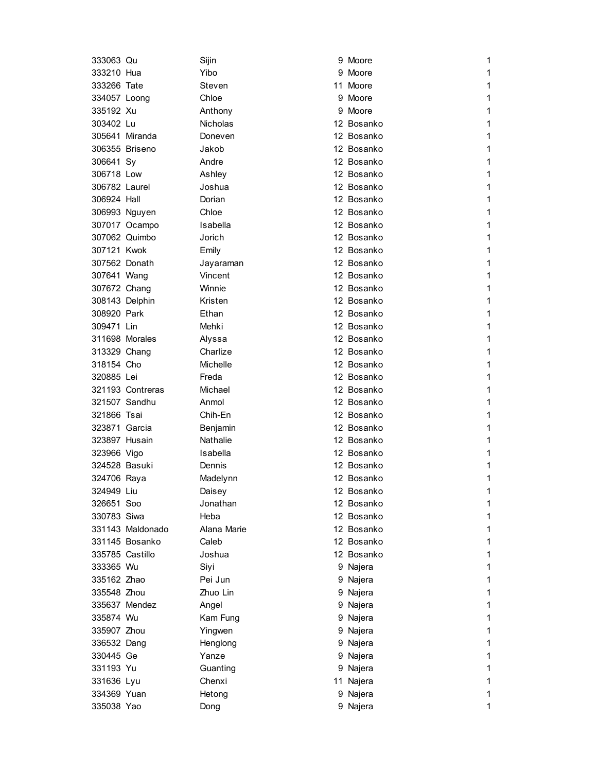| 333063 Qu       |                  | Sijin           | 9 Moore    | 1 |
|-----------------|------------------|-----------------|------------|---|
| 333210 Hua      |                  | Yibo            | 9 Moore    | 1 |
| 333266 Tate     |                  | Steven          | 11 Moore   | 1 |
| 334057 Loong    |                  | Chloe           | 9 Moore    | 1 |
| 335192 Xu       |                  | Anthony         | 9 Moore    | 1 |
| 303402 Lu       |                  | <b>Nicholas</b> | 12 Bosanko | 1 |
|                 | 305641 Miranda   | Doneven         | 12 Bosanko | 1 |
|                 | 306355 Briseno   | Jakob           | 12 Bosanko | 1 |
| 306641 Sy       |                  | Andre           | 12 Bosanko | 1 |
| 306718 Low      |                  | Ashley          | 12 Bosanko | 1 |
| 306782 Laurel   |                  | Joshua          | 12 Bosanko | 1 |
| 306924 Hall     |                  | Dorian          | 12 Bosanko | 1 |
|                 | 306993 Nguyen    | Chloe           | 12 Bosanko | 1 |
|                 | 307017 Ocampo    | Isabella        | 12 Bosanko | 1 |
|                 | 307062 Quimbo    | Jorich          | 12 Bosanko | 1 |
| 307121 Kwok     |                  | Emily           | 12 Bosanko | 1 |
| 307562 Donath   |                  | Jayaraman       | 12 Bosanko | 1 |
| 307641 Wang     |                  | Vincent         | 12 Bosanko | 1 |
| 307672 Chang    |                  | Winnie          | 12 Bosanko | 1 |
| 308143 Delphin  |                  | Kristen         | 12 Bosanko | 1 |
| 308920 Park     |                  | Ethan           | 12 Bosanko | 1 |
| 309471 Lin      |                  | Mehki           | 12 Bosanko | 1 |
|                 | 311698 Morales   | Alyssa          | 12 Bosanko | 1 |
| 313329 Chang    |                  | Charlize        | 12 Bosanko | 1 |
| 318154 Cho      |                  | Michelle        | 12 Bosanko | 1 |
| 320885 Lei      |                  | Freda           | 12 Bosanko | 1 |
|                 | 321193 Contreras | Michael         | 12 Bosanko | 1 |
| 321507 Sandhu   |                  | Anmol           | 12 Bosanko | 1 |
| 321866 Tsai     |                  | Chih-En         | 12 Bosanko | 1 |
| 323871 Garcia   |                  | Benjamin        | 12 Bosanko | 1 |
| 323897 Husain   |                  | Nathalie        | 12 Bosanko | 1 |
| 323966 Vigo     |                  | Isabella        | 12 Bosanko | 1 |
| 324528 Basuki   |                  | Dennis          | 12 Bosanko | 1 |
| 324706 Raya     |                  | Madelynn        | 12 Bosanko | 1 |
| 324949 Liu      |                  | Daisey          | 12 Bosanko | 1 |
| 326651 Soo      |                  | Jonathan        | 12 Bosanko | 1 |
| 330783 Siwa     |                  | Heba            | 12 Bosanko | 1 |
|                 | 331143 Maldonado | Alana Marie     | 12 Bosanko | 1 |
|                 | 331145 Bosanko   | Caleb           | 12 Bosanko | 1 |
| 335785 Castillo |                  | Joshua          | 12 Bosanko | 1 |
| 333365 Wu       |                  | Siyi            | 9 Najera   | 1 |
| 335162 Zhao     |                  | Pei Jun         | 9 Najera   | 1 |
| 335548 Zhou     |                  | Zhuo Lin        | 9 Najera   | 1 |
|                 | 335637 Mendez    | Angel           | 9 Najera   | 1 |
| 335874 Wu       |                  | Kam Fung        | 9 Najera   | 1 |
| 335907 Zhou     |                  | Yingwen         | 9 Najera   | 1 |
| 336532 Dang     |                  | Henglong        | 9 Najera   | 1 |
| 330445 Ge       |                  | Yanze           | 9 Najera   | 1 |
| 331193 Yu       |                  | Guanting        | 9 Najera   | 1 |
| 331636 Lyu      |                  | Chenxi          | 11 Najera  | 1 |
| 334369 Yuan     |                  | Hetong          | 9 Najera   | 1 |
| 335038 Yao      |                  | Dong            | 9 Najera   | 1 |
|                 |                  |                 |            |   |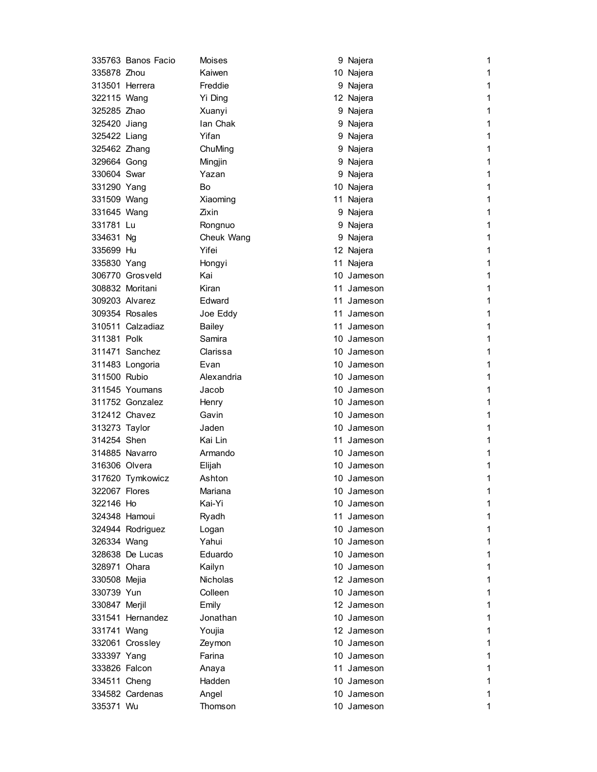|                | 335763 Banos Facio | Moises          | 9 Najera   | 1 |
|----------------|--------------------|-----------------|------------|---|
| 335878 Zhou    |                    | Kaiwen          | 10 Najera  | 1 |
| 313501 Herrera |                    | Freddie         | 9 Najera   | 1 |
| 322115 Wang    |                    | Yi Ding         | 12 Najera  | 1 |
| 325285 Zhao    |                    | Xuanyi          | 9 Najera   | 1 |
| 325420 Jiang   |                    | Ian Chak        | 9 Najera   | 1 |
| 325422 Liang   |                    | Yifan           | 9 Najera   | 1 |
| 325462 Zhang   |                    | ChuMing         | 9 Najera   | 1 |
| 329664 Gong    |                    | Mingjin         | 9 Najera   | 1 |
| 330604 Swar    |                    | Yazan           | 9 Najera   | 1 |
| 331290 Yang    |                    | Bo              | 10 Najera  | 1 |
| 331509 Wang    |                    | Xiaoming        | 11 Najera  | 1 |
| 331645 Wang    |                    | Zixin           | 9 Najera   | 1 |
| 331781 Lu      |                    | Rongnuo         | 9 Najera   | 1 |
| 334631 Ng      |                    | Cheuk Wang      | 9 Najera   | 1 |
| 335699 Hu      |                    | Yifei           | 12 Najera  | 1 |
| 335830 Yang    |                    | Hongyi          | 11 Najera  | 1 |
|                | 306770 Grosveld    | Kai             | 10 Jameson | 1 |
|                | 308832 Moritani    | Kiran           | 11 Jameson | 1 |
|                | 309203 Alvarez     | Edward          | 11 Jameson | 1 |
|                | 309354 Rosales     | Joe Eddy        | 11 Jameson | 1 |
|                | 310511 Calzadiaz   | <b>Bailey</b>   | 11 Jameson | 1 |
| 311381 Polk    |                    | Samira          | 10 Jameson | 1 |
|                | 311471 Sanchez     | Clarissa        | 10 Jameson | 1 |
|                | 311483 Longoria    | Evan            | 10 Jameson | 1 |
| 311500 Rubio   |                    | Alexandria      | 10 Jameson | 1 |
|                | 311545 Youmans     | Jacob           | 10 Jameson | 1 |
|                | 311752 Gonzalez    | Henry           | 10 Jameson | 1 |
|                | 312412 Chavez      | Gavin           | 10 Jameson | 1 |
| 313273 Taylor  |                    | Jaden           | 10 Jameson | 1 |
| 314254 Shen    |                    | Kai Lin         | 11 Jameson | 1 |
|                | 314885 Navarro     | Armando         | 10 Jameson | 1 |
| 316306 Olvera  |                    | Elijah          | 10 Jameson | 1 |
|                | 317620 Tymkowicz   | Ashton          | 10 Jameson | 1 |
| 322067 Flores  |                    | Mariana         | 10 Jameson | 1 |
| 322146 Ho      |                    | Kai-Yi          | 10 Jameson | 1 |
|                | 324348 Hamoui      | Ryadh           | 11 Jameson | 1 |
|                | 324944 Rodriguez   | Logan           | 10 Jameson | 1 |
| 326334 Wang    |                    | Yahui           | 10 Jameson | 1 |
|                | 328638 De Lucas    | Eduardo         | 10 Jameson | 1 |
| 328971 Ohara   |                    | Kailyn          | 10 Jameson | 1 |
| 330508 Mejia   |                    | <b>Nicholas</b> | 12 Jameson | 1 |
| 330739 Yun     |                    | Colleen         | 10 Jameson | 1 |
| 330847 Merjil  |                    | Emily           | 12 Jameson | 1 |
|                | 331541 Hernandez   | Jonathan        | 10 Jameson | 1 |
| 331741 Wang    |                    | Youjia          | 12 Jameson | 1 |
|                | 332061 Crossley    | Zeymon          | 10 Jameson | 1 |
| 333397 Yang    |                    | Farina          | 10 Jameson | 1 |
| 333826 Falcon  |                    | Anaya           | 11 Jameson | 1 |
| 334511 Cheng   |                    | Hadden          | 10 Jameson | 1 |
|                | 334582 Cardenas    | Angel           | 10 Jameson | 1 |
| 335371 Wu      |                    | Thomson         | 10 Jameson | 1 |
|                |                    |                 |            |   |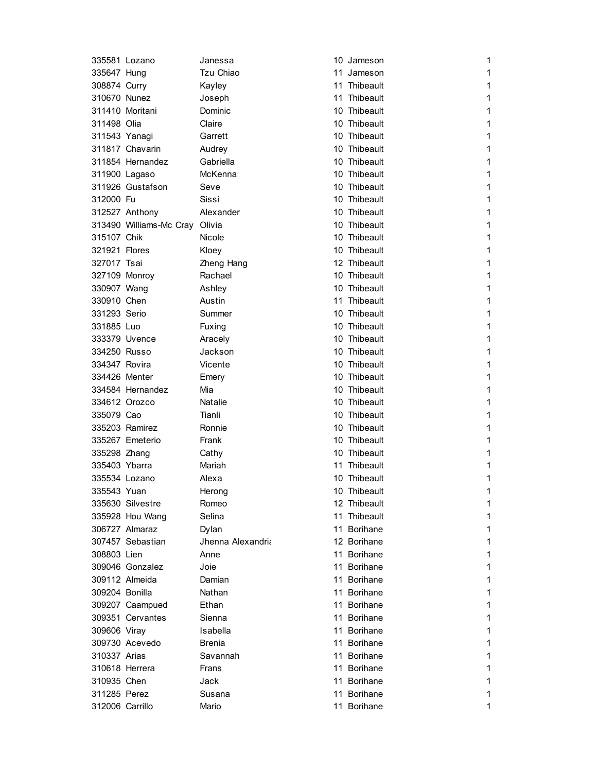|                                 | 335581 Lozano                  | Janessa           | 10 Jameson   | 1            |
|---------------------------------|--------------------------------|-------------------|--------------|--------------|
| 335647 Hung                     |                                | Tzu Chiao         | 11 Jameson   | 1            |
| 308874 Curry                    |                                | Kayley            | 11 Thibeault | 1            |
| 310670 Nunez                    |                                | Joseph            | 11 Thibeault | 1            |
|                                 | 311410 Moritani                | Dominic           | 10 Thibeault | 1            |
| 311498 Olia                     |                                | Claire            | 10 Thibeault | 1            |
| 311543 Yanagi                   |                                | Garrett           | 10 Thibeault | 1            |
|                                 | 311817 Chavarin                | Audrey            | 10 Thibeault | 1            |
|                                 | 311854 Hernandez               | Gabriella         | 10 Thibeault | 1            |
|                                 | 311900 Lagaso                  | McKenna           | 10 Thibeault | 1            |
|                                 | 311926 Gustafson               | Seve              | 10 Thibeault | 1            |
| 312000 Fu                       |                                | Sissi             | 10 Thibeault | 1            |
|                                 | 312527 Anthony                 | Alexander         | 10 Thibeault | 1            |
|                                 | 313490 Williams-Mc Cray Olivia |                   | 10 Thibeault | 1            |
| 315107 Chik                     |                                | Nicole            | 10 Thibeault | 1            |
| 321921 Flores                   |                                | Kloey             | 10 Thibeault | 1            |
| 327017 Tsai                     |                                | Zheng Hang        | 12 Thibeault | 1            |
|                                 | 327109 Monroy                  | Rachael           | 10 Thibeault | 1            |
| 330907 Wang                     |                                | Ashley            | 10 Thibeault | 1            |
| 330910 Chen                     |                                | Austin            | 11 Thibeault | 1            |
| 331293 Serio                    |                                | Summer            | 10 Thibeault | 1            |
| 331885 Luo                      |                                | Fuxing            | 10 Thibeault | 1            |
|                                 | 333379 Uvence                  | Aracely           | 10 Thibeault | 1            |
| 334250 Russo                    |                                | Jackson           | 10 Thibeault | 1            |
| 334347 Rovira                   |                                | Vicente           | 10 Thibeault | 1            |
| 334426 Menter                   |                                | Emery             | 10 Thibeault | 1            |
|                                 | 334584 Hernandez               | Mia               | 10 Thibeault | 1            |
| 334612 Orozco                   |                                | <b>Natalie</b>    | 10 Thibeault | 1            |
| 335079 Cao                      |                                | Tianli            | 10 Thibeault | 1            |
|                                 | 335203 Ramirez                 | Ronnie            | 10 Thibeault | 1            |
|                                 | 335267 Emeterio                | Frank             | 10 Thibeault | 1            |
| 335298 Zhang                    |                                | Cathy             | 10 Thibeault | 1            |
| 335403 Ybarra                   |                                | Mariah            | 11 Thibeault | 1            |
| 335534 Lozano                   |                                | Alexa             | 10 Thibeault | 1            |
| 335543 Yuan                     |                                | Herong            | 10 Thibeault | 1            |
|                                 | 335630 Silvestre               | Romeo             | 12 Thibeault | 1            |
|                                 | 335928 Hou Wang                | Selina            | 11 Thibeault | 1            |
|                                 | 306727 Almaraz                 | Dylan             | 11 Borihane  | 1            |
|                                 | 307457 Sebastian               | Jhenna Alexandria | 12 Borihane  | 1            |
| 308803 Lien                     |                                | Anne              | 11 Borihane  | $\mathbf{1}$ |
|                                 | 309046 Gonzalez                | Joie              | 11 Borihane  | 1            |
|                                 | 309112 Almeida                 | Damian            | 11 Borihane  | 1            |
| 309204 Bonilla                  |                                | Nathan            | 11 Borihane  | 1            |
|                                 | 309207 Caampued                | Ethan             | 11 Borihane  | 1            |
|                                 | 309351 Cervantes               | Sienna            | 11 Borihane  | 1            |
| 309606 Viray                    |                                | Isabella          | 11 Borihane  | 1            |
|                                 | 309730 Acevedo                 | <b>Brenia</b>     | 11 Borihane  | 1            |
| 310337 Arias                    |                                | Savannah          | 11 Borihane  | 1            |
|                                 | 310618 Herrera                 | Frans             | 11 Borihane  | 1            |
| 310935 Chen                     |                                |                   | 11 Borihane  | 1            |
|                                 |                                | Jack              |              |              |
| 311285 Perez<br>312006 Carrillo |                                | Susana            | 11 Borihane  | 1<br>1       |
|                                 |                                | Mario             | 11 Borihane  |              |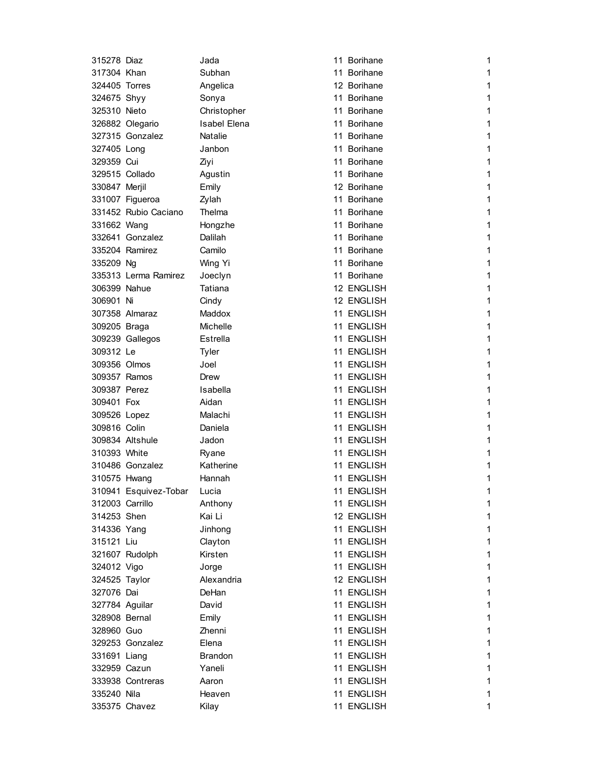| 315278 Diaz     |                             | Jada                | 11 Borihane | 1            |
|-----------------|-----------------------------|---------------------|-------------|--------------|
| 317304 Khan     |                             | Subhan              | 11 Borihane | 1            |
| 324405 Torres   |                             | Angelica            | 12 Borihane | 1            |
| 324675 Shyy     |                             | Sonya               | 11 Borihane | 1            |
| 325310 Nieto    |                             | Christopher         | 11 Borihane | 1            |
|                 | 326882 Olegario             | <b>Isabel Elena</b> | 11 Borihane | 1            |
|                 | 327315 Gonzalez             | <b>Natalie</b>      | 11 Borihane | 1            |
| 327405 Long     |                             | Janbon              | 11 Borihane | 1            |
| 329359 Cui      |                             | Ziyi                | 11 Borihane | 1            |
|                 | 329515 Collado              | Agustin             | 11 Borihane | 1            |
| 330847 Merjil   |                             | Emily               | 12 Borihane | 1            |
|                 | 331007 Figueroa             | Zylah               | 11 Borihane | 1            |
|                 | 331452 Rubio Caciano        | Thelma              | 11 Borihane | 1            |
| 331662 Wang     |                             | Hongzhe             | 11 Borihane | 1            |
|                 | 332641 Gonzalez             | Dalilah             | 11 Borihane | 1            |
|                 | 335204 Ramirez              | Camilo              | 11 Borihane | 1            |
| 335209 Ng       |                             | Wing Yi             | 11 Borihane | 1            |
|                 | 335313 Lerma Ramirez        | Joeclyn             | 11 Borihane | 1            |
| 306399 Nahue    |                             | Tatiana             | 12 ENGLISH  | 1            |
| 306901 Ni       |                             | Cindy               | 12 ENGLISH  | 1            |
|                 | 307358 Almaraz              | Maddox              | 11 ENGLISH  | 1            |
| 309205 Braga    |                             | Michelle            | 11 ENGLISH  | 1            |
|                 | 309239 Gallegos             | Estrella            | 11 ENGLISH  | 1            |
| 309312 Le       |                             | Tyler               | 11 ENGLISH  | 1            |
| 309356 Olmos    |                             | Joel                | 11 ENGLISH  | 1            |
| 309357 Ramos    |                             | Drew                | 11 ENGLISH  | 1            |
| 309387 Perez    |                             | Isabella            | 11 ENGLISH  | 1            |
| 309401 Fox      |                             | Aidan               | 11 ENGLISH  | 1            |
| 309526 Lopez    |                             | Malachi             | 11 ENGLISH  | 1            |
| 309816 Colin    |                             | Daniela             | 11 ENGLISH  | 1            |
|                 | 309834 Altshule             | Jadon               | 11 ENGLISH  | 1            |
| 310393 White    |                             | Ryane               | 11 ENGLISH  | 1            |
|                 | 310486 Gonzalez             | Katherine           | 11 ENGLISH  | 1            |
| 310575 Hwang    |                             | Hannah              | 11 ENGLISH  | 1            |
|                 | 310941 Esquivez-Tobar Lucia |                     | 11 ENGLISH  | 1            |
| 312003 Carrillo |                             | Anthony             | 11 ENGLISH  | 1            |
| 314253 Shen     |                             | Kai Li              | 12 ENGLISH  | 1            |
| 314336 Yang     |                             | Jinhong             | 11 ENGLISH  | 1            |
| 315121 Liu      |                             | Clayton             | 11 ENGLISH  | $\mathbf{1}$ |
|                 | 321607 Rudolph              | Kirsten             | 11 ENGLISH  | $\mathbf{1}$ |
| 324012 Vigo     |                             | Jorge               | 11 ENGLISH  | 1            |
| 324525 Taylor   |                             | Alexandria          | 12 ENGLISH  | $\mathbf{1}$ |
| 327076 Dai      |                             | DeHan               | 11 ENGLISH  | 1            |
| 327784 Aguilar  |                             | David               | 11 ENGLISH  | 1            |
| 328908 Bernal   |                             | Emily               | 11 ENGLISH  | 1            |
| 328960 Guo      |                             | Zhenni              | 11 ENGLISH  | 1            |
|                 | 329253 Gonzalez             | Elena               | 11 ENGLISH  | 1            |
| 331691 Liang    |                             | <b>Brandon</b>      | 11 ENGLISH  | $\mathbf{1}$ |
| 332959 Cazun    |                             | Yaneli              | 11 ENGLISH  | $\mathbf{1}$ |
|                 | 333938 Contreras            | Aaron               | 11 ENGLISH  | 1            |
| 335240 Nila     |                             | Heaven              | 11 ENGLISH  | 1            |
|                 |                             |                     |             |              |
|                 | 335375 Chavez               | Kilay               | 11 ENGLISH  | 1            |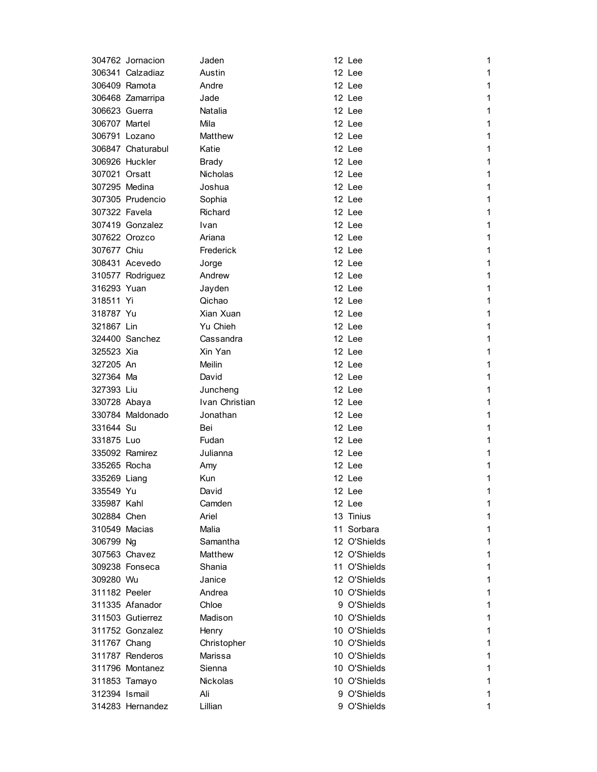|               | 304762 Jornacion  | Jaden           | 12 Lee       | 1            |
|---------------|-------------------|-----------------|--------------|--------------|
|               | 306341 Calzadiaz  | Austin          | 12 Lee       | 1            |
|               | 306409 Ramota     | Andre           | 12 Lee       | 1            |
|               | 306468 Zamarripa  | Jade            | 12 Lee       | 1            |
| 306623 Guerra |                   | Natalia         | 12 Lee       | 1            |
| 306707 Martel |                   | Mila            | 12 Lee       | 1            |
|               | 306791 Lozano     | Matthew         | 12 Lee       | 1            |
|               | 306847 Chaturabul | Katie           | 12 Lee       | 1            |
|               | 306926 Huckler    | <b>Brady</b>    | 12 Lee       | 1            |
| 307021 Orsatt |                   | <b>Nicholas</b> | 12 Lee       | 1            |
| 307295 Medina |                   | Joshua          | 12 Lee       | 1            |
|               | 307305 Prudencio  | Sophia          | 12 Lee       | 1            |
| 307322 Favela |                   | Richard         | 12 Lee       | 1            |
|               | 307419 Gonzalez   | Ivan            | 12 Lee       | 1            |
|               | 307622 Orozco     | Ariana          | 12 Lee       | 1            |
| 307677 Chiu   |                   | Frederick       | 12 Lee       | 1            |
|               | 308431 Acevedo    | Jorge           | 12 Lee       | 1            |
|               | 310577 Rodriguez  | Andrew          | 12 Lee       | 1            |
| 316293 Yuan   |                   | Jayden          | 12 Lee       | 1            |
| 318511 Yi     |                   | Qichao          | 12 Lee       | 1            |
| 318787 Yu     |                   | Xian Xuan       | 12 Lee       | 1            |
| 321867 Lin    |                   | Yu Chieh        | 12 Lee       | 1            |
|               | 324400 Sanchez    | Cassandra       | 12 Lee       | 1            |
| 325523 Xia    |                   | Xin Yan         | 12 Lee       | 1            |
| 327205 An     |                   | Meilin          | 12 Lee       | 1            |
| 327364 Ma     |                   | David           | 12 Lee       | 1            |
| 327393 Liu    |                   | Juncheng        | 12 Lee       | 1            |
| 330728 Abaya  |                   | Ivan Christian  | 12 Lee       | 1            |
|               | 330784 Maldonado  | Jonathan        | 12 Lee       | 1            |
| 331644 Su     |                   | Bei             | 12 Lee       | 1            |
| 331875 Luo    |                   | Fudan           | 12 Lee       | 1            |
|               | 335092 Ramirez    | Julianna        | 12 Lee       | 1            |
| 335265 Rocha  |                   | Amy             | 12 Lee       | 1            |
| 335269 Liang  |                   | Kun             | 12 Lee       | 1            |
| 335549 Yu     |                   | David           | 12 Lee       | 1            |
| 335987 Kahl   |                   | Camden          | 12 Lee       | 1            |
| 302884 Chen   |                   | Ariel           | 13 Tinius    | 1            |
| 310549 Macias |                   | Malia           | 11 Sorbara   | 1            |
| 306799 Ng     |                   | Samantha        | 12 O'Shields | $\mathbf{1}$ |
|               | 307563 Chavez     | Matthew         | 12 O'Shields | 1            |
|               | 309238 Fonseca    | Shania          | 11 O'Shields | 1            |
| 309280 Wu     |                   | Janice          | 12 O'Shields | 1            |
| 311182 Peeler |                   | Andrea          | 10 O'Shields | 1            |
|               | 311335 Afanador   | Chloe           | 9 O'Shields  | 1            |
|               |                   |                 |              |              |
|               | 311503 Gutierrez  | Madison         | 10 O'Shields | 1            |
|               | 311752 Gonzalez   | Henry           | 10 O'Shields | 1            |
| 311767 Chang  |                   | Christopher     | 10 O'Shields | 1            |
|               | 311787 Renderos   | Marissa         | 10 O'Shields | 1            |
|               | 311796 Montanez   | Sienna          | 10 O'Shields | 1            |
|               | 311853 Tamayo     | <b>Nickolas</b> | 10 O'Shields | 1            |
| 312394 Ismail |                   | Ali             | 9 O'Shields  | 1            |
|               | 314283 Hernandez  | Lillian         | 9 O'Shields  | 1            |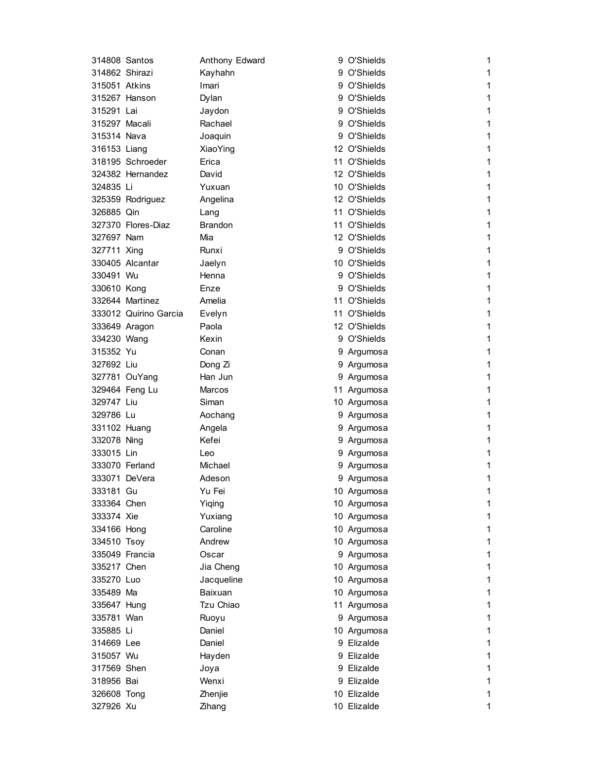| 314808 Santos  |                       | Anthony Edward | 9 O'Shields  | 1 |
|----------------|-----------------------|----------------|--------------|---|
| 314862 Shirazi |                       | Kayhahn        | 9 O'Shields  | 1 |
| 315051 Atkins  |                       | Imari          | 9 O'Shields  | 1 |
|                | 315267 Hanson         | Dylan          | 9 O'Shields  | 1 |
| 315291 Lai     |                       | Jaydon         | 9 O'Shields  | 1 |
| 315297 Macali  |                       | Rachael        | 9 O'Shields  | 1 |
| 315314 Nava    |                       | Joaquin        | 9 O'Shields  | 1 |
| 316153 Liang   |                       | XiaoYing       | 12 O'Shields | 1 |
|                | 318195 Schroeder      | Erica          | 11 O'Shields | 1 |
|                | 324382 Hernandez      | David          | 12 O'Shields | 1 |
| 324835 Li      |                       | Yuxuan         | 10 O'Shields | 1 |
|                | 325359 Rodriguez      | Angelina       | 12 O'Shields | 1 |
| 326885 Qin     |                       | Lang           | 11 O'Shields | 1 |
|                | 327370 Flores-Diaz    | <b>Brandon</b> | 11 O'Shields | 1 |
| 327697 Nam     |                       | Mia            | 12 O'Shields | 1 |
| 327711 Xing    |                       | Runxi          | 9 O'Shields  | 1 |
|                | 330405 Alcantar       | Jaelyn         | 10 O'Shields | 1 |
| 330491 Wu      |                       | Henna          | 9 O'Shields  | 1 |
| 330610 Kong    |                       | Enze           | 9 O'Shields  | 1 |
|                |                       |                |              |   |
|                | 332644 Martinez       | Amelia         | 11 O'Shields | 1 |
|                | 333012 Quirino Garcia | Evelyn         | 11 O'Shields | 1 |
| 333649 Aragon  |                       | Paola          | 12 O'Shields | 1 |
| 334230 Wang    |                       | Kexin          | 9 O'Shields  | 1 |
| 315352 Yu      |                       | Conan          | 9 Argumosa   | 1 |
| 327692 Liu     |                       | Dong Zi        | 9 Argumosa   | 1 |
|                | 327781 OuYang         | Han Jun        | 9 Argumosa   | 1 |
|                | 329464 Feng Lu        | Marcos         | 11 Argumosa  | 1 |
| 329747 Liu     |                       | Siman          | 10 Argumosa  | 1 |
| 329786 Lu      |                       | Aochang        | 9 Argumosa   | 1 |
| 331102 Huang   |                       | Angela         | 9 Argumosa   | 1 |
| 332078 Ning    |                       | Kefei          | 9 Argumosa   | 1 |
| 333015 Lin     |                       | Leo            | 9 Argumosa   | 1 |
| 333070 Ferland |                       | Michael        | 9 Argumosa   | 1 |
| 333071 DeVera  |                       | Adeson         | 9 Argumosa   | 1 |
| 333181 Gu      |                       | Yu Fei         | 10 Argumosa  | 1 |
| 333364 Chen    |                       | Yiqing         | 10 Argumosa  | 1 |
| 333374 Xie     |                       | Yuxiang        | 10 Argumosa  | 1 |
| 334166 Hong    |                       | Caroline       | 10 Argumosa  | 1 |
| 334510 Tsoy    |                       | Andrew         | 10 Argumosa  | 1 |
| 335049 Francia |                       | Oscar          | 9 Argumosa   | 1 |
| 335217 Chen    |                       | Jia Cheng      | 10 Argumosa  | 1 |
| 335270 Luo     |                       | Jacqueline     | 10 Argumosa  | 1 |
| 335489 Ma      |                       | Baixuan        | 10 Argumosa  | 1 |
| 335647 Hung    |                       | Tzu Chiao      | 11 Argumosa  | 1 |
| 335781 Wan     |                       | Ruoyu          | 9 Argumosa   | 1 |
| 335885 Li      |                       | Daniel         | 10 Argumosa  | 1 |
| 314669 Lee     |                       | Daniel         | 9 Elizalde   | 1 |
| 315057 Wu      |                       | Hayden         | 9 Elizalde   | 1 |
| 317569 Shen    |                       | Joya           | 9 Elizalde   | 1 |
| 318956 Bai     |                       | Wenxi          | 9 Elizalde   | 1 |
| 326608 Tong    |                       | Zhenjie        | 10 Elizalde  | 1 |
| 327926 Xu      |                       | Zihang         | 10 Elizalde  | 1 |
|                |                       |                |              |   |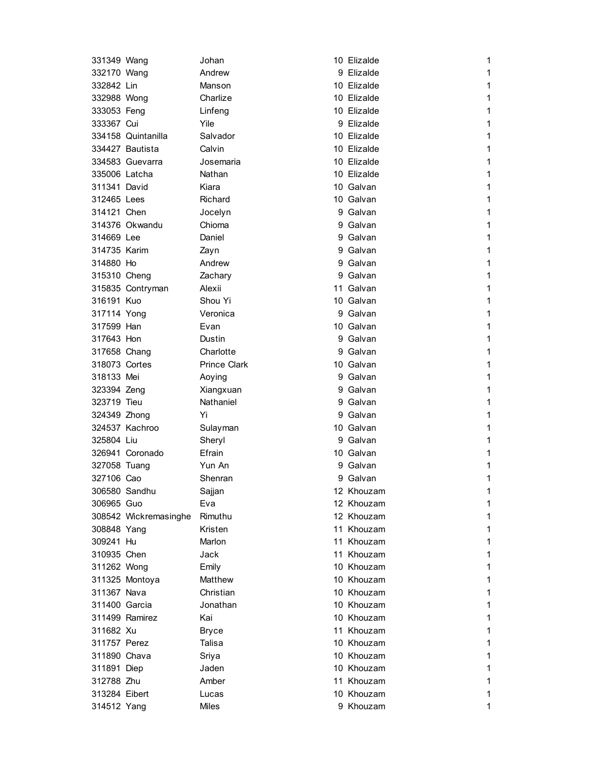| 331349 Wang   |                       | Johan               | 10 Elizalde | 1            |
|---------------|-----------------------|---------------------|-------------|--------------|
| 332170 Wang   |                       | Andrew              | 9 Elizalde  | 1            |
| 332842 Lin    |                       | Manson              | 10 Elizalde | 1            |
| 332988 Wong   |                       | Charlize            | 10 Elizalde | 1            |
| 333053 Feng   |                       | Linfeng             | 10 Elizalde | 1            |
| 333367 Cui    |                       | Yile                | 9 Elizalde  | 1            |
|               | 334158 Quintanilla    | Salvador            | 10 Elizalde | 1            |
|               | 334427 Bautista       | Calvin              | 10 Elizalde | 1            |
|               | 334583 Guevarra       | Josemaria           | 10 Elizalde | 1            |
| 335006 Latcha |                       | Nathan              | 10 Elizalde | 1            |
| 311341 David  |                       | Kiara               | 10 Galvan   | 1            |
| 312465 Lees   |                       | Richard             | 10 Galvan   | 1            |
| 314121 Chen   |                       | Jocelyn             | 9 Galvan    | 1            |
|               | 314376 Okwandu        | Chioma              | 9 Galvan    | 1            |
| 314669 Lee    |                       | Daniel              | 9 Galvan    | 1            |
| 314735 Karim  |                       | Zayn                | 9 Galvan    | 1            |
| 314880 Ho     |                       | Andrew              | 9 Galvan    | 1            |
| 315310 Cheng  |                       | Zachary             | 9 Galvan    | 1            |
|               | 315835 Contryman      | Alexii              | 11 Galvan   | 1            |
| 316191 Kuo    |                       | Shou Yi             | 10 Galvan   | 1            |
| 317114 Yong   |                       | Veronica            | 9 Galvan    | 1            |
| 317599 Han    |                       | Evan                | 10 Galvan   | 1            |
| 317643 Hon    |                       | Dustin              | 9 Galvan    | 1            |
| 317658 Chang  |                       | Charlotte           | 9 Galvan    | 1            |
| 318073 Cortes |                       | <b>Prince Clark</b> | 10 Galvan   | 1            |
| 318133 Mei    |                       | Aoying              | 9 Galvan    | 1            |
| 323394 Zeng   |                       | Xiangxuan           | 9 Galvan    | 1            |
| 323719 Tieu   |                       | Nathaniel           | 9 Galvan    | 1            |
| 324349 Zhong  |                       | Yi                  | 9 Galvan    | 1            |
|               | 324537 Kachroo        | Sulayman            | 10 Galvan   | 1            |
| 325804 Liu    |                       | Sheryl              | 9 Galvan    | 1            |
|               | 326941 Coronado       | Efrain              | 10 Galvan   | 1            |
| 327058 Tuang  |                       | Yun An              | 9 Galvan    | 1            |
| 327106 Cao    |                       | Shenran             | 9 Galvan    | 1            |
|               | 306580 Sandhu         | Sajjan              | 12 Khouzam  | 1            |
| 306965 Guo    |                       | Eva                 | 12 Khouzam  | 1            |
|               | 308542 Wickremasinghe | Rimuthu             | 12 Khouzam  | 1            |
| 308848 Yang   |                       | Kristen             | 11 Khouzam  | 1            |
| 309241 Hu     |                       | Marlon              | 11 Khouzam  | $\mathbf{1}$ |
| 310935 Chen   |                       | Jack                | 11 Khouzam  | $\mathbf{1}$ |
| 311262 Wong   |                       | Emily               | 10 Khouzam  | 1            |
|               | 311325 Montoya        | Matthew             | 10 Khouzam  | 1            |
| 311367 Nava   |                       | Christian           | 10 Khouzam  | 1            |
| 311400 Garcia |                       | Jonathan            | 10 Khouzam  | 1            |
|               | 311499 Ramirez        | Kai                 | 10 Khouzam  | 1            |
| 311682 Xu     |                       | <b>Bryce</b>        | 11 Khouzam  | $\mathbf{1}$ |
| 311757 Perez  |                       | Talisa              | 10 Khouzam  | 1            |
| 311890 Chava  |                       | Sriya               | 10 Khouzam  | 1            |
| 311891 Diep   |                       | Jaden               | 10 Khouzam  | 1            |
| 312788 Zhu    |                       | Amber               | 11 Khouzam  | 1            |
| 313284 Eibert |                       | Lucas               | 10 Khouzam  | 1            |
| 314512 Yang   |                       | Miles               | 9 Khouzam   | 1            |
|               |                       |                     |             |              |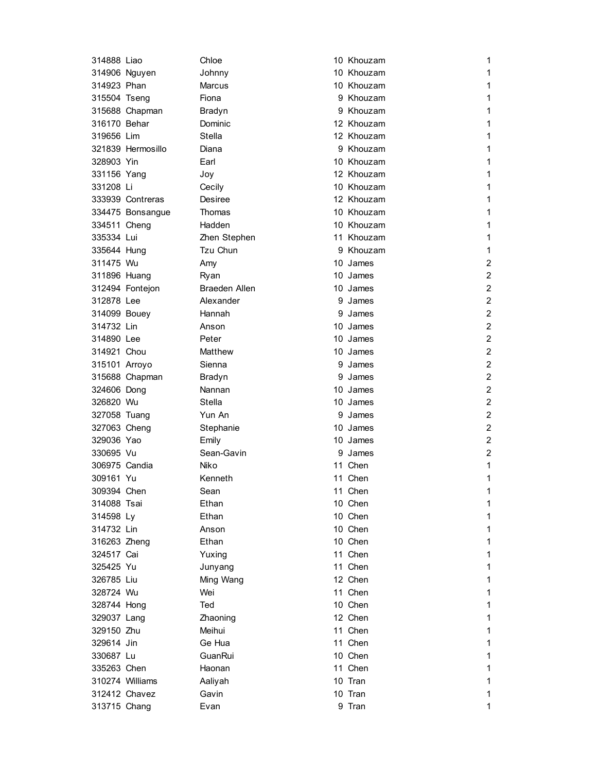| 314888 Liao   |                   | Chloe                | 10 Khouzam | 1              |
|---------------|-------------------|----------------------|------------|----------------|
|               | 314906 Nguyen     | Johnny               | 10 Khouzam | 1              |
| 314923 Phan   |                   | Marcus               | 10 Khouzam | 1              |
| 315504 Tseng  |                   | Fiona                | 9 Khouzam  | 1              |
|               | 315688 Chapman    | Bradyn               | 9 Khouzam  | 1              |
| 316170 Behar  |                   | Dominic              | 12 Khouzam | 1              |
| 319656 Lim    |                   | Stella               | 12 Khouzam | 1              |
|               | 321839 Hermosillo | Diana                | 9 Khouzam  | 1              |
| 328903 Yin    |                   | Earl                 | 10 Khouzam | 1              |
| 331156 Yang   |                   | Joy                  | 12 Khouzam | 1              |
| 331208 Li     |                   | Cecily               | 10 Khouzam | 1              |
|               | 333939 Contreras  | Desiree              | 12 Khouzam | 1              |
|               | 334475 Bonsangue  | Thomas               | 10 Khouzam | 1              |
| 334511 Cheng  |                   | Hadden               | 10 Khouzam | 1              |
| 335334 Lui    |                   | Zhen Stephen         | 11 Khouzam | 1              |
| 335644 Hung   |                   | Tzu Chun             | 9 Khouzam  | 1              |
| 311475 Wu     |                   | Amy                  | 10 James   | 2              |
| 311896 Huang  |                   | Ryan                 | 10 James   | 2              |
|               | 312494 Fontejon   | <b>Braeden Allen</b> | 10 James   | 2              |
| 312878 Lee    |                   | Alexander            | 9 James    | $\overline{2}$ |
| 314099 Bouey  |                   | Hannah               | 9 James    | $\overline{c}$ |
| 314732 Lin    |                   | Anson                | 10 James   | $\overline{c}$ |
| 314890 Lee    |                   | Peter                | 10 James   | $\overline{2}$ |
| 314921 Chou   |                   | Matthew              | 10 James   | $\overline{2}$ |
| 315101 Arroyo |                   | Sienna               | 9 James    | 2              |
|               | 315688 Chapman    | Bradyn               | 9 James    | $\overline{2}$ |
| 324606 Dong   |                   | Nannan               | 10 James   | 2              |
| 326820 Wu     |                   | Stella               | 10 James   | $\overline{c}$ |
| 327058 Tuang  |                   | Yun An               | 9 James    | $\overline{2}$ |
| 327063 Cheng  |                   | Stephanie            | 10 James   | 2              |
| 329036 Yao    |                   | Emily                | 10 James   | 2              |
| 330695 Vu     |                   | Sean-Gavin           | 9 James    | $\overline{2}$ |
| 306975 Candia |                   | Niko                 | 11 Chen    | 1              |
| 309161 Yu     |                   | Kenneth              | 11 Chen    | 1              |
| 309394 Chen   |                   | Sean                 | 11 Chen    | 1              |
| 314088 Tsai   |                   | Ethan                | 10 Chen    | 1              |
| 314598 Ly     |                   | Ethan                | 10 Chen    | 1              |
| 314732 Lin    |                   | Anson                | 10 Chen    | 1              |
| 316263 Zheng  |                   | Ethan                | 10 Chen    | 1              |
| 324517 Cai    |                   | Yuxing               | 11 Chen    | $\mathbf{1}$   |
| 325425 Yu     |                   | Junyang              | 11 Chen    | $\mathbf{1}$   |
| 326785 Liu    |                   | Ming Wang            | 12 Chen    | 1              |
| 328724 Wu     |                   | Wei                  | 11 Chen    | $\mathbf{1}$   |
| 328744 Hong   |                   | Ted                  | 10 Chen    | 1              |
| 329037 Lang   |                   | Zhaoning             | 12 Chen    | 1              |
| 329150 Zhu    |                   | Meihui               | 11 Chen    | 1              |
| 329614 Jin    |                   | Ge Hua               | 11 Chen    | 1              |
| 330687 Lu     |                   | GuanRui              | 10 Chen    | 1              |
| 335263 Chen   |                   | Haonan               | 11 Chen    | $\mathbf{1}$   |
|               | 310274 Williams   | Aaliyah              | 10 Tran    | 1              |
|               | 312412 Chavez     | Gavin                | 10 Tran    | 1              |
| 313715 Chang  |                   | Evan                 | 9 Tran     | 1              |
|               |                   |                      |            |                |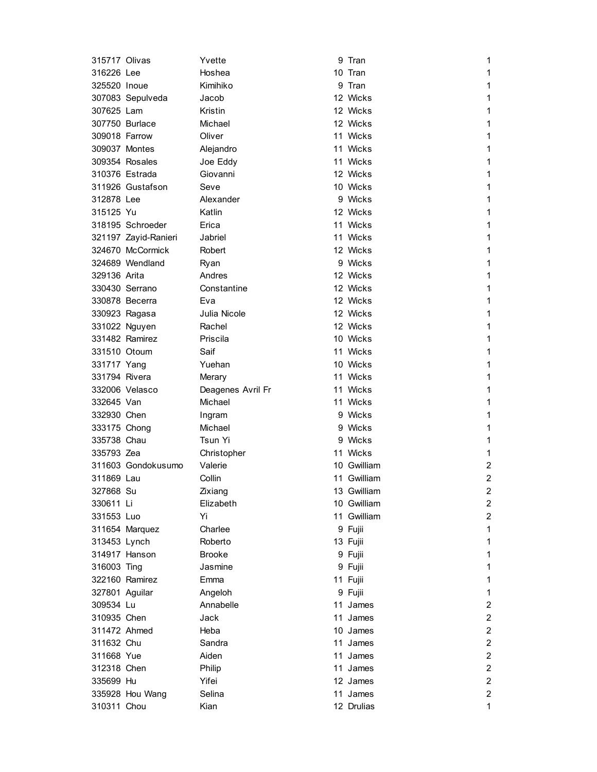| 315717 Olivas  |                      | Yvette            | 9 Tran      | 1              |
|----------------|----------------------|-------------------|-------------|----------------|
| 316226 Lee     |                      | Hoshea            | 10 Tran     | 1              |
| 325520 Inoue   |                      | Kimihiko          | 9 Tran      | 1              |
|                | 307083 Sepulveda     | Jacob             | 12 Wicks    | 1              |
| 307625 Lam     |                      | Kristin           | 12 Wicks    | 1              |
|                | 307750 Burlace       | Michael           | 12 Wicks    | 1              |
| 309018 Farrow  |                      | Oliver            | 11 Wicks    | 1              |
| 309037 Montes  |                      | Alejandro         | 11 Wicks    | 1              |
|                | 309354 Rosales       | Joe Eddy          | 11 Wicks    | 1              |
|                | 310376 Estrada       | Giovanni          | 12 Wicks    | 1              |
|                | 311926 Gustafson     | Seve              | 10 Wicks    | 1              |
| 312878 Lee     |                      | Alexander         | 9 Wicks     | 1              |
| 315125 Yu      |                      | Katlin            | 12 Wicks    | 1              |
|                | 318195 Schroeder     | Erica             | 11 Wicks    | 1              |
|                | 321197 Zayid-Ranieri | Jabriel           | 11 Wicks    | 1              |
|                | 324670 McCormick     | Robert            | 12 Wicks    | 1              |
|                | 324689 Wendland      | Ryan              | 9 Wicks     | 1              |
| 329136 Arita   |                      | Andres            | 12 Wicks    | 1              |
|                | 330430 Serrano       | Constantine       | 12 Wicks    | 1              |
|                | 330878 Becerra       | Eva               | 12 Wicks    | 1              |
|                | 330923 Ragasa        | Julia Nicole      | 12 Wicks    | 1              |
|                | 331022 Nguyen        | Rachel            | 12 Wicks    | 1              |
|                | 331482 Ramirez       | Priscila          | 10 Wicks    | 1              |
| 331510 Otoum   |                      | Saif              | 11 Wicks    | 1              |
| 331717 Yang    |                      | Yuehan            | 10 Wicks    | 1              |
| 331794 Rivera  |                      | Merary            | 11 Wicks    | 1              |
|                | 332006 Velasco       | Deagenes Avril Fr | 11 Wicks    | 1              |
| 332645 Van     |                      | Michael           | 11 Wicks    | 1              |
| 332930 Chen    |                      | Ingram            | 9 Wicks     | 1              |
| 333175 Chong   |                      | Michael           | 9 Wicks     | 1              |
| 335738 Chau    |                      | Tsun Yi           | 9 Wicks     | 1              |
| 335793 Zea     |                      | Christopher       | 11 Wicks    | 1              |
|                | 311603 Gondokusumo   | Valerie           | 10 Gwilliam | 2              |
| 311869 Lau     |                      | Collin            | 11 Gwilliam | 2              |
| 327868 Su      |                      | Zixiang           | 13 Gwilliam | 2              |
| 330611 Li      |                      | Elizabeth         | 10 Gwilliam | 2              |
| 331553 Luo     |                      | Yi                | 11 Gwilliam | $\overline{a}$ |
|                | 311654 Marquez       | Charlee           | 9 Fujii     | $\mathbf{1}$   |
| 313453 Lynch   |                      | Roberto           | 13 Fujii    | $\mathbf{1}$   |
|                | 314917 Hanson        | <b>Brooke</b>     | 9 Fujii     | $\mathbf{1}$   |
| 316003 Ting    |                      | Jasmine           | 9 Fujii     | 1              |
|                | 322160 Ramirez       | Emma              | 11 Fujii    | 1              |
| 327801 Aguilar |                      | Angeloh           | 9 Fujii     | $\mathbf{1}$   |
| 309534 Lu      |                      | Annabelle         | 11 James    | $\overline{2}$ |
| 310935 Chen    |                      | Jack              | 11 James    | $\overline{c}$ |
| 311472 Ahmed   |                      | Heba              | 10 James    | $\overline{a}$ |
| 311632 Chu     |                      | Sandra            | 11 James    | $\overline{2}$ |
| 311668 Yue     |                      | Aiden             | 11 James    | $\overline{c}$ |
| 312318 Chen    |                      | Philip            | 11 James    | $\overline{2}$ |
| 335699 Hu      |                      | Yifei             | 12 James    | $\overline{2}$ |
|                | 335928 Hou Wang      | Selina            | 11 James    | $\overline{2}$ |
| 310311 Chou    |                      | Kian              | 12 Drulias  | $\mathbf{1}$   |
|                |                      |                   |             |                |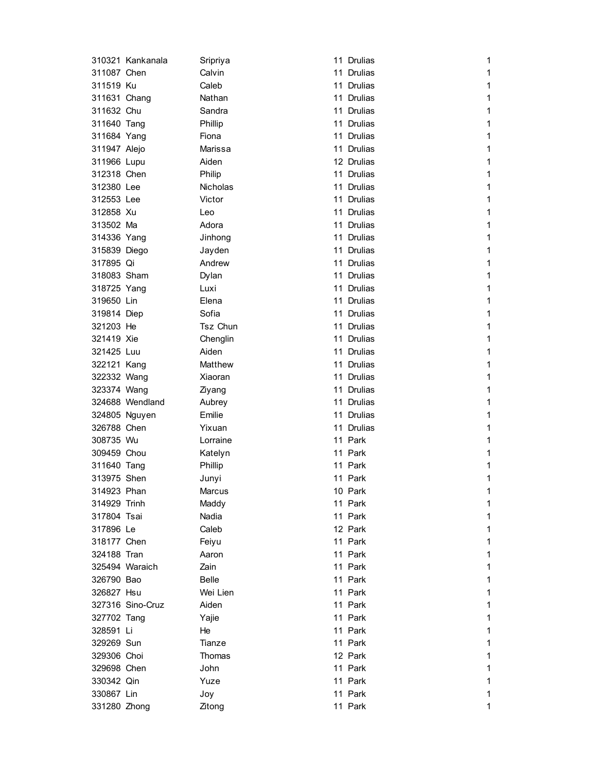|              | 310321 Kankanala | Sripriya     | 11 Drulias | 1            |
|--------------|------------------|--------------|------------|--------------|
| 311087 Chen  |                  | Calvin       | 11 Drulias | 1            |
| 311519 Ku    |                  | Caleb        | 11 Drulias | 1            |
| 311631 Chang |                  | Nathan       | 11 Drulias | 1            |
| 311632 Chu   |                  | Sandra       | 11 Drulias | 1            |
| 311640 Tang  |                  | Phillip      | 11 Drulias | 1            |
| 311684 Yang  |                  | Fiona        | 11 Drulias | 1            |
| 311947 Alejo |                  | Marissa      | 11 Drulias | 1            |
| 311966 Lupu  |                  | Aiden        | 12 Drulias | 1            |
| 312318 Chen  |                  | Philip       | 11 Drulias | 1            |
| 312380 Lee   |                  | Nicholas     | 11 Drulias | 1            |
| 312553 Lee   |                  | Victor       | 11 Drulias | 1            |
| 312858 Xu    |                  | Leo          | 11 Drulias | 1            |
| 313502 Ma    |                  | Adora        | 11 Drulias | 1            |
| 314336 Yang  |                  | Jinhong      | 11 Drulias | 1            |
| 315839 Diego |                  | Jayden       | 11 Drulias | 1            |
| 317895 Qi    |                  | Andrew       | 11 Drulias | 1            |
| 318083 Sham  |                  | Dylan        | 11 Drulias | 1            |
| 318725 Yang  |                  | Luxi         | 11 Drulias | 1            |
| 319650 Lin   |                  | Elena        | 11 Drulias | 1            |
| 319814 Diep  |                  | Sofia        | 11 Drulias | 1            |
| 321203 He    |                  | Tsz Chun     | 11 Drulias | 1            |
| 321419 Xie   |                  | Chenglin     | 11 Drulias | 1            |
| 321425 Luu   |                  | Aiden        | 11 Drulias | 1            |
| 322121 Kang  |                  | Matthew      | 11 Drulias | 1            |
| 322332 Wang  |                  | Xiaoran      | 11 Drulias | 1            |
| 323374 Wang  |                  | Ziyang       | 11 Drulias | 1            |
|              | 324688 Wendland  | Aubrey       | 11 Drulias | 1            |
|              | 324805 Nguyen    | Emilie       | 11 Drulias | 1            |
| 326788 Chen  |                  | Yixuan       | 11 Drulias | 1            |
| 308735 Wu    |                  | Lorraine     | 11 Park    | 1            |
| 309459 Chou  |                  | Katelyn      | 11 Park    | 1            |
| 311640 Tang  |                  | Phillip      | 11 Park    | 1            |
| 313975 Shen  |                  | Junyi        | 11 Park    | 1            |
| 314923 Phan  |                  | Marcus       | 10 Park    | 1            |
| 314929 Trinh |                  | Maddy        | 11 Park    | 1            |
| 317804 Tsai  |                  | Nadia        | 11 Park    | 1            |
| 317896 Le    |                  | Caleb        | 12 Park    | 1            |
| 318177 Chen  |                  | Feiyu        | 11 Park    | 1            |
| 324188 Tran  |                  | Aaron        | 11 Park    | $\mathbf{1}$ |
|              | 325494 Waraich   | Zain         | 11 Park    | $\mathbf{1}$ |
| 326790 Bao   |                  | <b>Belle</b> | 11 Park    | 1            |
| 326827 Hsu   |                  | Wei Lien     | 11 Park    | 1            |
|              | 327316 Sino-Cruz | Aiden        | 11 Park    | 1            |
| 327702 Tang  |                  | Yajie        | 11 Park    | 1            |
| 328591 Li    |                  | He           | 11 Park    | $\mathbf{1}$ |
| 329269 Sun   |                  | Tianze       | 11 Park    | 1            |
| 329306 Choi  |                  | Thomas       | 12 Park    | 1            |
| 329698 Chen  |                  | John         | 11 Park    | 1            |
| 330342 Qin   |                  | Yuze         | 11 Park    | 1            |
| 330867 Lin   |                  | Joy          | 11 Park    | 1            |
| 331280 Zhong |                  | Zitong       | 11 Park    | 1            |
|              |                  |              |            |              |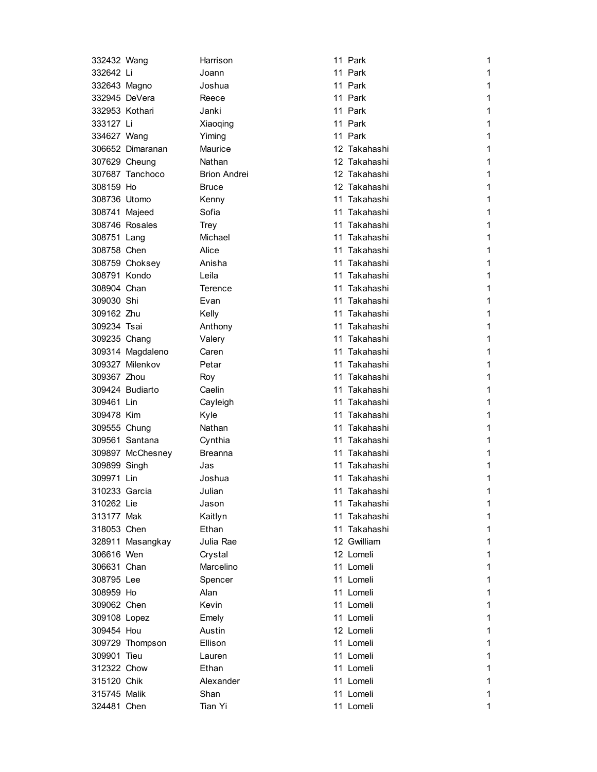| 332432 Wang    |                                     | Harrison            | 11 Park                      | 1            |
|----------------|-------------------------------------|---------------------|------------------------------|--------------|
| 332642 Li      |                                     | Joann               | 11 Park                      | 1            |
| 332643 Magno   |                                     | Joshua              | 11 Park                      | 1            |
| 332945 DeVera  |                                     | Reece               | 11 Park                      | 1            |
| 332953 Kothari |                                     | Janki               | 11 Park                      | 1            |
| 333127 Li      |                                     | Xiaoqing            | 11 Park                      | 1            |
| 334627 Wang    |                                     | Yiming              | 11 Park                      | 1            |
|                | 306652 Dimaranan                    | Maurice             | 12 Takahashi                 | 1            |
|                | 307629 Cheung                       | Nathan              | 12 Takahashi                 | 1            |
|                | 307687 Tanchoco                     | <b>Brion Andrei</b> | 12 Takahashi                 | 1            |
| 308159 Ho      |                                     | <b>Bruce</b>        | 12 Takahashi                 | 1            |
| 308736 Utomo   |                                     | Kenny               | 11 Takahashi                 | 1            |
| 308741 Majeed  |                                     | Sofia               | 11 Takahashi                 | 1            |
|                | 308746 Rosales                      | Trey                | 11 Takahashi                 | 1            |
| 308751 Lang    |                                     | Michael             | 11 Takahashi                 | 1            |
| 308758 Chen    |                                     | Alice               | 11 Takahashi                 | 1            |
|                | 308759 Choksey                      | Anisha              | 11 Takahashi                 | 1            |
| 308791 Kondo   |                                     | Leila               | 11 Takahashi                 | 1            |
| 308904 Chan    |                                     | Terence             | 11 Takahashi                 | 1            |
| 309030 Shi     |                                     | Evan                | 11 Takahashi                 | 1            |
| 309162 Zhu     |                                     | Kelly               | 11 Takahashi                 | 1            |
| 309234 Tsai    |                                     | Anthony             | 11 Takahashi                 | 1            |
| 309235 Chang   |                                     | Valery              | 11 Takahashi                 | 1            |
|                |                                     | Caren               | 11 Takahashi                 | 1            |
|                | 309314 Magdaleno<br>309327 Milenkov | Petar               | 11 Takahashi                 | 1            |
| 309367 Zhou    |                                     |                     | 11 Takahashi                 | 1            |
|                |                                     | Roy                 |                              |              |
| 309461 Lin     | 309424 Budiarto                     | Caelin              | 11 Takahashi<br>11 Takahashi | 1<br>1       |
|                |                                     | Cayleigh            |                              |              |
| 309478 Kim     |                                     | Kyle                | 11 Takahashi                 | 1            |
| 309555 Chung   |                                     | Nathan              | 11 Takahashi                 | 1            |
|                | 309561 Santana                      | Cynthia             | 11 Takahashi                 | 1            |
|                | 309897 McChesney                    | Breanna             | 11 Takahashi                 | 1            |
| 309899 Singh   |                                     | Jas                 | 11 Takahashi                 | 1            |
| 309971 Lin     |                                     | Joshua              | 11 Takahashi                 | 1            |
| 310233 Garcia  |                                     | Julian              | 11 Takahashi                 | 1            |
| 310262 Lie     |                                     | Jason               | 11 Takahashi                 | 1            |
| 313177 Mak     |                                     | Kaitlyn             | 11 Takahashi                 | 1            |
| 318053 Chen    |                                     | Ethan               | 11 Takahashi                 | 1            |
|                | 328911 Masangkay                    | Julia Rae           | 12 Gwilliam                  | 1            |
| 306616 Wen     |                                     | Crystal             | 12 Lomeli                    | 1            |
| 306631 Chan    |                                     | Marcelino           | 11 Lomeli                    | $\mathbf{1}$ |
| 308795 Lee     |                                     | Spencer             | 11 Lomeli                    | $\mathbf{1}$ |
| 308959 Ho      |                                     | Alan                | 11 Lomeli                    | 1            |
| 309062 Chen    |                                     | Kevin               | 11 Lomeli                    | $\mathbf{1}$ |
| 309108 Lopez   |                                     | Emely               | 11 Lomeli                    | 1            |
| 309454 Hou     |                                     | Austin              | 12 Lomeli                    | 1            |
|                | 309729 Thompson                     | Ellison             | 11 Lomeli                    | 1            |
| 309901 Tieu    |                                     | Lauren              | 11 Lomeli                    | 1            |
| 312322 Chow    |                                     | Ethan               | 11 Lomeli                    | 1            |
| 315120 Chik    |                                     | Alexander           | 11 Lomeli                    | 1            |
| 315745 Malik   |                                     | Shan                | 11 Lomeli                    | 1            |
| 324481 Chen    |                                     | Tian Yi             | 11 Lomeli                    | 1            |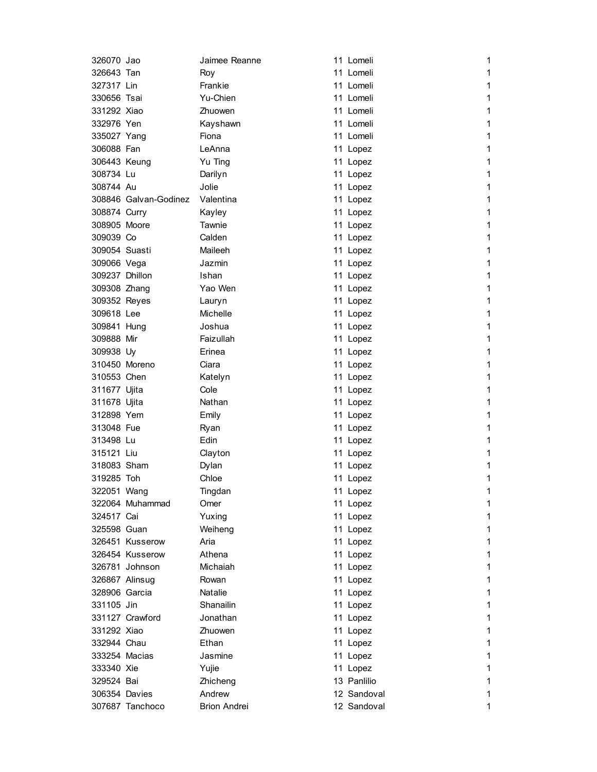| 326070 Jao     |                       | Jaimee Reanne       | 11 Lomeli   | 1            |
|----------------|-----------------------|---------------------|-------------|--------------|
| 326643 Tan     |                       | Roy                 | 11 Lomeli   | 1            |
| 327317 Lin     |                       | Frankie             | 11 Lomeli   | 1            |
| 330656 Tsai    |                       | Yu-Chien            | 11 Lomeli   | 1            |
| 331292 Xiao    |                       | Zhuowen             | 11 Lomeli   | 1            |
| 332976 Yen     |                       | Kayshawn            | 11 Lomeli   | 1            |
| 335027 Yang    |                       | Fiona               | 11 Lomeli   | 1            |
| 306088 Fan     |                       | LeAnna              | 11 Lopez    | 1            |
| 306443 Keung   |                       | Yu Ting             | 11 Lopez    | 1            |
| 308734 Lu      |                       | Darilyn             | 11 Lopez    | 1            |
| 308744 Au      |                       | Jolie               | 11 Lopez    | 1            |
|                | 308846 Galvan-Godinez | Valentina           | 11 Lopez    | 1            |
| 308874 Curry   |                       | Kayley              | 11 Lopez    | 1            |
| 308905 Moore   |                       | Tawnie              | 11 Lopez    | 1            |
| 309039 Co      |                       | Calden              | 11 Lopez    | 1            |
| 309054 Suasti  |                       | Maileeh             | 11 Lopez    | 1            |
| 309066 Vega    |                       | Jazmin              | 11 Lopez    | 1            |
| 309237 Dhillon |                       | Ishan               | 11 Lopez    | 1            |
| 309308 Zhang   |                       | Yao Wen             | 11 Lopez    | 1            |
| 309352 Reyes   |                       | Lauryn              | 11 Lopez    | 1            |
| 309618 Lee     |                       | Michelle            | 11 Lopez    | 1            |
| 309841 Hung    |                       | Joshua              | 11 Lopez    | 1            |
| 309888 Mir     |                       | Faizullah           | 11 Lopez    | 1            |
| 309938 Uy      |                       | Erinea              | 11 Lopez    | 1            |
| 310450 Moreno  |                       | Ciara               | 11 Lopez    | 1            |
| 310553 Chen    |                       | Katelyn             | 11 Lopez    | 1            |
| 311677 Ujita   |                       | Cole                | 11 Lopez    | 1            |
| 311678 Ujita   |                       | Nathan              | 11 Lopez    | 1            |
| 312898 Yem     |                       | Emily               | 11 Lopez    | 1            |
| 313048 Fue     |                       | Ryan                | 11 Lopez    | 1            |
| 313498 Lu      |                       | Edin                | 11 Lopez    | 1            |
| 315121 Liu     |                       | Clayton             | 11 Lopez    | 1            |
| 318083 Sham    |                       | Dylan               | 11 Lopez    | 1            |
| 319285 Toh     |                       | Chloe               | 11 Lopez    | 1            |
| 322051 Wang    |                       | Tingdan             | 11 Lopez    | 1            |
|                | 322064 Muhammad       | Omer                | 11 Lopez    | 1            |
| 324517 Cai     |                       | Yuxing              | 11 Lopez    | 1            |
| 325598 Guan    |                       | Weiheng             | 11 Lopez    | $\mathbf{1}$ |
|                | 326451 Kusserow       | Aria                | 11 Lopez    | $\mathbf{1}$ |
|                | 326454 Kusserow       | Athena              | 11 Lopez    | 1            |
|                | 326781 Johnson        | Michaiah            | 11 Lopez    | 1            |
|                | 326867 Alinsug        | Rowan               | 11 Lopez    | 1            |
| 328906 Garcia  |                       | Natalie             | 11 Lopez    | 1            |
| 331105 Jin     |                       | Shanailin           | 11 Lopez    | 1            |
|                | 331127 Crawford       | Jonathan            | 11 Lopez    | 1            |
| 331292 Xiao    |                       | Zhuowen             | 11 Lopez    | 1            |
| 332944 Chau    |                       | Ethan               | 11 Lopez    | 1            |
| 333254 Macias  |                       | Jasmine             | 11 Lopez    | 1            |
| 333340 Xie     |                       | Yujie               | 11 Lopez    | 1            |
| 329524 Bai     |                       | Zhicheng            | 13 Panlilio | 1            |
| 306354 Davies  |                       | Andrew              | 12 Sandoval | 1            |
|                | 307687 Tanchoco       | <b>Brion Andrei</b> | 12 Sandoval | 1            |
|                |                       |                     |             |              |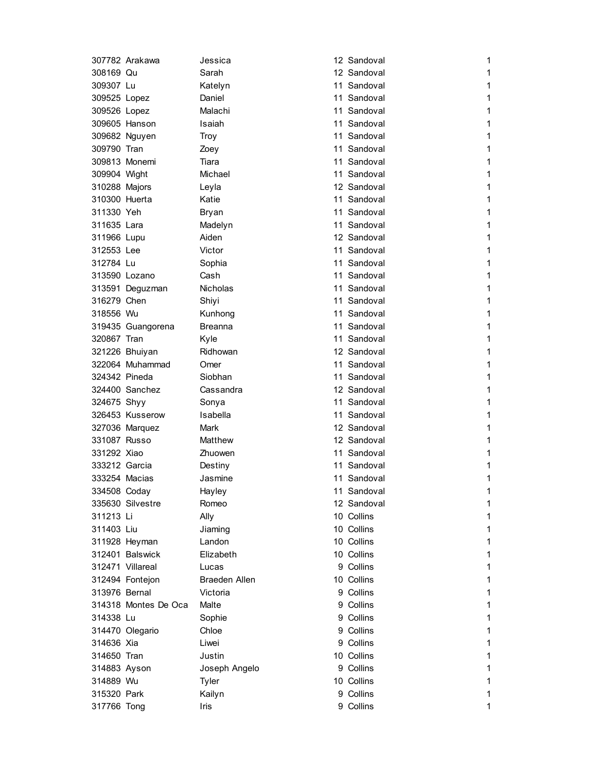|               | 307782 Arakawa       | Jessica              | 12 Sandoval | 1            |
|---------------|----------------------|----------------------|-------------|--------------|
| 308169 Qu     |                      | Sarah                | 12 Sandoval | 1            |
| 309307 Lu     |                      | Katelyn              | 11 Sandoval | 1            |
| 309525 Lopez  |                      | Daniel               | 11 Sandoval | 1            |
| 309526 Lopez  |                      | Malachi              | 11 Sandoval | 1            |
|               | 309605 Hanson        | Isaiah               | 11 Sandoval | 1            |
|               | 309682 Nguyen        | <b>Troy</b>          | 11 Sandoval | 1            |
| 309790 Tran   |                      | Zoey                 | 11 Sandoval | 1            |
|               | 309813 Monemi        | Tiara                | 11 Sandoval | 1            |
| 309904 Wight  |                      | Michael              | 11 Sandoval | 1            |
| 310288 Majors |                      | Leyla                | 12 Sandoval | 1            |
| 310300 Huerta |                      | Katie                | 11 Sandoval | 1            |
| 311330 Yeh    |                      | Bryan                | 11 Sandoval | 1            |
| 311635 Lara   |                      | Madelyn              | 11 Sandoval | 1            |
| 311966 Lupu   |                      | Aiden                | 12 Sandoval | 1            |
| 312553 Lee    |                      | Victor               | 11 Sandoval | 1            |
| 312784 Lu     |                      | Sophia               | 11 Sandoval | 1            |
| 313590 Lozano |                      | Cash                 | 11 Sandoval | 1            |
|               | 313591 Deguzman      | Nicholas             | 11 Sandoval | 1            |
| 316279 Chen   |                      | Shiyi                | 11 Sandoval | 1            |
| 318556 Wu     |                      | Kunhong              | 11 Sandoval | 1            |
|               | 319435 Guangorena    | <b>Breanna</b>       | 11 Sandoval | 1            |
| 320867 Tran   |                      | Kyle                 | 11 Sandoval | 1            |
|               | 321226 Bhuiyan       | Ridhowan             | 12 Sandoval | 1            |
|               | 322064 Muhammad      | Omer                 | 11 Sandoval | 1            |
| 324342 Pineda |                      | Siobhan              | 11 Sandoval | 1            |
|               | 324400 Sanchez       | Cassandra            | 12 Sandoval | 1            |
| 324675 Shyy   |                      | Sonya                | 11 Sandoval | 1            |
|               | 326453 Kusserow      | Isabella             | 11 Sandoval | 1            |
|               |                      |                      | 12 Sandoval | 1            |
| 331087 Russo  | 327036 Marquez       | Mark<br>Matthew      | 12 Sandoval | 1            |
| 331292 Xiao   |                      |                      | 11 Sandoval |              |
|               |                      | Zhuowen              |             | 1            |
| 333212 Garcia |                      | Destiny              | 11 Sandoval | 1            |
| 333254 Macias |                      | Jasmine              | 11 Sandoval | 1            |
| 334508 Coday  |                      | Hayley               | 11 Sandoval | 1            |
|               | 335630 Silvestre     | Romeo                | 12 Sandoval | 1            |
| 311213 Li     |                      | Ally                 | 10 Collins  | 1            |
| 311403 Liu    |                      | Jiaming              | 10 Collins  | 1            |
|               | 311928 Heyman        | Landon               | 10 Collins  | 1            |
|               | 312401 Balswick      | Elizabeth            | 10 Collins  | 1            |
|               | 312471 Villareal     | Lucas                | 9 Collins   | $\mathbf{1}$ |
|               | 312494 Fontejon      | <b>Braeden Allen</b> | 10 Collins  | $\mathbf 1$  |
| 313976 Bernal |                      | Victoria             | 9 Collins   | 1            |
|               | 314318 Montes De Oca | Malte                | 9 Collins   | 1            |
| 314338 Lu     |                      | Sophie               | 9 Collins   | 1            |
|               | 314470 Olegario      | Chloe                | 9 Collins   | 1            |
| 314636 Xia    |                      | Liwei                | 9 Collins   | 1            |
| 314650 Tran   |                      | Justin               | 10 Collins  | 1            |
| 314883 Ayson  |                      | Joseph Angelo        | 9 Collins   | 1            |
| 314889 Wu     |                      | Tyler                | 10 Collins  | $\mathbf{1}$ |
| 315320 Park   |                      | Kailyn               | 9 Collins   | 1            |
| 317766 Tong   |                      | Iris                 | 9 Collins   | 1            |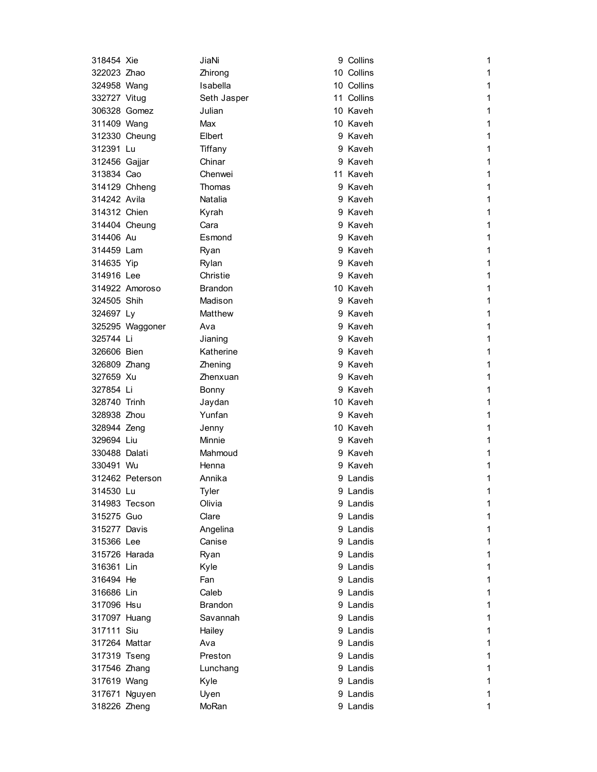| 318454 Xie    |                 | JiaNi          | 9 Collins  | 1            |
|---------------|-----------------|----------------|------------|--------------|
| 322023 Zhao   |                 | Zhirong        | 10 Collins | 1            |
| 324958 Wang   |                 | Isabella       | 10 Collins | 1            |
| 332727 Vitug  |                 | Seth Jasper    | 11 Collins | $\mathbf{1}$ |
| 306328 Gomez  |                 | Julian         | 10 Kaveh   | 1            |
| 311409 Wang   |                 | Max            | 10 Kaveh   | 1            |
|               | 312330 Cheung   | Elbert         | 9 Kaveh    | 1            |
| 312391 Lu     |                 | Tiffany        | 9 Kaveh    | 1            |
| 312456 Gajjar |                 | Chinar         | 9 Kaveh    | 1            |
| 313834 Cao    |                 | Chenwei        | 11 Kaveh   | 1            |
|               | 314129 Chheng   | Thomas         | 9 Kaveh    | 1            |
| 314242 Avila  |                 | Natalia        | 9 Kaveh    | 1            |
| 314312 Chien  |                 | Kyrah          | 9 Kaveh    | 1            |
|               | 314404 Cheung   | Cara           | 9 Kaveh    | 1            |
| 314406 Au     |                 | Esmond         | 9 Kaveh    | 1            |
| 314459 Lam    |                 | Ryan           | 9 Kaveh    | 1            |
| 314635 Yip    |                 | Rylan          | 9 Kaveh    | 1            |
| 314916 Lee    |                 | Christie       | 9 Kaveh    | 1            |
|               | 314922 Amoroso  | <b>Brandon</b> | 10 Kaveh   | 1            |
| 324505 Shih   |                 | Madison        | 9 Kaveh    | 1            |
| 324697 Ly     |                 | Matthew        | 9 Kaveh    | 1            |
|               | 325295 Waggoner | Ava            | 9 Kaveh    | 1            |
| 325744 Li     |                 | Jianing        | 9 Kaveh    | 1            |
| 326606 Bien   |                 | Katherine      | 9 Kaveh    | 1            |
| 326809 Zhang  |                 | Zhening        | 9 Kaveh    | 1            |
| 327659 Xu     |                 | Zhenxuan       | 9 Kaveh    | 1            |
| 327854 Li     |                 | Bonny          | 9 Kaveh    | 1            |
| 328740 Trinh  |                 | Jaydan         | 10 Kaveh   | 1            |
| 328938 Zhou   |                 | Yunfan         | 9 Kaveh    | 1            |
| 328944 Zeng   |                 | Jenny          | 10 Kaveh   | 1            |
| 329694 Liu    |                 | Minnie         | 9 Kaveh    | 1            |
| 330488 Dalati |                 | Mahmoud        | 9 Kaveh    | 1            |
| 330491 Wu     |                 | Henna          | 9 Kaveh    | 1            |
|               | 312462 Peterson | Annika         | 9 Landis   | 1            |
| 314530 Lu     |                 | Tyler          | 9 Landis   | 1            |
| 314983 Tecson |                 | Olivia         | 9 Landis   | 1            |
| 315275 Guo    |                 | Clare          | 9 Landis   | 1            |
| 315277 Davis  |                 | Angelina       | 9 Landis   | 1            |
| 315366 Lee    |                 | Canise         | 9 Landis   | 1            |
| 315726 Harada |                 | Ryan           | 9 Landis   | $\mathbf{1}$ |
| 316361 Lin    |                 | Kyle           | 9 Landis   | $\mathbf 1$  |
| 316494 He     |                 | Fan            | 9 Landis   | 1            |
| 316686 Lin    |                 | Caleb          | 9 Landis   | $\mathbf{1}$ |
| 317096 Hsu    |                 | <b>Brandon</b> | 9 Landis   | 1            |
| 317097 Huang  |                 | Savannah       | 9 Landis   | 1            |
| 317111 Siu    |                 | Hailey         | 9 Landis   | 1            |
| 317264 Mattar |                 | Ava            | 9 Landis   | 1            |
| 317319 Tseng  |                 | Preston        | 9 Landis   | 1            |
| 317546 Zhang  |                 | Lunchang       | 9 Landis   | 1            |
| 317619 Wang   |                 | Kyle           | 9 Landis   | 1            |
|               | 317671 Nguyen   |                | 9 Landis   | 1            |
|               |                 | Uyen           |            |              |
| 318226 Zheng  |                 | MoRan          | 9 Landis   | 1            |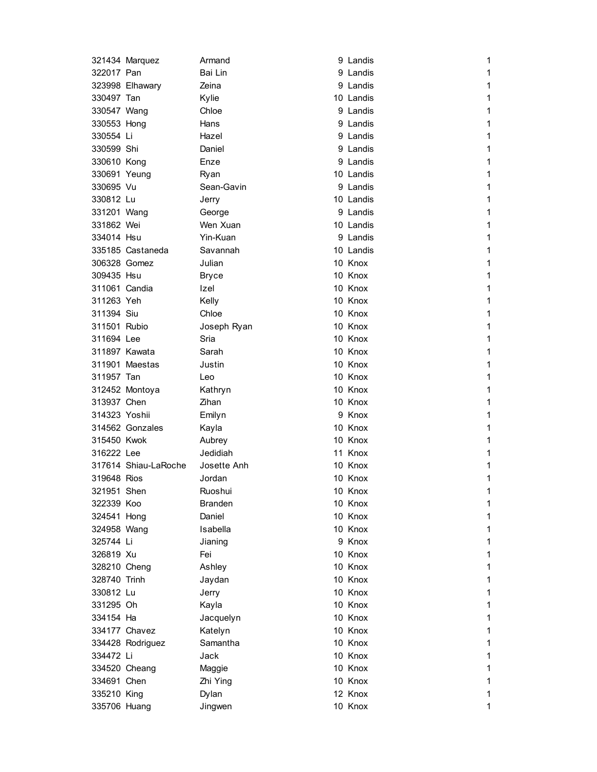|               | 321434 Marquez       | Armand       | 9 Landis  | 1           |
|---------------|----------------------|--------------|-----------|-------------|
| 322017 Pan    |                      | Bai Lin      | 9 Landis  | 1           |
|               | 323998 Elhawary      | Zeina        | 9 Landis  | 1           |
| 330497 Tan    |                      | Kylie        | 10 Landis | 1           |
| 330547 Wang   |                      | Chloe        | 9 Landis  | 1           |
| 330553 Hong   |                      | Hans         | 9 Landis  | 1           |
| 330554 Li     |                      | Hazel        | 9 Landis  | 1           |
| 330599 Shi    |                      | Daniel       | 9 Landis  | 1           |
| 330610 Kong   |                      | Enze         | 9 Landis  | 1           |
| 330691 Yeung  |                      | Ryan         | 10 Landis | 1           |
| 330695 Vu     |                      | Sean-Gavin   | 9 Landis  | 1           |
| 330812 Lu     |                      | Jerry        | 10 Landis | 1           |
| 331201 Wang   |                      | George       | 9 Landis  | 1           |
| 331862 Wei    |                      | Wen Xuan     | 10 Landis | 1           |
| 334014 Hsu    |                      | Yin-Kuan     | 9 Landis  | 1           |
|               | 335185 Castaneda     | Savannah     | 10 Landis | 1           |
| 306328 Gomez  |                      | Julian       | 10 Knox   | 1           |
| 309435 Hsu    |                      | <b>Bryce</b> | 10 Knox   | 1           |
| 311061 Candia |                      | Izel         | 10 Knox   | 1           |
| 311263 Yeh    |                      | Kelly        | 10 Knox   | 1           |
| 311394 Siu    |                      | Chloe        | 10 Knox   | 1           |
| 311501 Rubio  |                      | Joseph Ryan  | 10 Knox   | 1           |
| 311694 Lee    |                      | Sria         | 10 Knox   | 1           |
| 311897 Kawata |                      | Sarah        | 10 Knox   | 1           |
|               | 311901 Maestas       | Justin       | 10 Knox   | 1           |
| 311957 Tan    |                      | Leo          | 10 Knox   | 1           |
|               | 312452 Montoya       | Kathryn      | 10 Knox   | 1           |
| 313937 Chen   |                      | Zihan        | 10 Knox   | 1           |
| 314323 Yoshii |                      | Emilyn       | 9 Knox    | 1           |
|               | 314562 Gonzales      | Kayla        | 10 Knox   | 1           |
| 315450 Kwok   |                      | Aubrey       | 10 Knox   | 1           |
| 316222 Lee    |                      | Jedidiah     | 11 Knox   | 1           |
|               | 317614 Shiau-LaRoche | Josette Anh  | 10 Knox   | 1           |
| 319648 Rios   |                      | Jordan       | 10 Knox   | 1           |
| 321951 Shen   |                      | Ruoshui      | 10 Knox   | 1           |
| 322339 Koo    |                      | Branden      | 10 Knox   | 1           |
| 324541 Hong   |                      | Daniel       | 10 Knox   | 1           |
| 324958 Wang   |                      | Isabella     | 10 Knox   | 1           |
| 325744 Li     |                      | Jianing      | 9 Knox    | $\mathbf 1$ |
| 326819 Xu     |                      | Fei          | 10 Knox   | 1           |
| 328210 Cheng  |                      | Ashley       | 10 Knox   | 1           |
| 328740 Trinh  |                      | Jaydan       | 10 Knox   | $\mathbf 1$ |
| 330812 Lu     |                      | Jerry        | 10 Knox   | 1           |
| 331295 Oh     |                      | Kayla        | 10 Knox   | 1           |
| 334154 Ha     |                      | Jacquelyn    | 10 Knox   | $\mathbf 1$ |
|               | 334177 Chavez        | Katelyn      | 10 Knox   | 1           |
|               | 334428 Rodriguez     | Samantha     | 10 Knox   | 1           |
| 334472 Li     |                      | Jack         | 10 Knox   | 1           |
|               | 334520 Cheang        | Maggie       | 10 Knox   | 1           |
| 334691 Chen   |                      | Zhi Ying     | 10 Knox   | 1           |
| 335210 King   |                      | Dylan        | 12 Knox   | 1           |
| 335706 Huang  |                      | Jingwen      | 10 Knox   | 1           |
|               |                      |              |           |             |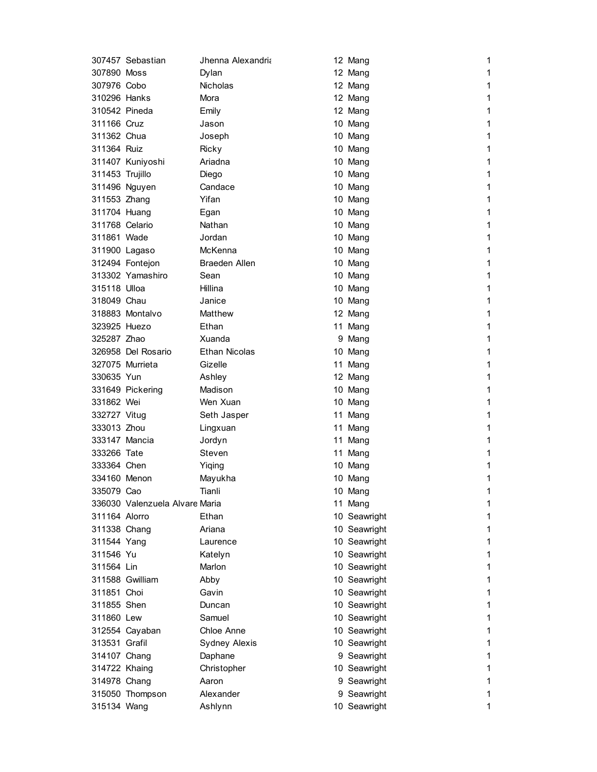|                 | 307457 Sebastian               | Jhenna Alexandria    | 12 Mang      | 1 |
|-----------------|--------------------------------|----------------------|--------------|---|
| 307890 Moss     |                                | Dylan                | 12 Mang      | 1 |
| 307976 Cobo     |                                | <b>Nicholas</b>      | 12 Mang      | 1 |
| 310296 Hanks    |                                | Mora                 | 12 Mang      | 1 |
| 310542 Pineda   |                                | Emily                | 12 Mang      | 1 |
| 311166 Cruz     |                                | Jason                | 10 Mang      | 1 |
| 311362 Chua     |                                | Joseph               | 10 Mang      | 1 |
| 311364 Ruiz     |                                | Ricky                | 10 Mang      | 1 |
|                 | 311407 Kuniyoshi               | Ariadna              | 10 Mang      | 1 |
| 311453 Trujillo |                                | Diego                | 10 Mang      | 1 |
|                 | 311496 Nguyen                  | Candace              | 10 Mang      | 1 |
| 311553 Zhang    |                                | Yifan                | 10 Mang      | 1 |
| 311704 Huang    |                                | Egan                 | 10 Mang      | 1 |
| 311768 Celario  |                                | Nathan               | 10 Mang      | 1 |
| 311861 Wade     |                                | Jordan               | 10 Mang      | 1 |
|                 | 311900 Lagaso                  | McKenna              | 10 Mang      | 1 |
|                 | 312494 Fontejon                | <b>Braeden Allen</b> | 10 Mang      | 1 |
|                 | 313302 Yamashiro               | Sean                 | 10 Mang      | 1 |
| 315118 Ulloa    |                                | Hillina              | 10 Mang      | 1 |
| 318049 Chau     |                                | Janice               | 10 Mang      | 1 |
|                 | 318883 Montalvo                | Matthew              | 12 Mang      | 1 |
| 323925 Huezo    |                                | Ethan                | 11 Mang      | 1 |
| 325287 Zhao     |                                | Xuanda               | 9 Mang       | 1 |
|                 | 326958 Del Rosario             | <b>Ethan Nicolas</b> | 10 Mang      | 1 |
|                 | 327075 Murrieta                | Gizelle              | 11 Mang      | 1 |
| 330635 Yun      |                                | Ashley               | 12 Mang      | 1 |
|                 | 331649 Pickering               | Madison              | 10 Mang      | 1 |
| 331862 Wei      |                                | Wen Xuan             | 10 Mang      | 1 |
| 332727 Vitug    |                                | Seth Jasper          | 11 Mang      | 1 |
| 333013 Zhou     |                                | Lingxuan             | 11 Mang      | 1 |
| 333147 Mancia   |                                | Jordyn               | 11 Mang      | 1 |
| 333266 Tate     |                                | Steven               | 11 Mang      | 1 |
| 333364 Chen     |                                | Yiqing               | 10 Mang      | 1 |
| 334160 Menon    |                                | Mayukha              | 10 Mang      | 1 |
| 335079 Cao      |                                | Tianli               | 10 Mang      | 1 |
|                 | 336030 Valenzuela Alvare Maria |                      | 11 Mang      | 1 |
| 311164 Alorro   |                                | Ethan                | 10 Seawright | 1 |
| 311338 Chang    |                                | Ariana               | 10 Seawright | 1 |
| 311544 Yang     |                                | Laurence             | 10 Seawright | 1 |
| 311546 Yu       |                                | Katelyn              | 10 Seawright | 1 |
| 311564 Lin      |                                | Marlon               | 10 Seawright | 1 |
|                 | 311588 Gwilliam                | Abby                 | 10 Seawright | 1 |
| 311851 Choi     |                                | Gavin                | 10 Seawright | 1 |
| 311855 Shen     |                                |                      | 10 Seawright |   |
|                 |                                | Duncan<br>Samuel     |              | 1 |
| 311860 Lew      |                                |                      | 10 Seawright | 1 |
|                 | 312554 Cayaban                 | Chloe Anne           | 10 Seawright | 1 |
| 313531 Grafil   |                                | <b>Sydney Alexis</b> | 10 Seawright | 1 |
| 314107 Chang    |                                | Daphane              | 9 Seawright  | 1 |
| 314722 Khaing   |                                | Christopher          | 10 Seawright | 1 |
| 314978 Chang    |                                | Aaron                | 9 Seawright  | 1 |
|                 | 315050 Thompson                | Alexander            | 9 Seawright  | 1 |
| 315134 Wang     |                                | Ashlynn              | 10 Seawright | 1 |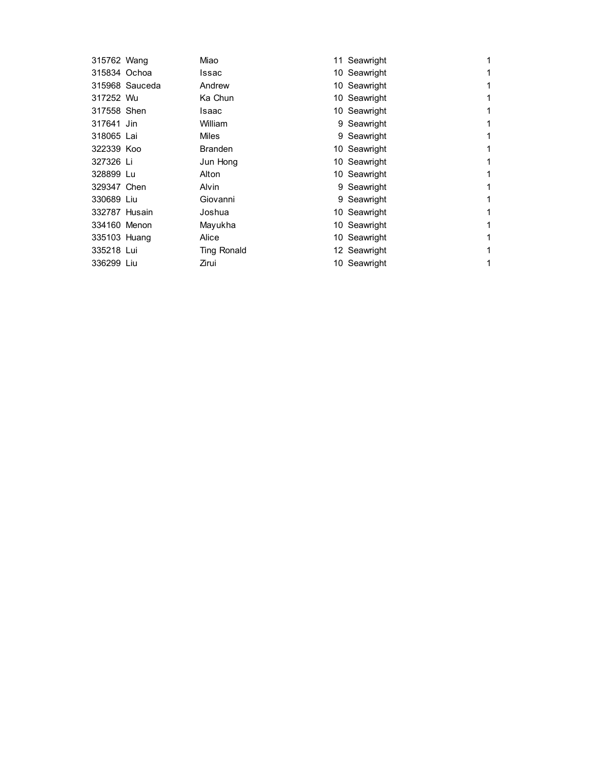| 315762 Wang    | Miao           |  | 1                                                                                                                                                                                                                                                                        |
|----------------|----------------|--|--------------------------------------------------------------------------------------------------------------------------------------------------------------------------------------------------------------------------------------------------------------------------|
| 315834 Ochoa   | Issac          |  | 1                                                                                                                                                                                                                                                                        |
| 315968 Sauceda | Andrew         |  | 1                                                                                                                                                                                                                                                                        |
| 317252 Wu      | Ka Chun        |  | 1                                                                                                                                                                                                                                                                        |
| 317558 Shen    | Isaac          |  | 1                                                                                                                                                                                                                                                                        |
| 317641 Jin     | William        |  | 1                                                                                                                                                                                                                                                                        |
| 318065 Lai     | Miles          |  | 1                                                                                                                                                                                                                                                                        |
| 322339 Koo     | <b>Branden</b> |  | 1                                                                                                                                                                                                                                                                        |
| 327326 Li      | Jun Hong       |  | 1                                                                                                                                                                                                                                                                        |
| 328899 Lu      | Alton          |  | 1                                                                                                                                                                                                                                                                        |
| 329347 Chen    | Alvin          |  | 1                                                                                                                                                                                                                                                                        |
| 330689 Liu     | Giovanni       |  | 1                                                                                                                                                                                                                                                                        |
| 332787 Husain  | Joshua         |  | 1                                                                                                                                                                                                                                                                        |
| 334160 Menon   | Mayukha        |  | 1                                                                                                                                                                                                                                                                        |
| 335103 Huang   | Alice          |  | 1                                                                                                                                                                                                                                                                        |
| 335218 Lui     | Ting Ronald    |  | 1                                                                                                                                                                                                                                                                        |
| 336299 Liu     | Zirui          |  | 1                                                                                                                                                                                                                                                                        |
|                |                |  | 11 Seawright<br>10 Seawright<br>10 Seawright<br>10 Seawright<br>10 Seawright<br>9 Seawright<br>9 Seawright<br>10 Seawright<br>10 Seawright<br>10 Seawright<br>9 Seawright<br>9 Seawright<br>10 Seawright<br>10 Seawright<br>10 Seawright<br>12 Seawright<br>10 Seawright |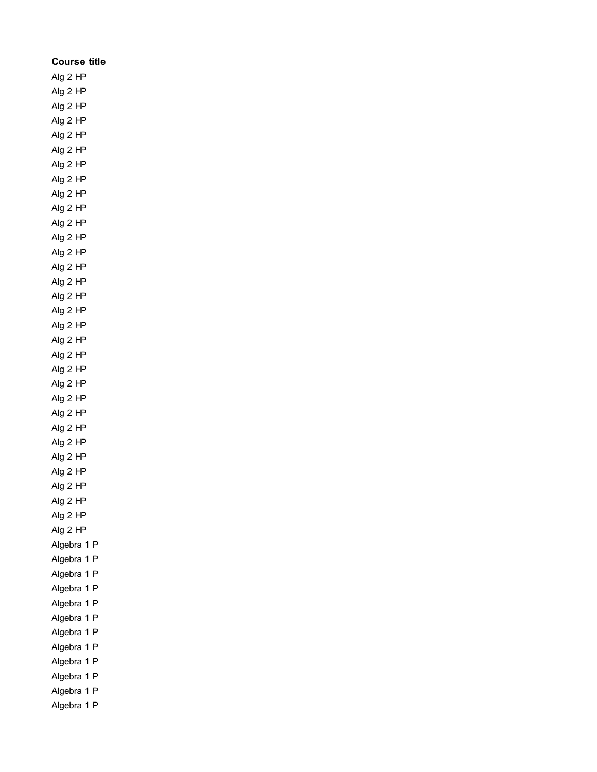| Course title         |
|----------------------|
| Alg 2 HP             |
| Alg 2 HP             |
| Alg 2 HP             |
| Alg 2 HP             |
| Alg 2 HP             |
| Alg 2 HP             |
| Alg 2 HP             |
| Alg 2 HP             |
| Alg 2 HP             |
| Alg 2 HP             |
| Alg 2 HP             |
| Alg 2 HP             |
| Alg 2 HP             |
| Alg 2 HP             |
| Alg 2 HP             |
| Alg 2 HP             |
| Alg 2 HP             |
| Alg 2 HP             |
| Alg 2 HP             |
| Alg 2 HP             |
| Alg 2 HP             |
| Alg 2 HP             |
| Alg 2 HP             |
| Alg 2 HP             |
| Alg 2 HP             |
| Alg 2 HP             |
| Alg 2 HP             |
| Alg 2 HP<br>Alg 2 HP |
|                      |
| Alg 2 HP<br>Alg 2 HP |
| Alg 2 HP             |
| Algebra<br>1<br>P    |
| Algebra<br>Ρ<br>1    |
| Algebra<br>P<br>1    |
| Algebra<br>P<br>1    |
| Algebra<br>1<br>P    |
| Algebra<br>P<br>1    |
| Algebra<br>P<br>1    |
| P<br>Algebra<br>1    |
| P<br>Algebra<br>1    |
| Algebra<br>P<br>1    |
| Algebra<br>P<br>1    |
| P<br>Algebra<br>1    |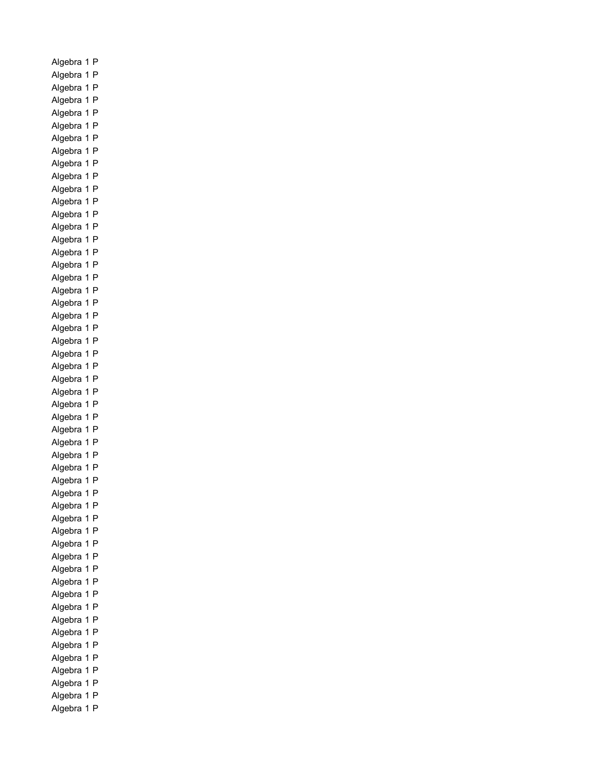Algebra 1 P Algebra 1 P Algebra 1 P Algebra 1 P Algebra 1 P Algebra 1 P Algebra 1 P Algebra 1 P Algebra 1 P Algebra 1 P Algebra 1 P Algebra 1 P Algebra 1 P Algebra 1 P Algebra 1 P Algebra 1 P Algebra 1 P Algebra 1 P Algebra 1 P Algebra 1 P Algebra 1 P Algebra 1 P Algebra 1 P Algebra 1 P Algebra 1 P Algebra 1 P Algebra 1 P Algebra 1 P Algebra 1 P Algebra 1 P Algebra 1 P Algebra 1 P Algebra 1 P Algebra 1 P Algebra 1 P Algebra 1 P Algebra 1 P Algebra 1 P Algebra 1 P Algebra 1 P Algebra 1 P Algebra 1 P Algebra 1 P Algebra 1 P Algebra 1 P Algebra 1 P Algebra 1 P Algebra 1 P Algebra 1 P Algebra 1 P Algebra 1 P Algebra 1 P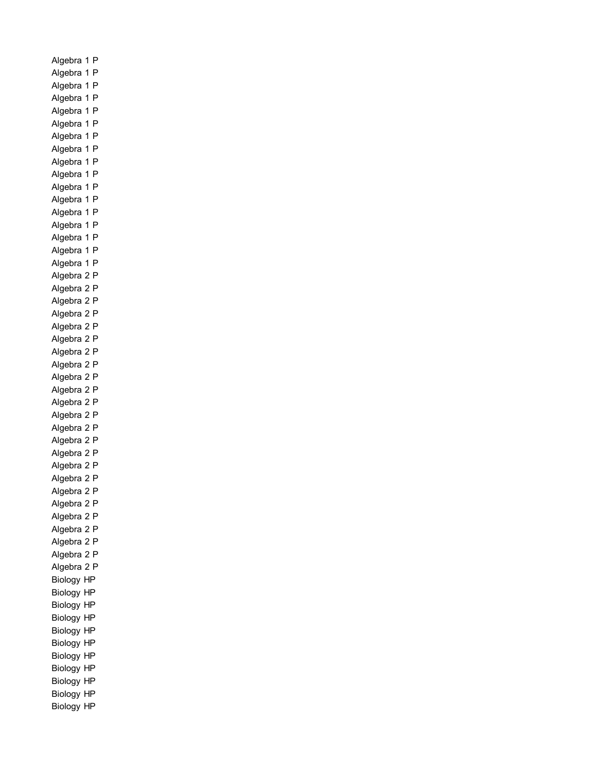Algebra 1 P Algebra 1 P Algebra 1 P Algebra 1 P Algebra 1 P Algebra 1 P Algebra 1 P Algebra 1 P Algebra 1 P Algebra 1 P Algebra 1 P Algebra 1 P Algebra 1 P Algebra 1 P Algebra 1 P Algebra 1 P Algebra 1 P Algebra 2 P Algebra 2 P Algebra 2 P Algebra 2 P Algebra 2 P Algebra 2 P Algebra 2 P Algebra 2 P Algebra 2 P Algebra 2 P Algebra 2 P Algebra 2 P Algebra 2 P Algebra 2 P Algebra 2 P Algebra 2 P Algebra 2 P Algebra 2 P Algebra 2 P Algebra 2 P Algebra 2 P Algebra 2 P Algebra 2 P Algebra 2 P Biology HP Biology HP Biology HP Biology HP Biology HP Biology HP Biology HP Biology HP Biology HP Biology HP Biology HP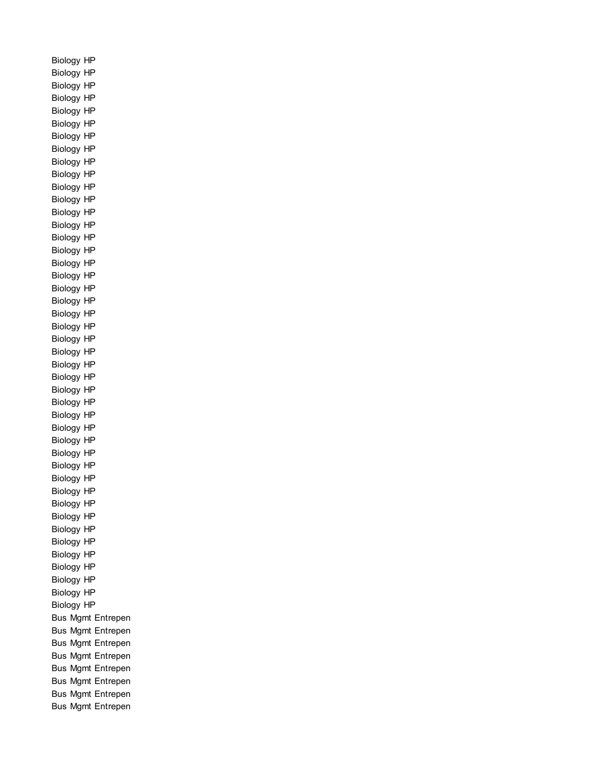Biology HP Biology HP Biology HP Biology HP Biology HP Biology HP Biology HP Biology HP Biology HP Biology HP Biology HP Biology HP Biology HP Biology HP Biology HP Biology HP Biology HP Biology HP Biology HP Biology HP Biology HP Biology HP Biology HP Biology HP Biology HP Biology HP Biology HP Biology HP Biology HP Biology HP Biology HP Biology HP Biology HP Biology HP Biology HP Biology HP Biology HP Biology HP Biology HP Biology HP Biology HP Biology HP Biology HP Biology HP Bus Mgmt Entrepen Bus Mgmt Entrepen Bus Mgmt Entrepen Bus Mgmt Entrepen Bus Mgmt Entrepen Bus Mgmt Entrepen Bus Mgmt Entrepen Bus Mgmt Entrepen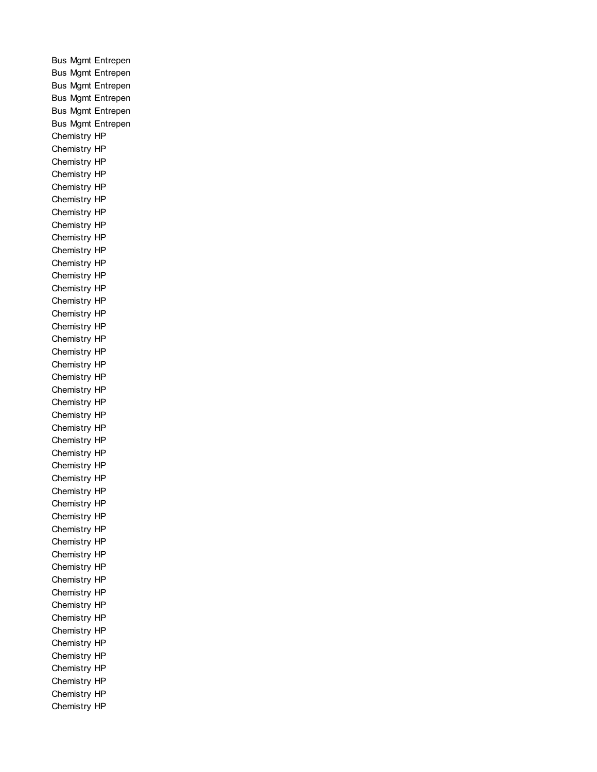Bus Mgmt Entrepen Bus Mgmt Entrepen Bus Mgmt Entrepen Bus Mgmt Entrepen Bus Mgmt Entrepen Bus Mgmt Entrepen Chemistry HP Chemistry HP Chemistry HP Chemistry HP Chemistry HP Chemistry HP Chemistry HP Chemistry HP Chemistry HP Chemistry HP Chemistry HP Chemistry HP Chemistry HP Chemistry HP Chemistry HP Chemistry HP Chemistry HP Chemistry HP Chemistry HP Chemistry HP Chemistry HP Chemistry HP Chemistry HP Chemistry HP Chemistry HP Chemistry HP Chemistry HP Chemistry HP Chemistry HP Chemistry HP Chemistry HP Chemistry HP Chemistry HP Chemistry HP Chemistry HP Chemistry HP Chemistry HP Chemistry HP Chemistry HP Chemistry HP Chemistry HP Chemistry HP Chemistry HP Chemistry HP Chemistry HP Chemistry HP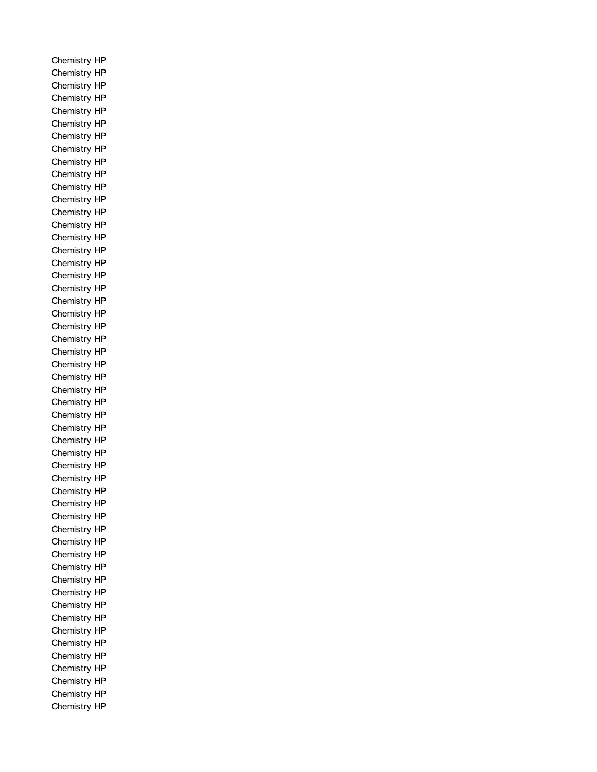Chemistry HP Chemistry HP Chemistry HP Chemistry HP Chemistry HP Chemistry HP Chemistry HP Chemistry HP Chemistry HP Chemistry HP Chemistry HP Chemistry HP Chemistry HP Chemistry HP Chemistry HP Chemistry HP Chemistry HP Chemistry HP Chemistry HP Chemistry HP Chemistry HP Chemistry HP Chemistry HP Chemistry HP Chemistry HP Chemistry HP Chemistry HP Chemistry HP Chemistry HP Chemistry HP Chemistry HP Chemistry HP Chemistry HP Chemistry HP Chemistry HP Chemistry HP Chemistry HP Chemistry HP Chemistry HP Chemistry HP Chemistry HP Chemistry HP Chemistry HP Chemistry HP Chemistry HP Chemistry HP Chemistry HP Chemistry HP Chemistry HP Chemistry HP Chemistry HP Chemistry HP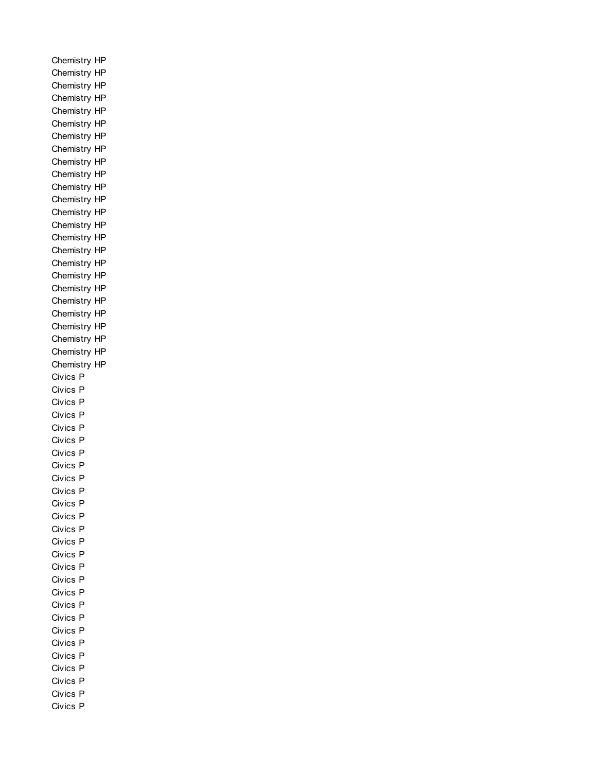Chemistry HP Chemistry HP Chemistry HP Chemistry HP Chemistry HP Chemistry HP Chemistry HP Chemistry HP Chemistry HP Chemistry HP Chemistry HP Chemistry HP Chemistry HP Chemistry HP Chemistry HP Chemistry HP Chemistry HP Chemistry HP Chemistry HP Chemistry HP Chemistry HP Chemistry HP Chemistry HP Chemistry HP Chemistry HP Civics P Civics P Civics P Civics P Civics P Civics P Civics P Civics P Civics P Civics P Civics P Civics P Civics P Civics P Civics P Civics P Civics P Civics P Civics P Civics P Civics P Civics P Civics P Civics P Civics P Civics P Civics P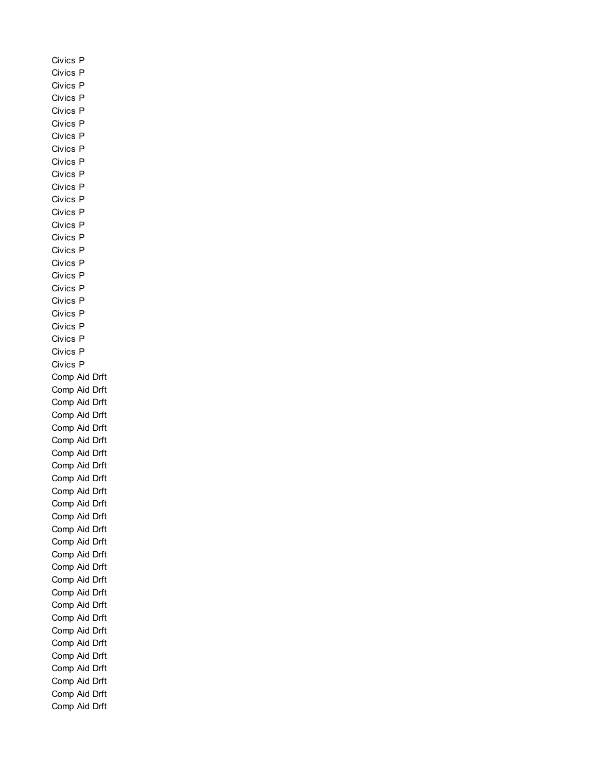Civics P Civics P Civics P Civics P Civics P Civics P Civics P Civics P Civics P Civics P Civics P Civics P Civics P Civics P Civics P Civics P Civics P Civics P Civics P Civics P Civics P Civics P Civics P Civics P Civics P Comp Aid Drft Comp Aid Drft Comp Aid Drft Comp Aid Drft Comp Aid Drft Comp Aid Drft Comp Aid Drft Comp Aid Drft Comp Aid Drft Comp Aid Drft Comp Aid Drft Comp Aid Drft Comp Aid Drft Comp Aid Drft Comp Aid Drft Comp Aid Drft Comp Aid Drft Comp Aid Drft Comp Aid Drft Comp Aid Drft Comp Aid Drft Comp Aid Drft Comp Aid Drft Comp Aid Drft Comp Aid Drft Comp Aid Drft Comp Aid Drft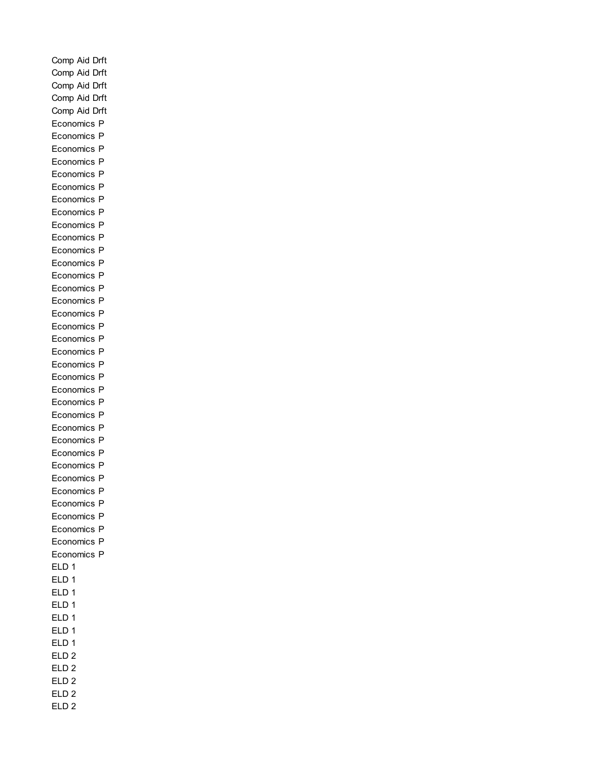Comp Aid Drft Comp Aid Drft Comp Aid Drft Comp Aid Drft Comp Aid Drft Economics P Economics P Economics P Economics P Economics P Economics P Economics P Economics P Economics P Economics P Economics P Economics P Economics P Economics P Economics P Economics P Economics P Economics P Economics P Economics P Economics P Economics P Economics P Economics P Economics P Economics P Economics P Economics P Economics P Economics P Economics P Economics P Economics P Economics P Economics P ELD 1 ELD 1 ELD 1 ELD 1 ELD 1 ELD 1 ELD 1 ELD 2 ELD 2 ELD 2 ELD 2 ELD 2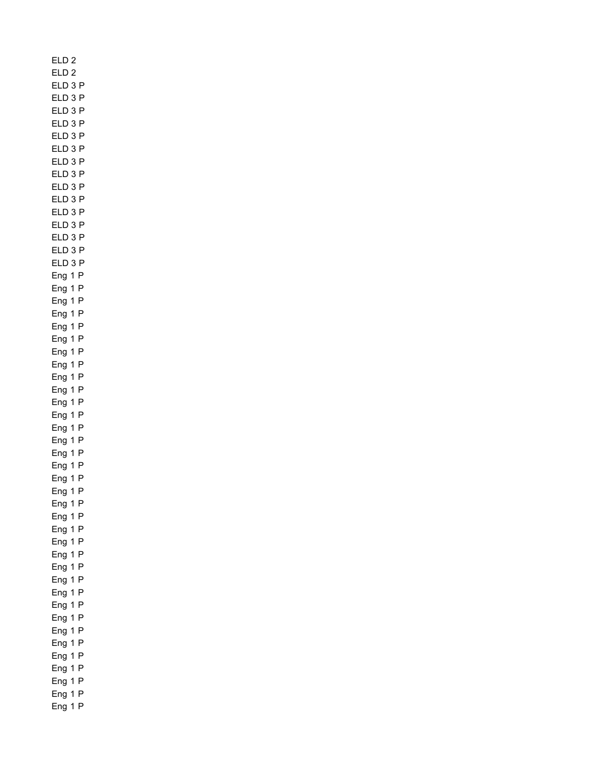ELD 2 ELD 2 ELD 3 P ELD 3 P ELD 3 P ELD 3 P ELD 3 P ELD 3 P ELD 3 P ELD 3 P ELD 3 P ELD 3 P ELD 3 P ELD 3 P ELD 3 P ELD 3 P ELD 3 P Eng 1 P Eng 1 P Eng 1 P Eng 1 P Eng 1 P Eng 1 P Eng 1 P Eng 1 P Eng 1 P Eng 1 P Eng 1 P Eng 1 P Eng 1 P Eng 1 P Eng 1 P Eng 1 P Eng 1 P Eng 1 P Eng 1 P Eng 1 P Eng 1 P Eng 1 P Eng 1 P Eng 1 P Eng 1 P Eng 1 P Eng 1 P Eng 1 P Eng 1 P Eng 1 P Eng 1 P Eng 1 P Eng 1 P Eng 1 P Eng 1 P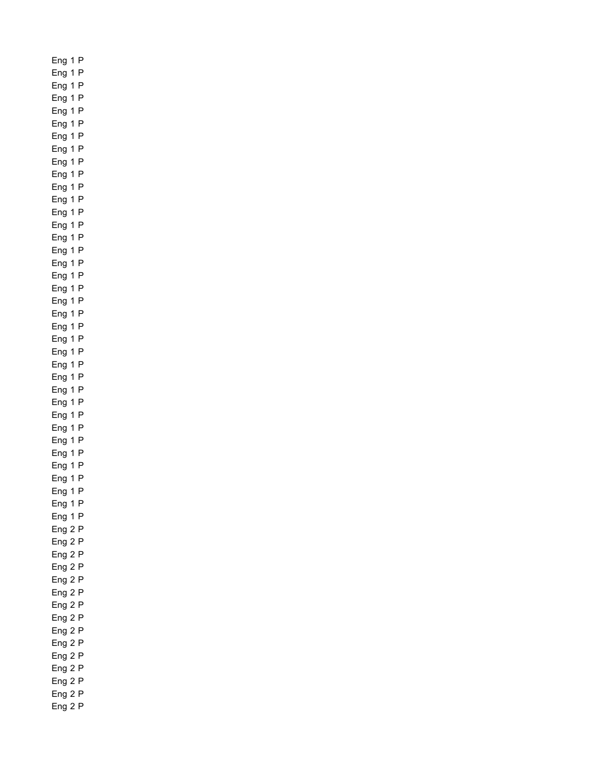Eng 1 P Eng 1 P Eng 1 P Eng 1 P Eng 1 P Eng 1 P Eng 1 P Eng 1 P Eng 1 P Eng 1 P Eng 1 P Eng 1 P Eng 1 P Eng 1 P Eng 1 P Eng 1 P Eng 1 P Eng 1 P Eng 1 P Eng 1 P Eng 1 P Eng 1 P Eng 1 P Eng 1 P Eng 1 P Eng 1 P Eng 1 P Eng 1 P Eng 1 P Eng 1 P Eng 1 P Eng 1 P Eng 1 P Eng 1 P Eng 1 P Eng 1 P Eng 1 P Eng 2 P Eng 2 P Eng 2 P Eng 2 P Eng 2 P Eng 2 P Eng 2 P Eng 2 P Eng 2 P Eng 2 P Eng 2 P Eng 2 P Eng 2 P Eng 2 P Eng 2 P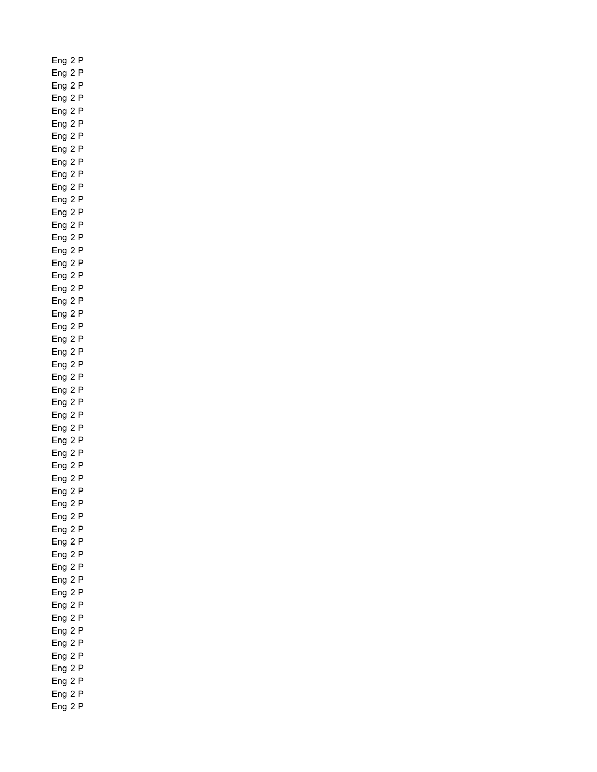Eng 2 P Eng 2 P Eng 2 P Eng 2 P Eng 2 P Eng 2 P Eng 2 P Eng 2 P Eng 2 P Eng 2 P Eng 2 P Eng 2 P Eng 2 P Eng 2 P Eng 2 P Eng 2 P Eng 2 P Eng 2 P Eng 2 P Eng 2 P Eng 2 P Eng 2 P Eng 2 P Eng 2 P Eng 2 P Eng 2 P Eng 2 P Eng 2 P Eng 2 P Eng 2 P Eng 2 P Eng 2 P Eng 2 P Eng 2 P Eng 2 P Eng 2 P Eng 2 P Eng 2 P Eng 2 P Eng 2 P Eng 2 P Eng 2 P Eng 2 P Eng 2 P Eng 2 P Eng 2 P Eng 2 P Eng 2 P Eng 2 P Eng 2 P Eng 2 P Eng 2 P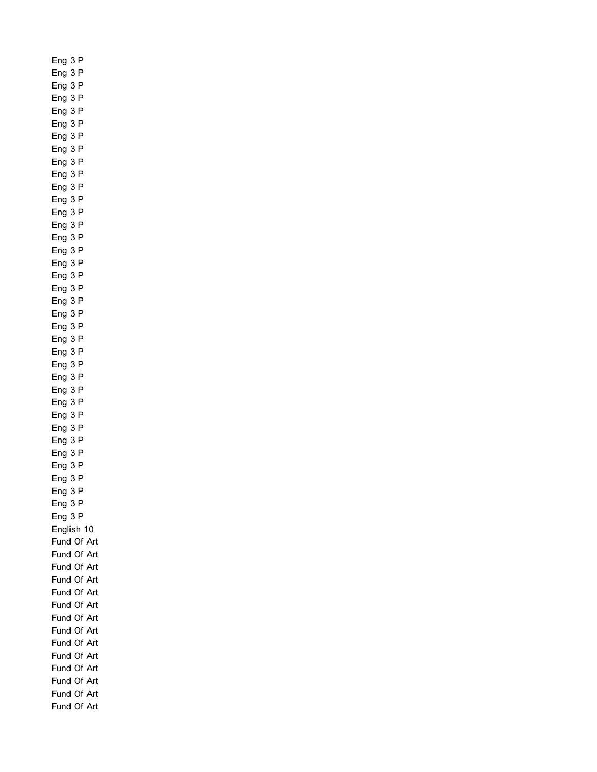Eng 3 P Eng 3 P Eng 3 P Eng 3 P Eng 3 P Eng 3 P Eng 3 P Eng 3 P Eng 3 P Eng 3 P Eng 3 P Eng 3 P Eng 3 P Eng 3 P Eng 3 P Eng 3 P Eng 3 P Eng 3 P Eng 3 P Eng 3 P Eng 3 P Eng 3 P Eng 3 P Eng 3 P Eng 3 P Eng 3 P Eng 3 P Eng 3 P Eng 3 P Eng 3 P Eng 3 P Eng 3 P Eng 3 P Eng 3 P Eng 3 P Eng 3 P Eng 3 P English 10 Fund Of Art Fund Of Art Fund Of Art Fund Of Art Fund Of Art Fund Of Art Fund Of Art Fund Of Art Fund Of Art Fund Of Art Fund Of Art Fund Of Art Fund Of Art Fund Of Art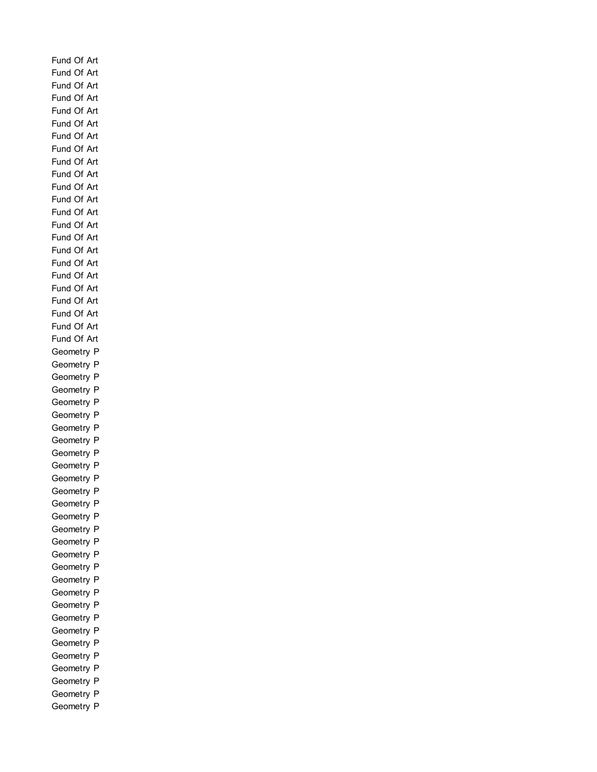Fund Of Art Fund Of Art Fund Of Art Fund Of Art Fund Of Art Fund Of Art Fund Of Art Fund Of Art Fund Of Art Fund Of Art Fund Of Art Fund Of Art Fund Of Art Fund Of Art Fund Of Art Fund Of Art Fund Of Art Fund Of Art Fund Of Art Fund Of Art Fund Of Art Fund Of Art Fund Of Art Geometry P Geometry P Geometry P Geometry P Geometry P Geometry P Geometry P Geometry P Geometry P Geometry P Geometry P Geometry P Geometry P Geometry P Geometry P Geometry P Geometry P Geometry P Geometry P Geometry P Geometry P Geometry P Geometry P Geometry P Geometry P Geometry P Geometry P Geometry P Geometry P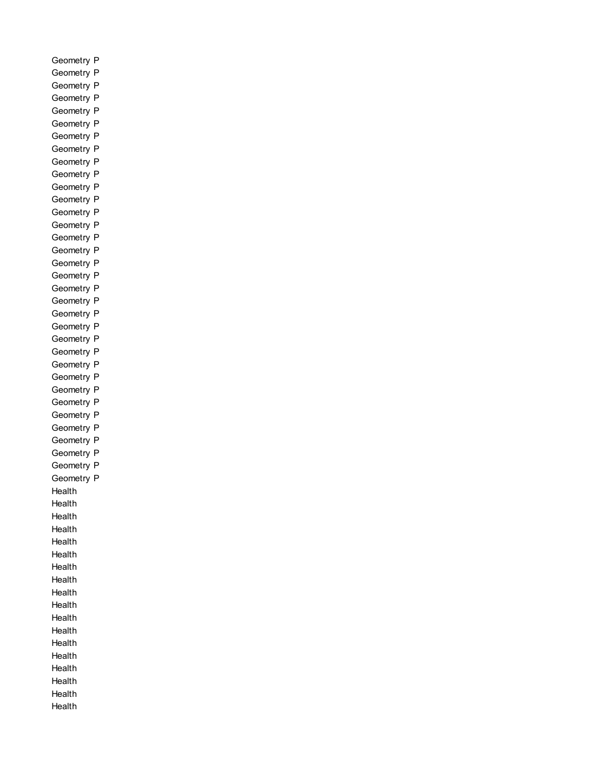Geometry P Geometry P Geometry P Geometry P Geometry P Geometry P Geometry P Geometry P Geometry P Geometry P Geometry P Geometry P Geometry P Geometry P Geometry P Geometry P Geometry P Geometry P Geometry P Geometry P Geometry P Geometry P Geometry P Geometry P Geometry P Geometry P Geometry P Geometry P Geometry P Geometry P Geometry P Geometry P Geometry P Geometry P Health Health Health Health Health Health Health Health Health Health Health Health Health Health Health Health Health Health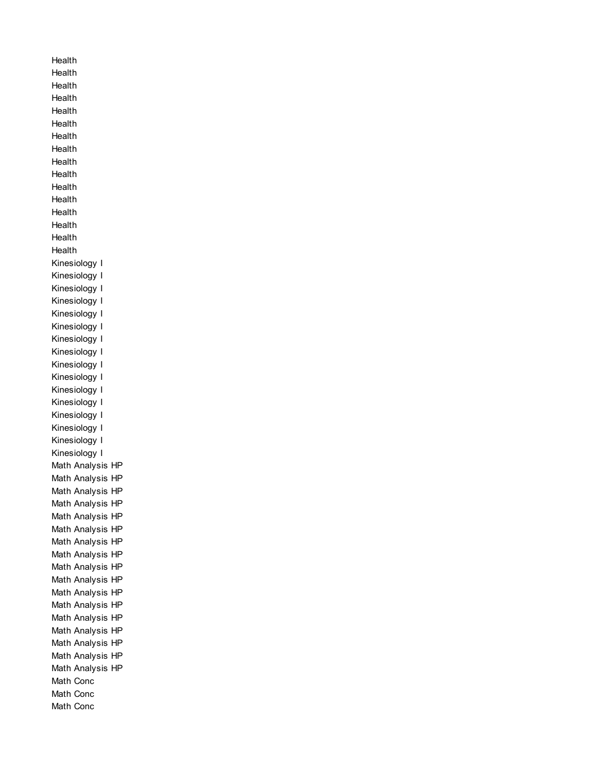Health Health Health Health **Health** Health Health Health Health Health Health Health Health Health Health Health Kinesiology I Kinesiology I Kinesiology I Kinesiology I Kinesiology I Kinesiology I Kinesiology I Kinesiology I Kinesiology I Kinesiology I Kinesiology I Kinesiology I Kinesiology I Kinesiology I Kinesiology I Kinesiology I Math Analysis HP Math Analysis HP Math Analysis HP Math Analysis HP Math Analysis HP Math Analysis HP Math Analysis HP Math Analysis HP Math Analysis HP Math Analysis HP Math Analysis HP Math Analysis HP Math Analysis HP Math Analysis HP Math Analysis HP Math Analysis HP Math Analysis HP Math Conc Math Conc Math Conc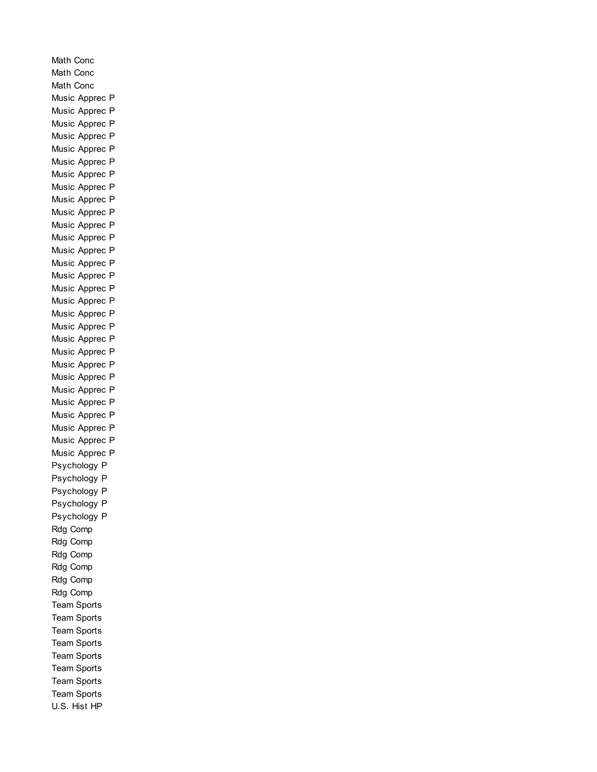Math Conc Math Conc Math Conc Music Apprec P Music Apprec P Music Apprec P Music Apprec P Music Apprec P Music Apprec P Music Apprec P Music Apprec P Music Apprec P Music Apprec P Music Apprec P Music Apprec P Music Apprec P Music Apprec P Music Apprec P Music Apprec P Music Apprec P Music Apprec P Music Apprec P Music Apprec P Music Apprec P Music Apprec P Music Apprec P Music Apprec P Music Apprec P Music Apprec P Music Apprec P Music Apprec P Music Apprec P Psychology P Psychology P Psychology P Psychology P Psychology P Rdg Comp Rdg Comp Rdg Comp Rdg Comp Rdg Comp Rdg Comp Team Sports Team Sports Team Sports Team Sports Team Sports Team Sports Team Sports Team Sports U.S. Hist HP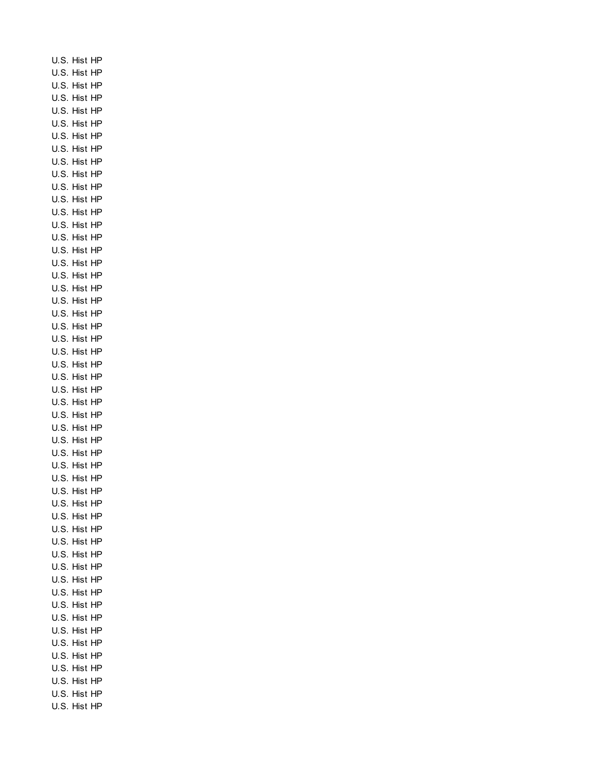U.S. Hist HP U.S. Hist HP U.S. Hist HP U.S. Hist HP U.S. Hist HP U.S. Hist HP U.S. Hist HP U.S. Hist HP U.S. Hist HP U.S. Hist HP U.S. Hist HP U.S. Hist HP U.S. Hist HP U.S. Hist HP U.S. Hist HP U.S. Hist HP U.S. Hist HP U.S. Hist HP U.S. Hist HP U.S. Hist HP U.S. Hist HP U.S. Hist HP U.S. Hist HP U.S. Hist HP U.S. Hist HP U.S. Hist HP U.S. Hist HP U.S. Hist HP U.S. Hist HP U.S. Hist HP U.S. Hist HP U.S. Hist HP U.S. Hist HP U.S. Hist HP U.S. Hist HP U.S. Hist HP U.S. Hist HP U.S. Hist HP U.S. Hist HP U.S. Hist HP U.S. Hist HP U.S. Hist HP U.S. Hist HP U.S. Hist HP U.S. Hist HP U.S. Hist HP U.S. Hist HP U.S. Hist HP U.S. Hist HP U.S. Hist HP U.S. Hist HP U.S. Hist HP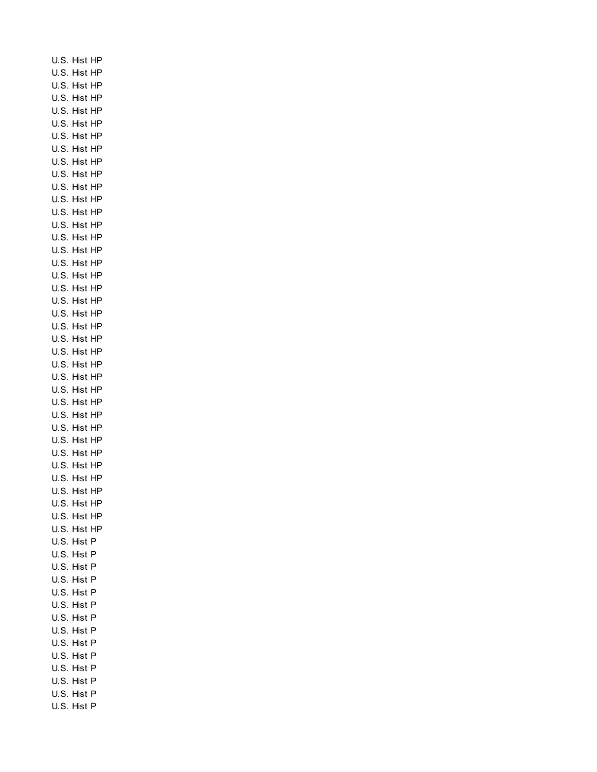U.S. Hist HP U.S. Hist HP U.S. Hist HP U.S. Hist HP U.S. Hist HP U.S. Hist HP U.S. Hist HP U.S. Hist HP U.S. Hist HP U.S. Hist HP U.S. Hist HP U.S. Hist HP U.S. Hist HP U.S. Hist HP U.S. Hist HP U.S. Hist HP U.S. Hist HP U.S. Hist HP U.S. Hist HP U.S. Hist HP U.S. Hist HP U.S. Hist HP U.S. Hist HP U.S. Hist HP U.S. Hist HP U.S. Hist HP U.S. Hist HP U.S. Hist HP U.S. Hist HP U.S. Hist HP U.S. Hist HP U.S. Hist HP U.S. Hist HP U.S. Hist HP U.S. Hist HP U.S. Hist HP U.S. Hist HP U.S. Hist HP U.S. Hist P U.S. Hist P U.S. Hist P U.S. Hist P U.S. Hist P U.S. Hist P U.S. Hist P U.S. Hist P U.S. Hist P U.S. Hist P U.S. Hist P U.S. Hist P U.S. Hist P U.S. Hist P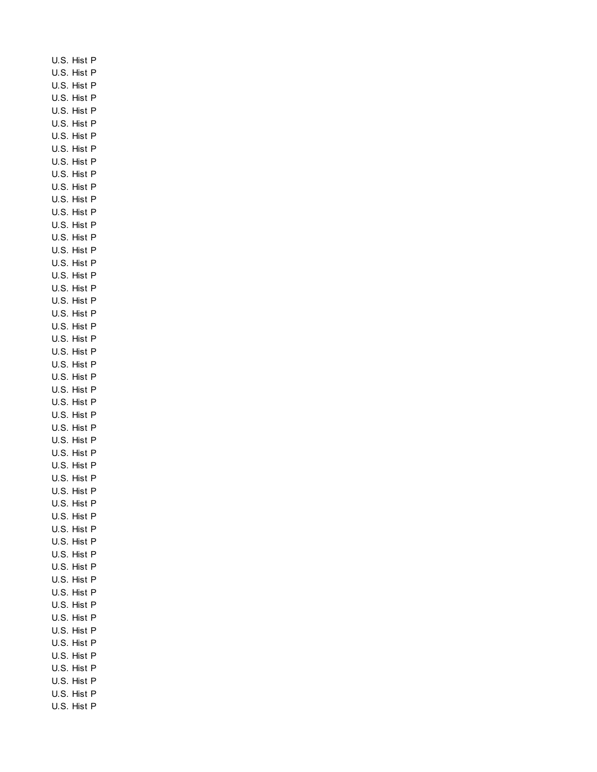U.S. Hist P U.S. Hist P U.S. Hist P U.S. Hist P U.S. Hist P U.S. Hist P U.S. Hist P U.S. Hist P U.S. Hist P U.S. Hist P U.S. Hist P U.S. Hist P U.S. Hist P U.S. Hist P U.S. Hist P U.S. Hist P U.S. Hist P U.S. Hist P U.S. Hist P U.S. Hist P U.S. Hist P U.S. Hist P U.S. Hist P U.S. Hist P U.S. Hist P U.S. Hist P U.S. Hist P U.S. Hist P U.S. Hist P U.S. Hist P U.S. Hist P U.S. Hist P U.S. Hist P U.S. Hist P U.S. Hist P U.S. Hist P U.S. Hist P U.S. Hist P U.S. Hist P U.S. Hist P U.S. Hist P U.S. Hist P U.S. Hist P U.S. Hist P U.S. Hist P U.S. Hist P U.S. Hist P U.S. Hist P U.S. Hist P U.S. Hist P U.S. Hist P U.S. Hist P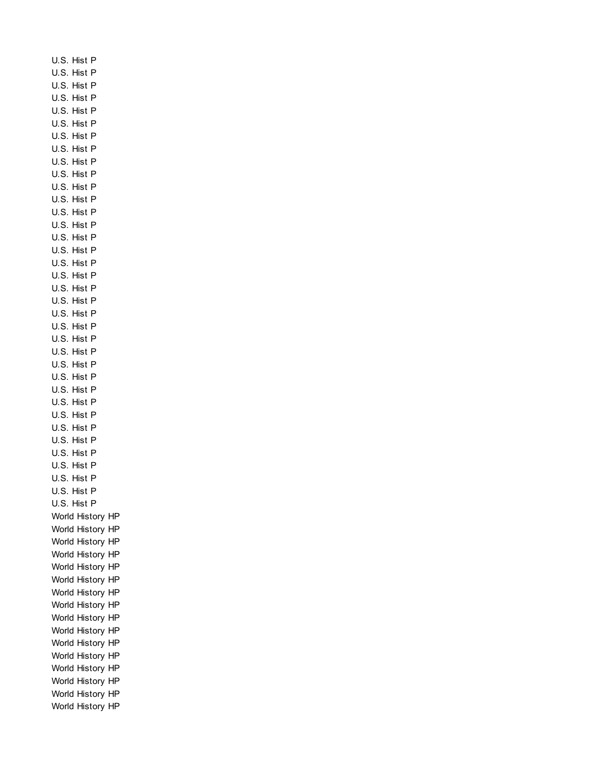U.S. Hist P U.S. Hist P U.S. Hist P U.S. Hist P U.S. Hist P U.S. Hist P U.S. Hist P U.S. Hist P U.S. Hist P U.S. Hist P U.S. Hist P U.S. Hist P U.S. Hist P U.S. Hist P U.S. Hist P U.S. Hist P U.S. Hist P U.S. Hist P U.S. Hist P U.S. Hist P U.S. Hist P U.S. Hist P U.S. Hist P U.S. Hist P U.S. Hist P U.S. Hist P U.S. Hist P U.S. Hist P U.S. Hist P U.S. Hist P U.S. Hist P U.S. Hist P U.S. Hist P U.S. Hist P U.S. Hist P U.S. Hist P World History HP World History HP World History HP World History HP World History HP World History HP World History HP World History HP World History HP World History HP World History HP World History HP World History HP World History HP World History HP World History HP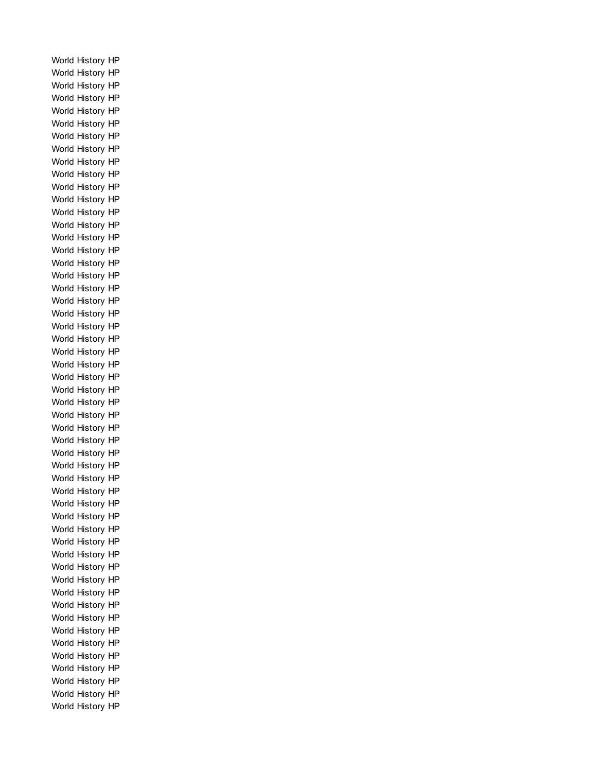World History HP World History HP World History HP World History HP World History HP World History HP World History HP World History HP World History HP World History HP World History HP World History HP World History HP World History HP World History HP World History HP World History HP World History HP World History HP World History HP World History HP World History HP World History HP World History HP World History HP World History HP World History HP World History HP World History HP World History HP World History HP World History HP World History HP World History HP World History HP World History HP World History HP World History HP World History HP World History HP World History HP World History HP World History HP World History HP World History HP World History HP World History HP World History HP World History HP World History HP World History HP World History HP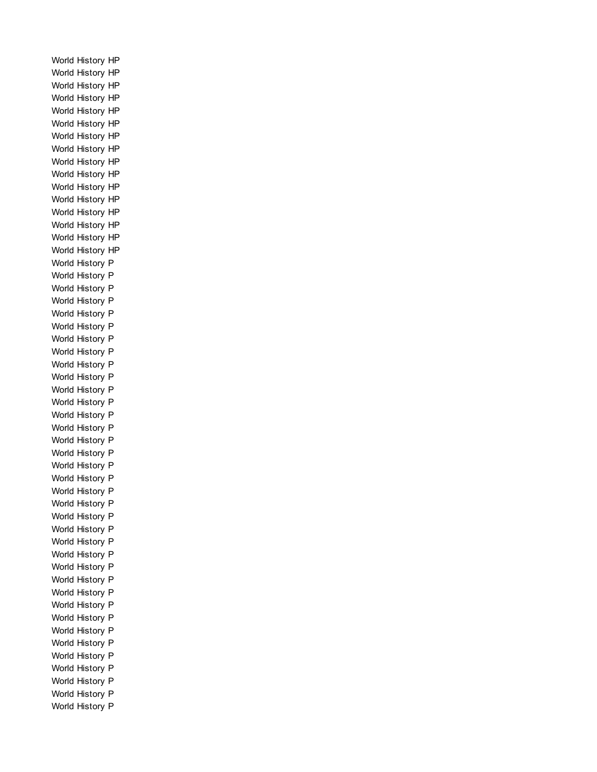World History HP World History HP World History HP World History HP World History HP World History HP World History HP World History HP World History HP World History HP World History HP World History HP World History HP World History HP World History HP World History HP World History P World History P World History P World History P World History P World History P World History P World History P World History P World History P World History P World History P World History P World History P World History P World History P World History P World History P World History P World History P World History P World History P World History P World History P World History P World History P World History P World History P World History P World History P World History P World History P World History P World History P World History P World History P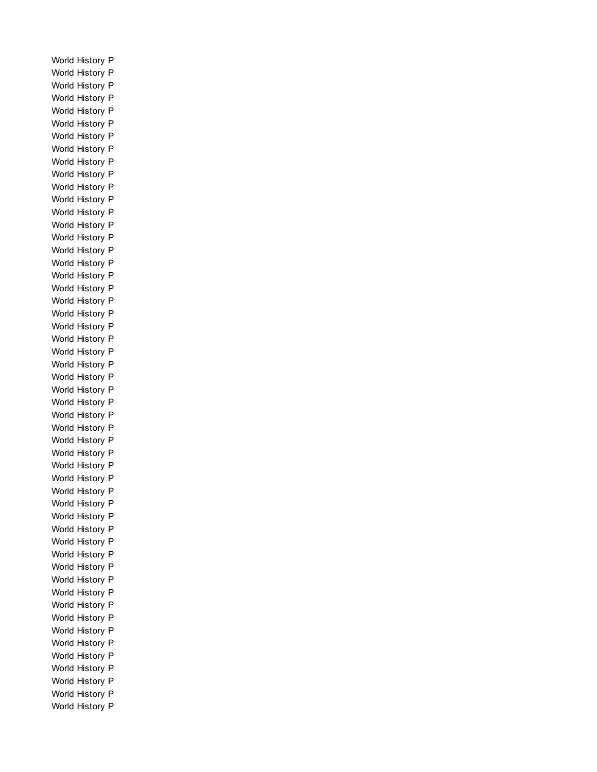World History P World History P World History P World History P World History P World History P World History P World History P World History P World History P World History P World History P World History P World History P World History P World History P World History P World History P World History P World History P World History P World History P World History P World History P World History P World History P World History P World History P World History P World History P World History P World History P World History P World History P World History P World History P World History P World History P World History P World History P World History P World History P World History P World History P World History P World History P World History P World History P World History P World History P World History P World History P